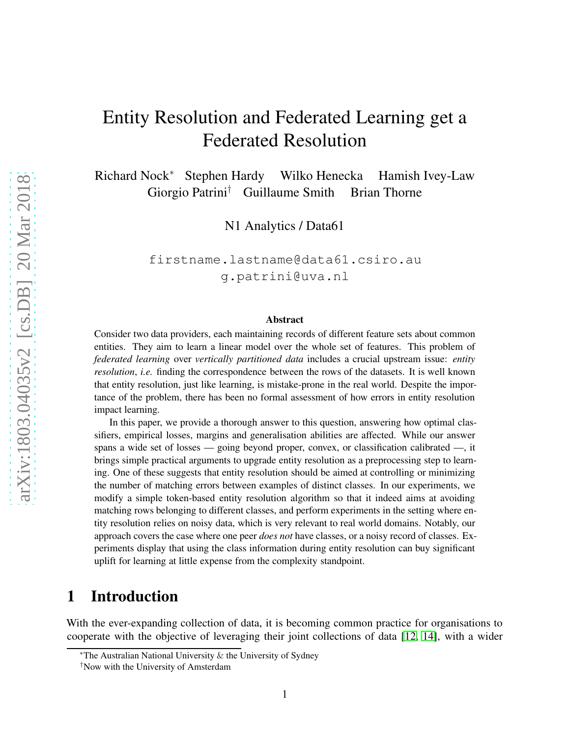# Entity Resolution and Federated Learning get a Federated Resolution

Richard Nock<sup>∗</sup> Stephen Hardy Wilko Henecka Hamish Ivey-Law Giorgio Patrini† Guillaume Smith Brian Thorne

N1 Analytics / Data61

firstname.lastname@data61.csiro.au g.patrini@uva.nl

#### Abstract

Consider two data providers, each maintaining records of different feature sets about common entities. They aim to learn a linear model over the whole set of features. This problem of *federated learning* over *vertically partitioned data* includes a crucial upstream issue: *entity resolution*, *i.e.* finding the correspondence between the rows of the datasets. It is well known that entity resolution, just like learning, is mistake-prone in the real world. Despite the importance of the problem, there has been no formal assessment of how errors in entity resolution impact learning.

In this paper, we provide a thorough answer to this question, answering how optimal classifiers, empirical losses, margins and generalisation abilities are affected. While our answer spans a wide set of losses — going beyond proper, convex, or classification calibrated —, it brings simple practical arguments to upgrade entity resolution as a preprocessing step to learning. One of these suggests that entity resolution should be aimed at controlling or minimizing the number of matching errors between examples of distinct classes. In our experiments, we modify a simple token-based entity resolution algorithm so that it indeed aims at avoiding matching rows belonging to different classes, and perform experiments in the setting where entity resolution relies on noisy data, which is very relevant to real world domains. Notably, our approach covers the case where one peer *does not* have classes, or a noisy record of classes. Experiments display that using the class information during entity resolution can buy significant uplift for learning at little expense from the complexity standpoint.

# 1 Introduction

With the ever-expanding collection of data, it is becoming common practice for organisations to cooperate with the objective of leveraging their joint collections of data [\[12,](#page-20-0) [14\]](#page-20-1), with a wider

<sup>∗</sup>The Australian National University & the University of Sydney

<sup>†</sup>Now with the University of Amsterdam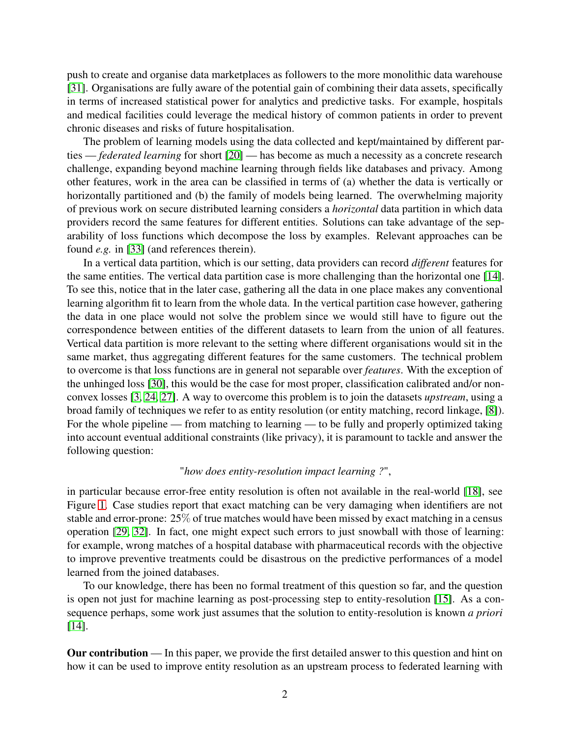push to create and organise data marketplaces as followers to the more monolithic data warehouse [\[31\]](#page-21-0). Organisations are fully aware of the potential gain of combining their data assets, specifically in terms of increased statistical power for analytics and predictive tasks. For example, hospitals and medical facilities could leverage the medical history of common patients in order to prevent chronic diseases and risks of future hospitalisation.

The problem of learning models using the data collected and kept/maintained by different parties — *federated learning* for short [\[20\]](#page-21-1) — has become as much a necessity as a concrete research challenge, expanding beyond machine learning through fields like databases and privacy. Among other features, work in the area can be classified in terms of (a) whether the data is vertically or horizontally partitioned and (b) the family of models being learned. The overwhelming majority of previous work on secure distributed learning considers a *horizontal* data partition in which data providers record the same features for different entities. Solutions can take advantage of the separability of loss functions which decompose the loss by examples. Relevant approaches can be found *e.g.* in [33] (and references therein).

In a vertical data partition, which is our setting, data providers can record *different* features for the same entities. The vertical data partition case is more challenging than the horizontal one [\[14\]](#page-20-1). To see this, notice that in the later case, gathering all the data in one place makes any conventional learning algorithm fit to learn from the whole data. In the vertical partition case however, gathering the data in one place would not solve the problem since we would still have to figure out the correspondence between entities of the different datasets to learn from the union of all features. Vertical data partition is more relevant to the setting where different organisations would sit in the same market, thus aggregating different features for the same customers. The technical problem to overcome is that loss functions are in general not separable over *features*. With the exception of the unhinged loss [\[30\]](#page-21-2), this would be the case for most proper, classification calibrated and/or nonconvex losses [\[3,](#page-20-2) [24,](#page-21-3) [27\]](#page-21-4). A way to overcome this problem is to join the datasets *upstream*, using a broad family of techniques we refer to as entity resolution (or entity matching, record linkage, [\[8\]](#page-20-3)). For the whole pipeline — from matching to learning — to be fully and properly optimized taking into account eventual additional constraints (like privacy), it is paramount to tackle and answer the following question:

#### "*how does entity-resolution impact learning ?*",

in particular because error-free entity resolution is often not available in the real-world [\[18\]](#page-21-5), see Figure [1.](#page-2-0) Case studies report that exact matching can be very damaging when identifiers are not stable and error-prone: 25% of true matches would have been missed by exact matching in a census operation [\[29,](#page-21-6) [32\]](#page-21-7). In fact, one might expect such errors to just snowball with those of learning: for example, wrong matches of a hospital database with pharmaceutical records with the objective to improve preventive treatments could be disastrous on the predictive performances of a model learned from the joined databases.

To our knowledge, there has been no formal treatment of this question so far, and the question is open not just for machine learning as post-processing step to entity-resolution [\[15\]](#page-20-4). As a consequence perhaps, some work just assumes that the solution to entity-resolution is known *a priori* [\[14\]](#page-20-1).

Our contribution — In this paper, we provide the first detailed answer to this question and hint on how it can be used to improve entity resolution as an upstream process to federated learning with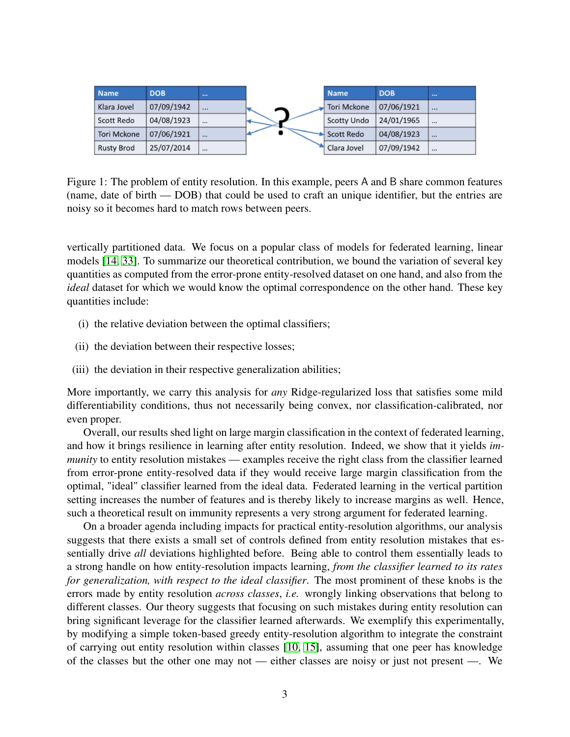| <b>Name</b>        | <b>DOB</b> |          |   | <b>Name</b>        | <b>DOB</b> |          |
|--------------------|------------|----------|---|--------------------|------------|----------|
| Klara Jovel        | 07/09/1942 | $\cdots$ | ⌒ | <b>Tori Mckone</b> | 07/06/1921 | $\cdots$ |
| <b>Scott Redo</b>  | 04/08/1923 |          |   | <b>Scotty Undo</b> | 24/01/1965 |          |
| <b>Tori Mckone</b> | 07/06/1921 | $\cdots$ |   | <b>Scott Redo</b>  | 04/08/1923 | $\cdots$ |
| <b>Rusty Brod</b>  | 25/07/2014 |          |   | Clara Jovel        | 07/09/1942 |          |

<span id="page-2-0"></span>Figure 1: The problem of entity resolution. In this example, peers A and B share common features (name, date of birth — DOB) that could be used to craft an unique identifier, but the entries are noisy so it becomes hard to match rows between peers.

vertically partitioned data. We focus on a popular class of models for federated learning, linear models [\[14,](#page-20-1) 33]. To summarize our theoretical contribution, we bound the variation of several key quantities as computed from the error-prone entity-resolved dataset on one hand, and also from the *ideal* dataset for which we would know the optimal correspondence on the other hand. These key quantities include:

- (i) the relative deviation between the optimal classifiers;
- (ii) the deviation between their respective losses;
- (iii) the deviation in their respective generalization abilities;

More importantly, we carry this analysis for *any* Ridge-regularized loss that satisfies some mild differentiability conditions, thus not necessarily being convex, nor classification-calibrated, nor even proper.

Overall, our results shed light on large margin classification in the context of federated learning, and how it brings resilience in learning after entity resolution. Indeed, we show that it yields *immunity* to entity resolution mistakes — examples receive the right class from the classifier learned from error-prone entity-resolved data if they would receive large margin classification from the optimal, "ideal" classifier learned from the ideal data. Federated learning in the vertical partition setting increases the number of features and is thereby likely to increase margins as well. Hence, such a theoretical result on immunity represents a very strong argument for federated learning.

On a broader agenda including impacts for practical entity-resolution algorithms, our analysis suggests that there exists a small set of controls defined from entity resolution mistakes that essentially drive *all* deviations highlighted before. Being able to control them essentially leads to a strong handle on how entity-resolution impacts learning, *from the classifier learned to its rates for generalization, with respect to the ideal classifier*. The most prominent of these knobs is the errors made by entity resolution *across classes*, *i.e.* wrongly linking observations that belong to different classes. Our theory suggests that focusing on such mistakes during entity resolution can bring significant leverage for the classifier learned afterwards. We exemplify this experimentally, by modifying a simple token-based greedy entity-resolution algorithm to integrate the constraint of carrying out entity resolution within classes [\[10,](#page-20-5) [15\]](#page-20-4), assuming that one peer has knowledge of the classes but the other one may not — either classes are noisy or just not present —. We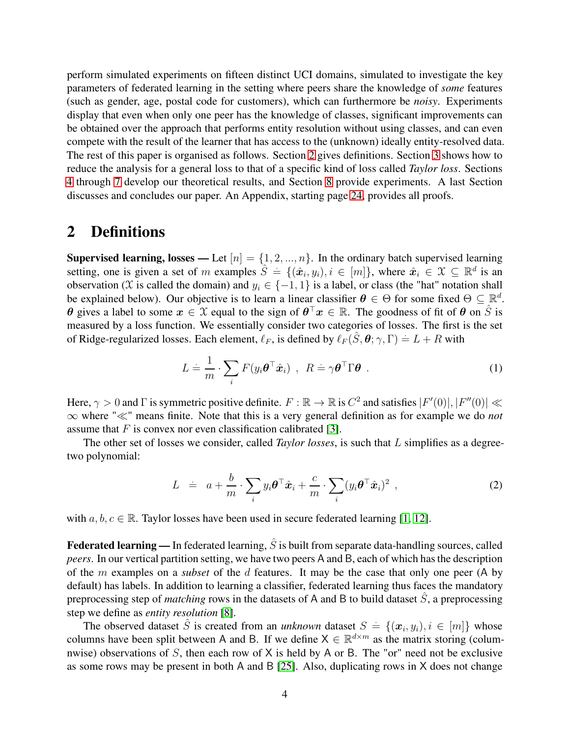perform simulated experiments on fifteen distinct UCI domains, simulated to investigate the key parameters of federated learning in the setting where peers share the knowledge of *some* features (such as gender, age, postal code for customers), which can furthermore be *noisy*. Experiments display that even when only one peer has the knowledge of classes, significant improvements can be obtained over the approach that performs entity resolution without using classes, and can even compete with the result of the learner that has access to the (unknown) ideally entity-resolved data. The rest of this paper is organised as follows. Section [2](#page-3-0) gives definitions. Section [3](#page-6-0) shows how to reduce the analysis for a general loss to that of a specific kind of loss called *Taylor loss*. Sections [4](#page-8-0) through [7](#page-11-0) develop our theoretical results, and Section [8](#page-11-1) provide experiments. A last Section discusses and concludes our paper. An Appendix, starting page [24,](#page-23-0) provides all proofs.

### <span id="page-3-0"></span>2 Definitions

Supervised learning, losses — Let  $[n] = \{1, 2, ..., n\}$ . In the ordinary batch supervised learning setting, one is given a set of m examples  $\hat{S} = \{(\hat{x}_i, y_i), i \in [m]\}$ , where  $\hat{x}_i \in \mathcal{X} \subseteq \mathbb{R}^d$  is an observation (X is called the domain) and  $y_i \in \{-1, 1\}$  is a label, or class (the "hat" notation shall be explained below). Our objective is to learn a linear classifier  $\theta \in \Theta$  for some fixed  $\Theta \subseteq \mathbb{R}^d$ .  $\theta$  gives a label to some  $x \in \mathcal{X}$  equal to the sign of  $\theta^{\top}x \in \mathbb{R}$ . The goodness of fit of  $\theta$  on  $\hat{S}$  is measured by a loss function. We essentially consider two categories of losses. The first is the set of Ridge-regularized losses. Each element,  $\ell_F$ , is defined by  $\ell_F(\hat{S}, \theta; \gamma, \Gamma) = L + R$  with

$$
L \doteq \frac{1}{m} \cdot \sum_{i} F(y_i \boldsymbol{\theta}^\top \hat{\boldsymbol{x}}_i) , \ R \doteq \gamma \boldsymbol{\theta}^\top \Gamma \boldsymbol{\theta} . \qquad (1)
$$

Here,  $\gamma > 0$  and  $\Gamma$  is symmetric positive definite.  $F : \mathbb{R} \to \mathbb{R}$  is  $C^2$  and satisfies  $|F'(0)|, |F''(0)| \ll$ ∞ where "≪" means finite. Note that this is a very general definition as for example we do *not* assume that  $F$  is convex nor even classification calibrated [\[3\]](#page-20-2).

The other set of losses we consider, called *Taylor losses*, is such that L simplifies as a degreetwo polynomial:

<span id="page-3-1"></span>
$$
L = a + \frac{b}{m} \cdot \sum_{i} y_i \boldsymbol{\theta}^\top \hat{\boldsymbol{x}}_i + \frac{c}{m} \cdot \sum_{i} (y_i \boldsymbol{\theta}^\top \hat{\boldsymbol{x}}_i)^2 , \qquad (2)
$$

with  $a, b, c \in \mathbb{R}$ . Taylor losses have been used in secure federated learning [\[1,](#page-19-0) [12\]](#page-20-0).

**Federated learning** — In federated learning,  $\hat{S}$  is built from separate data-handling sources, called *peers*. In our vertical partition setting, we have two peers A and B, each of which has the description of the m examples on a *subset* of the d features. It may be the case that only one peer (A by default) has labels. In addition to learning a classifier, federated learning thus faces the mandatory preprocessing step of *matching* rows in the datasets of A and B to build dataset  $\hat{S}$ , a preprocessing step we define as *entity resolution* [\[8\]](#page-20-3).

The observed dataset  $\hat{S}$  is created from an *unknown* dataset  $S = \{(\boldsymbol{x}_i, y_i), i \in [m]\}$  whose columns have been split between A and B. If we define  $X \in \mathbb{R}^{d \times m}$  as the matrix storing (columnwise) observations of S, then each row of  $X$  is held by A or B. The "or" need not be exclusive as some rows may be present in both A and B [\[25\]](#page-21-8). Also, duplicating rows in X does not change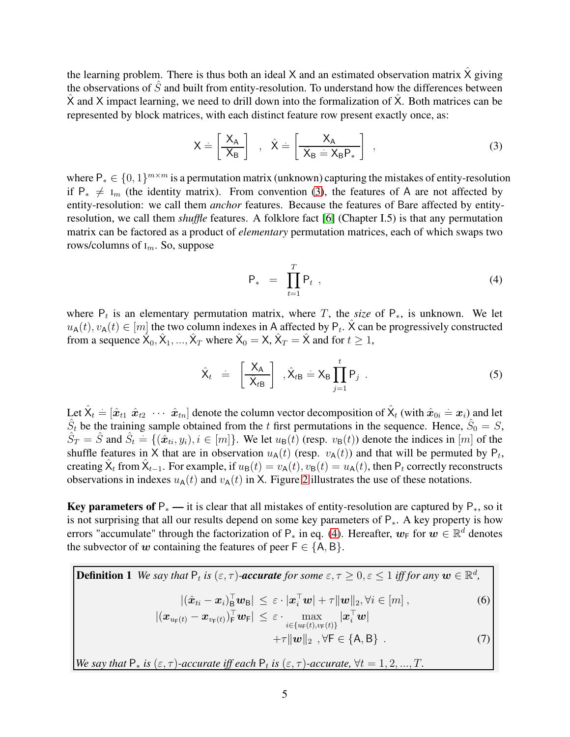the learning problem. There is thus both an ideal X and an estimated observation matrix  $\hat{X}$  giving the observations of  $\hat{S}$  and built from entity-resolution. To understand how the differences between X and X impact learning, we need to drill down into the formalization of X. Both matrices can be represented by block matrices, with each distinct feature row present exactly once, as:

<span id="page-4-0"></span>
$$
X = \begin{bmatrix} X_A \\ X_B \end{bmatrix} , \quad \hat{X} = \begin{bmatrix} X_A \\ \hat{X}_B = X_B P_* \end{bmatrix} , \tag{3}
$$

where  $P_* \in \{0, 1\}^{m \times m}$  is a permutation matrix (unknown) capturing the mistakes of entity-resolution if  $P_* \neq I_m$  (the identity matrix). From convention [\(3\)](#page-4-0), the features of A are not affected by entity-resolution: we call them *anchor* features. Because the features of Bare affected by entityresolution, we call them *shuffle* features. A folklore fact [\[6\]](#page-20-6) (Chapter I.5) is that any permutation matrix can be factored as a product of *elementary* permutation matrices, each of which swaps two rows/columns of  $I_m$ . So, suppose

<span id="page-4-1"></span>
$$
\mathsf{P}_{*} = \prod_{t=1}^{T} \mathsf{P}_{t} \tag{4}
$$

where  $P_t$  is an elementary permutation matrix, where T, the *size* of  $P_*,$  is unknown. We let  $u_{\mathsf{A}}(t), v_{\mathsf{A}}(t) \in [m]$  the two column indexes in A affected by  $\mathsf{P}_t$ .  $\hat{\mathsf{X}}$  can be progressively constructed from a sequence  $\hat{X}_0, \hat{X}_1, ..., \hat{X}_T$  where  $\hat{X}_0 = X$ ,  $\hat{X}_T = \hat{X}$  and for  $t \ge 1$ ,

$$
\hat{X}_t = \left[\frac{X_A}{\hat{X}_{tB}}\right], \hat{X}_{tB} = X_B \prod_{j=1}^t P_j . \qquad (5)
$$

Let  $\hat{X}_t = [\hat{x}_{t1} \ \hat{x}_{t2} \ \cdots \ \hat{x}_{tn}]$  denote the column vector decomposition of  $\hat{X}_t$  (with  $\hat{x}_{0i} = x_i$ ) and let  $\hat{S}_t$  be the training sample obtained from the t first permutations in the sequence. Hence,  $\hat{S}_0 = S$ ,  $\hat{S}_T = \hat{S}$  and  $\hat{S}_t = \{(\hat{x}_{ti}, y_i), i \in [m]\}$ . We let  $u_{\text{B}}(t)$  (resp.  $v_{\text{B}}(t)$ ) denote the indices in [m] of the shuffle features in X that are in observation  $u_A(t)$  (resp.  $v_A(t)$ ) and that will be permuted by  $P_t$ , creating  $\hat{X}_t$  from  $\hat{X}_{t-1}$ . For example, if  $u_B(t) = v_A(t)$ ,  $v_B(t) = u_A(t)$ , then  $P_t$  correctly reconstructs observations in indexes  $u_A(t)$  and  $v_A(t)$  in X. Figure [2](#page-5-0) illustrates the use of these notations.

Key parameters of  $P_*$  — it is clear that all mistakes of entity-resolution are captured by  $P_*$ , so it is not surprising that all our results depend on some key parameters of P∗. A key property is how errors "accumulate" through the factorization of  $P_*$  in eq. [\(4\)](#page-4-1). Hereafter,  $w_F$  for  $w \in \mathbb{R}^d$  denotes the subvector of w containing the features of peer  $F \in \{A, B\}$ .

**Definition 1** We say that  $P_t$  is  $(\varepsilon, \tau)$ -accurate for some  $\varepsilon, \tau \geq 0, \varepsilon \leq 1$  iff for any  $w \in \mathbb{R}^d$ ,  $|(\hat{\boldsymbol{x}}_{ti} - \boldsymbol{x}_i)_{\mathbf{B}}^{\top} \boldsymbol{w}_{\mathbf{B}}| \leq \varepsilon \cdot |\boldsymbol{x}_i^{\top} \boldsymbol{w}| + \tau ||\boldsymbol{w}||_2, \forall i \in [m],$  (6)  $|( \boldsymbol{x}_{u_{\mathsf{F}}(t)} - \boldsymbol{x}_{v_{\mathsf{F}}(t)})_{\mathsf{F}}^\top \boldsymbol{w}_{\mathsf{F}} |\ \leq \ \varepsilon \cdot \max_{i \in \{u_{\mathsf{F}}(t), v_{\mathsf{F}}(t)\}} | \boldsymbol{x}_{i}^\top \boldsymbol{w}|$  $+\tau \|w\|_2$ ,  $\forall F \in \{A, B\}$ . (7)

*We say that*  $P_*$  *is*  $(\varepsilon, \tau)$ *-accurate iff each*  $P_t$  *is*  $(\varepsilon, \tau)$ *-accurate,*  $\forall t = 1, 2, ..., T$ .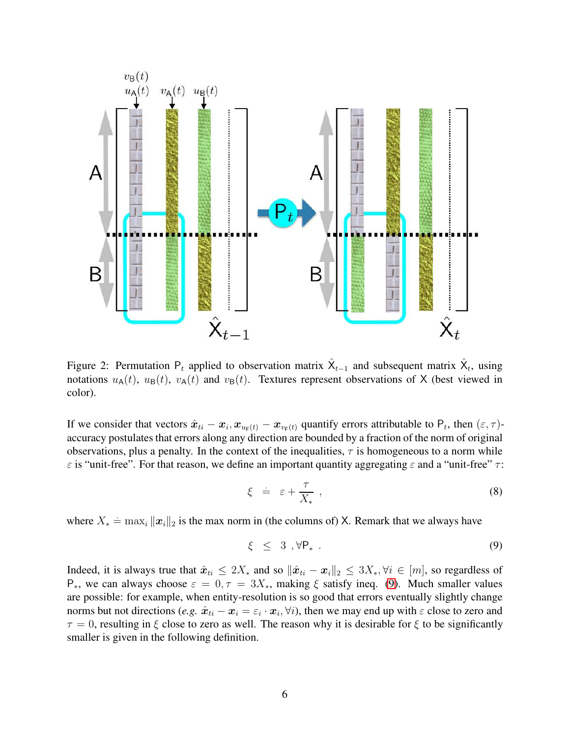

<span id="page-5-0"></span>Figure 2: Permutation  $P_t$  applied to observation matrix  $\hat{X}_{t-1}$  and subsequent matrix  $\hat{X}_t$ , using notations  $u_A(t)$ ,  $u_B(t)$ ,  $v_A(t)$  and  $v_B(t)$ . Textures represent observations of X (best viewed in color).

If we consider that vectors  $\hat{x}_{ti} - x_i$ ,  $x_{u_F(t)} - x_{v_F(t)}$  quantify errors attributable to  $P_t$ , then  $(\varepsilon, \tau)$ accuracy postulates that errors along any direction are bounded by a fraction of the norm of original observations, plus a penalty. In the context of the inequalities,  $\tau$  is homogeneous to a norm while  $\varepsilon$  is "unit-free". For that reason, we define an important quantity aggregating  $\varepsilon$  and a "unit-free"  $\tau$ :

<span id="page-5-2"></span>
$$
\xi = \varepsilon + \frac{\tau}{X_*} \t{8}
$$

where  $X_* \doteq \max_i ||\mathbf{x}_i||_2$  is the max norm in (the columns of) X. Remark that we always have

<span id="page-5-1"></span>
$$
\xi \leq 3, \forall P_* . \tag{9}
$$

Indeed, it is always true that  $\hat{x}_{ti} \leq 2X_*$  and so  $\|\hat{x}_{ti} - x_i\|_2 \leq 3X_*$ ,  $\forall i \in [m]$ , so regardless of P<sup>\*</sup>, we can always choose  $\varepsilon = 0, \tau = 3X^*$ , making  $\xi$  satisfy ineq. [\(9\)](#page-5-1). Much smaller values are possible: for example, when entity-resolution is so good that errors eventually slightly change norms but not directions (*e.g.*  $\hat{x}_{ti} - x_i = \varepsilon_i \cdot x_i$ ,  $\forall i$ ), then we may end up with  $\varepsilon$  close to zero and  $\tau = 0$ , resulting in  $\xi$  close to zero as well. The reason why it is desirable for  $\xi$  to be significantly smaller is given in the following definition.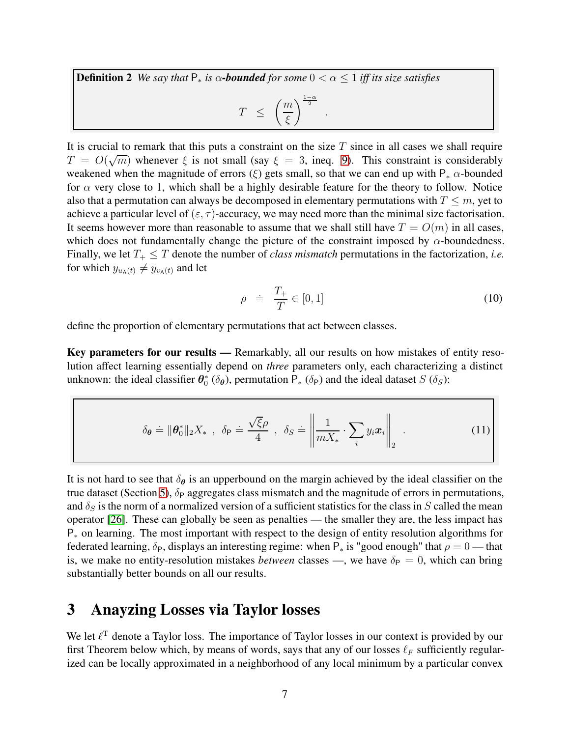**Definition 2** *We say that*  $P_*$  *is*  $\alpha$ -**bounded** for some  $0 < \alpha < 1$  *iff its size satisfies*  $T \leq$  $\left( m\right)$  $\bigg\{\frac{1-\alpha}{2}\bigg\}$ .

It is crucial to remark that this puts a constraint on the size  $T$  since in all cases we shall require  $T = O(\sqrt{m})$  whenever  $\xi$  is not small (say  $\xi = 3$ , ineq. [9\)](#page-5-1). This constraint is considerably weakened when the magnitude of errors (ξ) gets small, so that we can end up with  $P_* \alpha$ -bounded for  $\alpha$  very close to 1, which shall be a highly desirable feature for the theory to follow. Notice also that a permutation can always be decomposed in elementary permutations with  $T \leq m$ , yet to achieve a particular level of  $(\epsilon, \tau)$ -accuracy, we may need more than the minimal size factorisation. It seems however more than reasonable to assume that we shall still have  $T = O(m)$  in all cases, which does not fundamentally change the picture of the constraint imposed by  $\alpha$ -boundedness. Finally, we let  $T_+ \leq T$  denote the number of *class mismatch* permutations in the factorization, *i.e.* for which  $y_{u_{\mathbf{A}}(t)} \neq y_{v_{\mathbf{A}}(t)}$  and let

ξ

$$
\rho \quad \doteq \quad \frac{T_+}{T} \in [0, 1] \tag{10}
$$

define the proportion of elementary permutations that act between classes.

Key parameters for our results — Remarkably, all our results on how mistakes of entity resolution affect learning essentially depend on *three* parameters only, each characterizing a distinct unknown: the ideal classifier  $\theta_0^*$  ( $\delta_{\theta}$ ), permutation  $P_*$  ( $\delta_P$ ) and the ideal dataset S ( $\delta_S$ ):

$$
\delta_{\theta} \doteq \|\theta_0^*\|_2 X_*, \ \ \delta_{\mathsf{P}} \doteq \frac{\sqrt{\xi}\rho}{4}, \ \ \delta_S \doteq \left\|\frac{1}{mX_*} \cdot \sum_i y_i x_i\right\|_2. \tag{11}
$$

It is not hard to see that  $\delta_{\theta}$  is an upperbound on the margin achieved by the ideal classifier on the true dataset (Section [5\)](#page-10-0),  $\delta_P$  aggregates class mismatch and the magnitude of errors in permutations, and  $\delta_S$  is the norm of a normalized version of a sufficient statistics for the class in S called the mean operator [\[26\]](#page-21-9). These can globally be seen as penalties — the smaller they are, the less impact has P<sup>∗</sup> on learning. The most important with respect to the design of entity resolution algorithms for federated learning,  $\delta_P$ , displays an interesting regime: when  $P_*$  is "good enough" that  $\rho = 0$  — that is, we make no entity-resolution mistakes *between* classes —, we have  $\delta_P = 0$ , which can bring substantially better bounds on all our results.

## <span id="page-6-0"></span>3 Anayzing Losses via Taylor losses

We let  $\ell^T$  denote a Taylor loss. The importance of Taylor losses in our context is provided by our first Theorem below which, by means of words, says that any of our losses  $\ell_F$  sufficiently regularized can be locally approximated in a neighborhood of any local minimum by a particular convex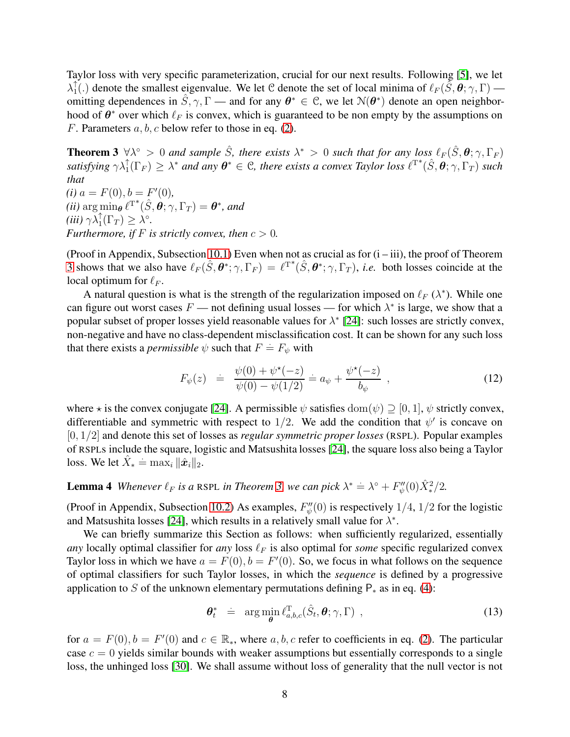Taylor loss with very specific parameterization, crucial for our next results. Following [\[5\]](#page-20-7), we let  $\lambda_1^\uparrow$  $\hat{1}$ (.) denote the smallest eigenvalue. We let C denote the set of local minima of  $\ell_F(\tilde{S}, \theta; \gamma, \Gamma)$  omitting dependences in  $\hat{S}, \gamma, \Gamma$  — and for any  $\theta^* \in \mathcal{C}$ , we let  $\mathcal{N}(\theta^*)$  denote an open neighborhood of  $\theta^*$  over which  $\ell_F$  is convex, which is guaranteed to be non empty by the assumptions on F. Parameters  $a, b, c$  below refer to those in eq. [\(2\)](#page-3-1).

<span id="page-7-0"></span>**Theorem 3**  $\forall \lambda^{\circ} > 0$  *and sample*  $\hat{S}$ *, there exists*  $\lambda^* > 0$  *such that for any loss*  $\ell_F(\hat{S}, \theta; \gamma, \Gamma_F)$  $satisfying \ \gamma \lambda_1^{\uparrow}(\Gamma_F) \geq \lambda^*$  and any  $\boldsymbol{\theta}^* \in \mathcal{C}$ , there exists a convex Taylor loss  $\ell^{T^*}(\hat{S},\boldsymbol{\theta};\gamma,\Gamma_T)$  such *that*  $(i)$   $a = F(0), b = F'(0)$ ,  $(iii)$  arg  $\min_{\theta} \ell^{T^*}(\hat{S}, \hat{\theta}; \gamma, \Gamma_T) = \theta^*$ , and

 $(iii)\ \gamma\lambda_1^{\uparrow}(\Gamma_T) \geq \lambda^{\circ}.$ *Furthermore, if*  $F$  *is strictly convex, then*  $c > 0$ *.* 

(Proof in Appendix, Subsection [10.1\)](#page-24-0) Even when not as crucial as for  $(i - iii)$ , the proof of Theorem [3](#page-7-0) shows that we also have  $\ell_F(\hat{S}, \theta^*; \gamma, \Gamma_F) = \ell^{T^*}(\hat{S}, \theta^*; \gamma, \Gamma_T)$ , *i.e.* both losses coincide at the local optimum for  $\ell_F$ .

A natural question is what is the strength of the regularization imposed on  $\ell_F(\lambda^*)$ . While one can figure out worst cases  $F$  — not defining usual losses — for which  $\lambda^*$  is large, we show that a popular subset of proper losses yield reasonable values for  $\lambda^*$  [\[24\]](#page-21-3): such losses are strictly convex, non-negative and have no class-dependent misclassification cost. It can be shown for any such loss that there exists a *permissible*  $\psi$  such that  $F = F_{\psi}$  with

<span id="page-7-2"></span>
$$
F_{\psi}(z) \quad = \quad \frac{\psi(0) + \psi^{\star}(-z)}{\psi(0) - \psi(1/2)} = a_{\psi} + \frac{\psi^{\star}(-z)}{b_{\psi}} \quad , \tag{12}
$$

where  $\star$  is the convex conjugate [\[24\]](#page-21-3). A permissible  $\psi$  satisfies  $\text{dom}(\psi) \supseteq [0, 1]$ ,  $\psi$  strictly convex, differentiable and symmetric with respect to 1/2. We add the condition that  $\psi'$  is concave on [0, 1/2] and denote this set of losses as *regular symmetric proper losses* (RSPL). Popular examples of RSPLs include the square, logistic and Matsushita losses [\[24\]](#page-21-3), the square loss also being a Taylor loss. We let  $\hat{X}_* = \max_i \|\hat{x}_i\|_2$ .

# **Lemma 4** Whenever  $\ell_F$  is a RSPL in Theorem [3,](#page-7-0) we can pick  $\lambda^* \doteq \lambda^{\circ} + F''_{\psi}(0)\hat{X}^2_{*}/2$ .

(Proof in Appendix, Subsection [10.2\)](#page-27-0) As examples,  $F''_{\psi}(0)$  is respectively 1/4, 1/2 for the logistic and Matsushita losses [\[24\]](#page-21-3), which results in a relatively small value for  $\lambda^*$ .

We can briefly summarize this Section as follows: when sufficiently regularized, essentially *any* locally optimal classifier for *any* loss  $\ell_F$  is also optimal for *some* specific regularized convex Taylor loss in which we have  $a = F(0), b = F'(0)$ . So, we focus in what follows on the sequence of optimal classifiers for such Taylor losses, in which the *sequence* is defined by a progressive application to S of the unknown elementary permutations defining  $P_*$  as in eq. [\(4\)](#page-4-1):

<span id="page-7-1"></span>
$$
\boldsymbol{\theta}_t^* \quad = \quad \arg\min_{\boldsymbol{\theta}} \ell_{a,b,c}^{\mathrm{T}}(\hat{S}_t, \boldsymbol{\theta}; \gamma, \Gamma) \enspace , \tag{13}
$$

for  $a = F(0), b = F'(0)$  and  $c \in \mathbb{R}_*$ , where  $a, b, c$  refer to coefficients in eq. [\(2\)](#page-3-1). The particular case  $c = 0$  yields similar bounds with weaker assumptions but essentially corresponds to a single loss, the unhinged loss [\[30\]](#page-21-2). We shall assume without loss of generality that the null vector is not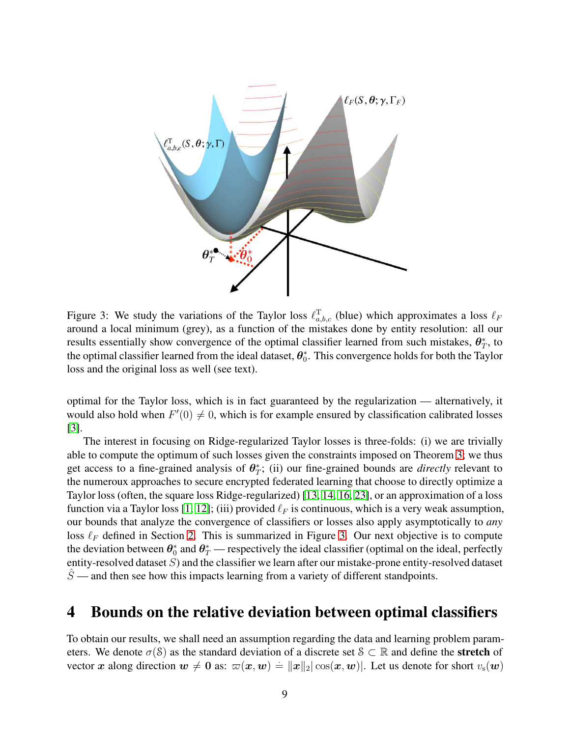

<span id="page-8-1"></span>Figure 3: We study the variations of the Taylor loss  $\ell_{a,b,c}^{\mathrm{T}}$  (blue) which approximates a loss  $\ell_F$ around a local minimum (grey), as a function of the mistakes done by entity resolution: all our results essentially show convergence of the optimal classifier learned from such mistakes,  $\theta_T^*$ , to the optimal classifier learned from the ideal dataset,  $\theta_0^*$ . This convergence holds for both the Taylor loss and the original loss as well (see text).

optimal for the Taylor loss, which is in fact guaranteed by the regularization — alternatively, it would also hold when  $F'(0) \neq 0$ , which is for example ensured by classification calibrated losses [\[3\]](#page-20-2).

The interest in focusing on Ridge-regularized Taylor losses is three-folds: (i) we are trivially able to compute the optimum of such losses given the constraints imposed on Theorem [3;](#page-7-0) we thus get access to a fine-grained analysis of  $\theta^*_T$ ; (ii) our fine-grained bounds are *directly* relevant to the numeroux approaches to secure encrypted federated learning that choose to directly optimize a Taylor loss (often, the square loss Ridge-regularized) [\[13,](#page-20-8) [14,](#page-20-1) [16,](#page-20-9) [23\]](#page-21-10), or an approximation of a loss function via a Taylor loss [\[1,](#page-19-0) [12\]](#page-20-0); (iii) provided  $\ell_F$  is continuous, which is a very weak assumption, our bounds that analyze the convergence of classifiers or losses also apply asymptotically to *any* loss  $\ell_F$  defined in Section [2.](#page-3-0) This is summarized in Figure [3.](#page-8-1) Our next objective is to compute the deviation between  $\theta_0^*$  and  $\theta_T^*$  — respectively the ideal classifier (optimal on the ideal, perfectly entity-resolved dataset S) and the classifier we learn after our mistake-prone entity-resolved dataset  $\hat{S}$  — and then see how this impacts learning from a variety of different standpoints.

### <span id="page-8-0"></span>4 Bounds on the relative deviation between optimal classifiers

To obtain our results, we shall need an assumption regarding the data and learning problem parameters. We denote  $\sigma(S)$  as the standard deviation of a discrete set  $S \subset \mathbb{R}$  and define the **stretch** of vector x along direction  $w \neq 0$  as:  $\omega(x, w) = ||x||_2 |\cos(x, w)|$ . Let us denote for short  $v_s(w)$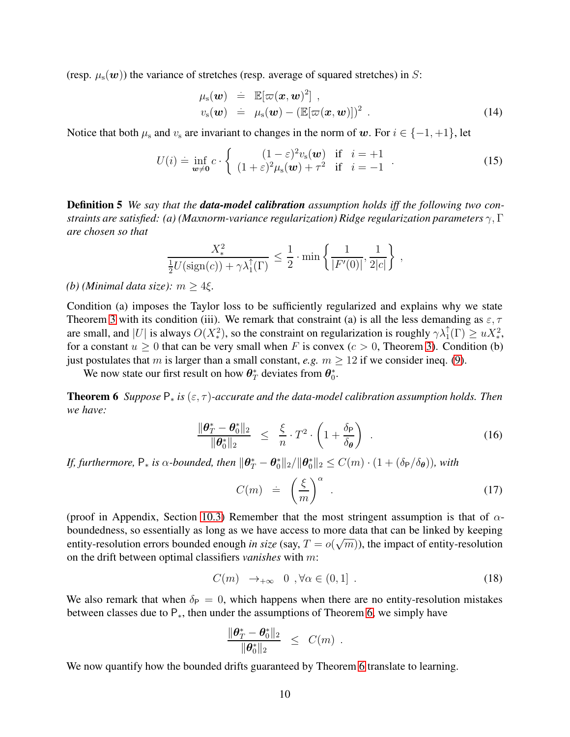(resp.  $\mu_s(\mathbf{w})$ ) the variance of stretches (resp. average of squared stretches) in S:

$$
\mu_{s}(\boldsymbol{w}) \doteq \mathbb{E}[\varpi(\boldsymbol{x}, \boldsymbol{w})^{2}],\nu_{s}(\boldsymbol{w}) \doteq \mu_{s}(\boldsymbol{w}) - (\mathbb{E}[\varpi(\boldsymbol{x}, \boldsymbol{w})])^{2}.
$$
\n(14)

Notice that both  $\mu_s$  and  $v_s$  are invariant to changes in the norm of w. For  $i \in \{-1, +1\}$ , let

$$
U(i) = \inf_{\mathbf{w}\neq\mathbf{0}} c \cdot \left\{ \begin{array}{rcl} (1-\varepsilon)^2 v_{\rm s}(\mathbf{w}) & \text{if} & i=+1\\ (1+\varepsilon)^2 \mu_{\rm s}(\mathbf{w}) + \tau^2 & \text{if} & i=-1 \end{array} \right. \tag{15}
$$

Definition 5 *We say that the data-model calibration assumption holds iff the following two constraints are satisfied: (a) (Maxnorm-variance regularization) Ridge regularization parameters* γ, Γ *are chosen so that*

$$
\frac{X_*^2}{\frac{1}{2}U(\text{sign}(c)) + \gamma \lambda_1^{\uparrow}(\Gamma)} \le \frac{1}{2} \cdot \min\left\{ \frac{1}{|F'(0)|}, \frac{1}{2|c|} \right\},\,
$$

#### *(b) (Minimal data size):*  $m \geq 4\xi$ .

Condition (a) imposes the Taylor loss to be sufficiently regularized and explains why we state Theorem [3](#page-7-0) with its condition (iii). We remark that constraint (a) is all the less demanding as  $\varepsilon, \tau$ are small, and |U| is always  $O(X_*^2)$ , so the constraint on regularization is roughly  $\gamma \lambda_1^{\uparrow}(\Gamma) \geq u X_*^2$ , for a constant  $u \ge 0$  that can be very small when F is convex ( $c > 0$ , Theorem [3\)](#page-7-0). Condition (b) just postulates that m is larger than a small constant, *e.g.*  $m \ge 12$  if we consider ineq. [\(9\)](#page-5-1).

We now state our first result on how  $\theta^*_T$  deviates from  $\theta^*_0$ .

**Theorem 6** *Suppose*  $P_*$  *is* ( $\varepsilon, \tau$ )-accurate and the data-model calibration assumption holds. Then *we have:*

<span id="page-9-0"></span>
$$
\frac{\|\boldsymbol{\theta}_T^* - \boldsymbol{\theta}_0^*\|_2}{\|\boldsymbol{\theta}_0^*\|_2} \leq \frac{\xi}{n} \cdot T^2 \cdot \left(1 + \frac{\delta_P}{\delta_{\boldsymbol{\theta}}}\right) \tag{16}
$$

*If, furthermore,*  $P_*$  *is*  $\alpha$ -bounded, then  $\|\theta^*_T - \theta^*_0\|_2 / \|\theta^*_0\|_2 \leq C(m) \cdot (1 + (\delta_P/\delta_\theta))$ , with

$$
C(m) = \left(\frac{\xi}{m}\right)^{\alpha} \tag{17}
$$

(proof in Appendix, Section [10.3\)](#page-27-1) Remember that the most stringent assumption is that of  $\alpha$ boundedness, so essentially as long as we have access to more data that can be linked by keeping entity-resolution errors bounded enough *in size* (say,  $T = o(\sqrt{m})$ ), the impact of entity-resolution on the drift between optimal classifiers *vanishes* with m:

$$
C(m) \rightarrow_{+\infty} 0, \forall \alpha \in (0,1]. \tag{18}
$$

We also remark that when  $\delta_P = 0$ , which happens when there are no entity-resolution mistakes between classes due to  $P_{*}$ , then under the assumptions of Theorem [6,](#page-9-0) we simply have

$$
\frac{\|\boldsymbol{\theta}_T^* - \boldsymbol{\theta}_0^*\|_2}{\|\boldsymbol{\theta}_0^*\|_2} \leq C(m) .
$$

We now quantify how the bounded drifts guaranteed by Theorem [6](#page-9-0) translate to learning.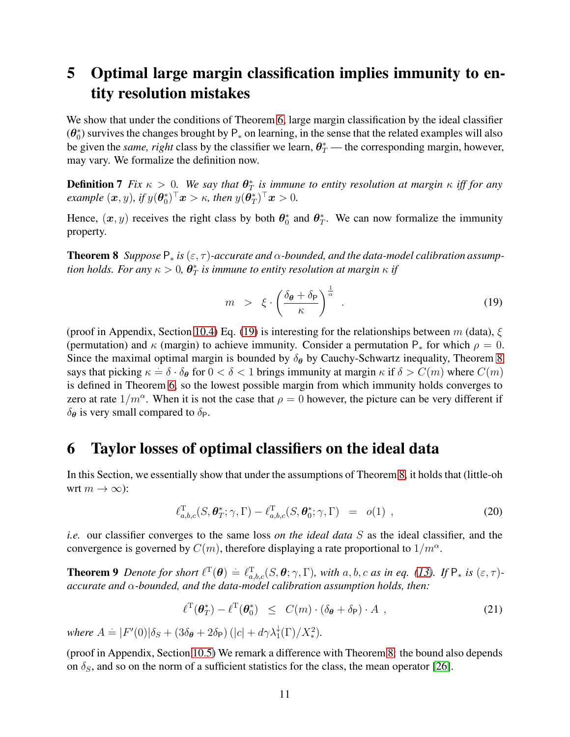# <span id="page-10-0"></span>5 Optimal large margin classification implies immunity to entity resolution mistakes

We show that under the conditions of Theorem [6,](#page-9-0) large margin classification by the ideal classifier  $(\theta_0^*)$  survives the changes brought by  $P_*$  on learning, in the sense that the related examples will also be given the *same, right* class by the classifier we learn,  $\theta^*_T$  — the corresponding margin, however, may vary. We formalize the definition now.

**Definition 7** Fix  $\kappa > 0$ . We say that  $\theta^*$  is immune to entity resolution at margin  $\kappa$  iff for any  $\textit{example } (\boldsymbol{x},y) \textit{, if } y(\boldsymbol{\theta}_0^*)^\top \boldsymbol{x} > \kappa \textit{, then } y(\boldsymbol{\theta}_T^*)^\top \boldsymbol{x} > 0 \textit{.}$ 

<span id="page-10-2"></span>Hence,  $(x, y)$  receives the right class by both  $\theta_0^*$  and  $\theta_T^*$ . We can now formalize the immunity property.

**Theorem 8** *Suppose*  $P_*$  *is* ( $\varepsilon$ ,  $\tau$ )*-accurate and*  $\alpha$ *-bounded, and the data-model calibration assump*tion holds. For any  $\kappa > 0$ ,  $\bm{\theta}_T^*$  is immune to entity resolution at margin  $\kappa$  if

<span id="page-10-4"></span><span id="page-10-1"></span>
$$
m > \xi \cdot \left(\frac{\delta_{\theta} + \delta_{\mathsf{P}}}{\kappa}\right)^{\frac{1}{\alpha}}.
$$
 (19)

(proof in Appendix, Section [10.4\)](#page-47-0) Eq. [\(19\)](#page-10-1) is interesting for the relationships between m (data),  $\xi$ (permutation) and  $\kappa$  (margin) to achieve immunity. Consider a permutation P<sub>\*</sub> for which  $\rho = 0$ . Since the maximal optimal margin is bounded by  $\delta_{\theta}$  by Cauchy-Schwartz inequality, Theorem [8](#page-10-2) says that picking  $\kappa = \delta \cdot \delta_{\theta}$  for  $0 < \delta < 1$  brings immunity at margin  $\kappa$  if  $\delta > C(m)$  where  $C(m)$ is defined in Theorem [6,](#page-9-0) so the lowest possible margin from which immunity holds converges to zero at rate  $1/m^{\alpha}$ . When it is not the case that  $\rho = 0$  however, the picture can be very different if  $\delta_{\theta}$  is very small compared to  $\delta_{P}$ .

### 6 Taylor losses of optimal classifiers on the ideal data

In this Section, we essentially show that under the assumptions of Theorem [8,](#page-10-2) it holds that (little-oh wrt  $m \to \infty$ ):

$$
\ell_{a,b,c}^{\mathrm{T}}(S,\boldsymbol{\theta}_{T}^{*};\gamma,\Gamma)-\ell_{a,b,c}^{\mathrm{T}}(S,\boldsymbol{\theta}_{0}^{*};\gamma,\Gamma) = o(1) ,
$$
\n(20)

*i.e.* our classifier converges to the same loss *on the ideal data* S as the ideal classifier, and the convergence is governed by  $C(m)$ , therefore displaying a rate proportional to  $1/m^{\alpha}$ .

**Theorem 9** Denote for short  $\ell^{\mathrm{T}}(\theta) \doteq \ell_{a,b,c}^{\mathrm{T}}(S,\theta;\gamma,\Gamma)$ , with a, b, c as in eq. [\(13\)](#page-7-1). If  $\mathsf{P}_*$  is  $(\varepsilon,\tau)$ *accurate and* α*-bounded, and the data-model calibration assumption holds, then:*

<span id="page-10-3"></span>
$$
\ell^{\mathrm{T}}(\boldsymbol{\theta}_{T}^{*}) - \ell^{\mathrm{T}}(\boldsymbol{\theta}_{0}^{*}) \leq C(m) \cdot (\delta_{\boldsymbol{\theta}} + \delta_{\mathrm{P}}) \cdot A , \qquad (21)
$$

where  $A \doteq |F'(0)|\delta_S + (3\delta_{\theta} + 2\delta_P) (|c| + d\gamma \lambda_1^{\downarrow}(\Gamma)/X_*^2)$ .

(proof in Appendix, Section [10.5\)](#page-48-0) We remark a difference with Theorem [8:](#page-10-2) the bound also depends on  $\delta_S$ , and so on the norm of a sufficient statistics for the class, the mean operator [\[26\]](#page-21-9).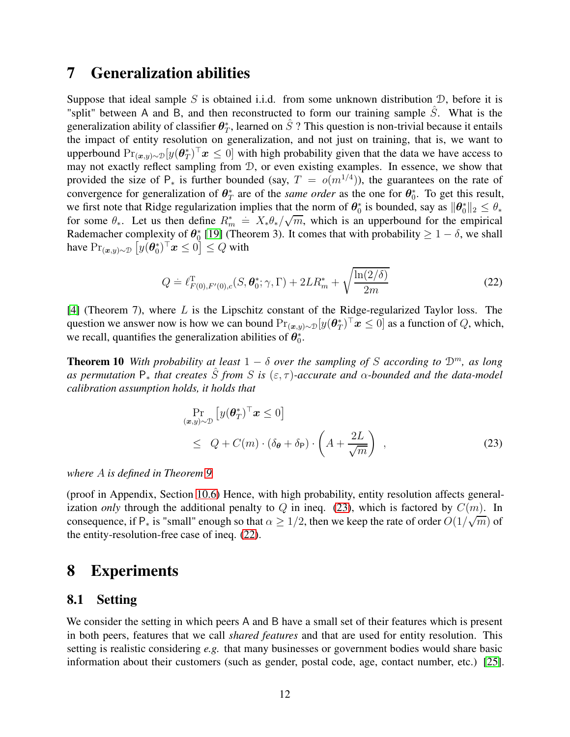### <span id="page-11-0"></span>7 Generalization abilities

Suppose that ideal sample S is obtained i.i.d. from some unknown distribution  $D$ , before it is "split" between A and B, and then reconstructed to form our training sample  $\hat{S}$ . What is the generalization ability of classifier  $\theta^*_T$ , learned on  $\hat{S}$ ? This question is non-trivial because it entails the impact of entity resolution on generalization, and not just on training, that is, we want to upperbound  $Pr_{(x,y)\sim \mathcal{D}}[y(\theta_T^*)^\top x \leq 0]$  with high probability given that the data we have access to may not exactly reflect sampling from D, or even existing examples. In essence, we show that provided the size of  $P_*$  is further bounded (say,  $T = o(m^{1/4})$ ), the guarantees on the rate of convergence for generalization of  $\theta^*_T$  are of the *same order* as the one for  $\theta^*_0$ . To get this result, we first note that Ridge regularization implies that the norm of  $\theta_0^*$  is bounded, say as  $\|\theta_0^*\|_2 \leq \theta_*$ for some  $\theta_*$ . Let us then define  $R_m^* = X_*\theta_*/\sqrt{m}$ , which is an upperbound for the empirical Rademacher complexity of  $\theta_0^*$  [\[19\]](#page-21-11) (Theorem 3). It comes that with probability  $\geq 1 - \delta$ , we shall have  $\Pr_{(\bm x, y) \sim \mathcal{D}} \left[ y(\bm \theta^*_0)^\top \bm x \leq 0 \right] \leq Q$  with

<span id="page-11-3"></span>
$$
Q = \ell_{F(0), F'(0), c}^{\mathrm{T}}(S, \boldsymbol{\theta}_{0}^{*}; \gamma, \Gamma) + 2LR_{m}^{*} + \sqrt{\frac{\ln(2/\delta)}{2m}}
$$
(22)

 $[4]$  (Theorem 7), where L is the Lipschitz constant of the Ridge-regularized Taylor loss. The question we answer now is how we can bound  $Pr_{(x,y)\sim \mathcal{D}}[y(\theta_T^*)^\top x \leq 0]$  as a function of Q, which, we recall, quantifies the generalization abilities of  $\theta_0^*$ .

**Theorem 10** *With probability at least*  $1 - \delta$  *over the sampling of* S *according to*  $\mathcal{D}^m$ *, as long as permutation*  $P_*$  *that creates*  $\hat{S}$  *from*  $S$  *is* ( $\varepsilon$ ,  $\tau$ )*-accurate and*  $\alpha$ *-bounded and the data-model calibration assumption holds, it holds that*

<span id="page-11-5"></span><span id="page-11-2"></span>
$$
\Pr_{(\mathbf{x}, y) \sim \mathcal{D}} \left[ y(\boldsymbol{\theta}_T^*)^\top \mathbf{x} \le 0 \right] \le Q + C(m) \cdot (\delta_{\boldsymbol{\theta}} + \delta_{\mathsf{P}}) \cdot \left( A + \frac{2L}{\sqrt{m}} \right) , \tag{23}
$$

*where* A *is defined in Theorem [9.](#page-10-3)*

(proof in Appendix, Section [10.6\)](#page-50-0) Hence, with high probability, entity resolution affects generalization *only* through the additional penalty to  $Q$  in ineq. [\(23\)](#page-11-2), which is factored by  $C(m)$ . In consequence, if  $P_*$  is "small" enough so that  $\alpha \ge 1/2$ , then we keep the rate of order  $O(1/\sqrt{m})$  of the entity-resolution-free case of ineq. [\(22\)](#page-11-3).

## <span id="page-11-1"></span>8 Experiments

### <span id="page-11-4"></span>8.1 Setting

We consider the setting in which peers A and B have a small set of their features which is present in both peers, features that we call *shared features* and that are used for entity resolution. This setting is realistic considering *e.g.* that many businesses or government bodies would share basic information about their customers (such as gender, postal code, age, contact number, etc.) [\[25\]](#page-21-8).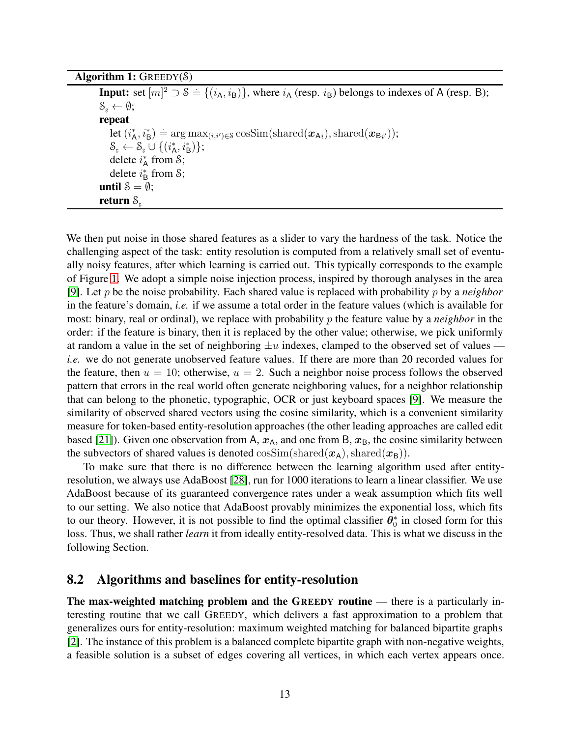<span id="page-12-0"></span>

|  | Algorithm 1: $G$ REEDY $(S)$ |
|--|------------------------------|
|  |                              |

**Input:** set  $[m]^2 \supset \mathcal{S} = \{(i_A, i_B)\}\$ , where  $i_A$  (resp.  $i_B$ ) belongs to indexes of A (resp. B);  $S_g \leftarrow \emptyset;$ repeat  $\det\left(i_{\mathsf{A}}^{*},i_{\mathsf{B}}^{*}\right) \doteq \arg\max_{(i,i')\in\mathcal{S}}\cos\text{Sim}(\text{shared}(\boldsymbol{x}_{\mathsf{A}i}),\text{shared}(\boldsymbol{x}_{\mathsf{B}i'}));$  $\mathcal{S}_{g} \leftarrow \mathcal{S}_{g} \cup \{(i_{\mathsf{A}}^{*}, i_{\mathsf{B}}^{*})\};$ delete  $i_A^*$  from  $\mathcal{S}$ ; delete  $i_{\text{B}}^*$  from S; until  $S = \emptyset$ ; return  $S_{\varphi}$ 

We then put noise in those shared features as a slider to vary the hardness of the task. Notice the challenging aspect of the task: entity resolution is computed from a relatively small set of eventually noisy features, after which learning is carried out. This typically corresponds to the example of Figure [1.](#page-2-0) We adopt a simple noise injection process, inspired by thorough analyses in the area [\[9\]](#page-20-11). Let p be the noise probability. Each shared value is replaced with probability p by a *neighbor* in the feature's domain, *i.e.* if we assume a total order in the feature values (which is available for most: binary, real or ordinal), we replace with probability p the feature value by a *neighbor* in the order: if the feature is binary, then it is replaced by the other value; otherwise, we pick uniformly at random a value in the set of neighboring  $\pm u$  indexes, clamped to the observed set of values *i.e.* we do not generate unobserved feature values. If there are more than 20 recorded values for the feature, then  $u = 10$ ; otherwise,  $u = 2$ . Such a neighbor noise process follows the observed pattern that errors in the real world often generate neighboring values, for a neighbor relationship that can belong to the phonetic, typographic, OCR or just keyboard spaces [\[9\]](#page-20-11). We measure the similarity of observed shared vectors using the cosine similarity, which is a convenient similarity measure for token-based entity-resolution approaches (the other leading approaches are called edit based [\[21\]](#page-21-12)). Given one observation from A,  $x_A$ , and one from B,  $x_B$ , the cosine similarity between the subvectors of shared values is denoted  $\cos\text{Sim}(\text{shared}(\boldsymbol{x}_A), \text{shared}(\boldsymbol{x}_B)).$ 

To make sure that there is no difference between the learning algorithm used after entityresolution, we always use AdaBoost [\[28\]](#page-21-13), run for 1000 iterations to learn a linear classifier. We use AdaBoost because of its guaranteed convergence rates under a weak assumption which fits well to our setting. We also notice that AdaBoost provably minimizes the exponential loss, which fits to our theory. However, it is not possible to find the optimal classifier  $\theta_0^*$  in closed form for this loss. Thus, we shall rather *learn* it from ideally entity-resolved data. This is what we discuss in the following Section.

#### 8.2 Algorithms and baselines for entity-resolution

The max-weighted matching problem and the GREEDY routine — there is a particularly interesting routine that we call GREEDY, which delivers a fast approximation to a problem that generalizes ours for entity-resolution: maximum weighted matching for balanced bipartite graphs [\[2\]](#page-20-12). The instance of this problem is a balanced complete bipartite graph with non-negative weights, a feasible solution is a subset of edges covering all vertices, in which each vertex appears once.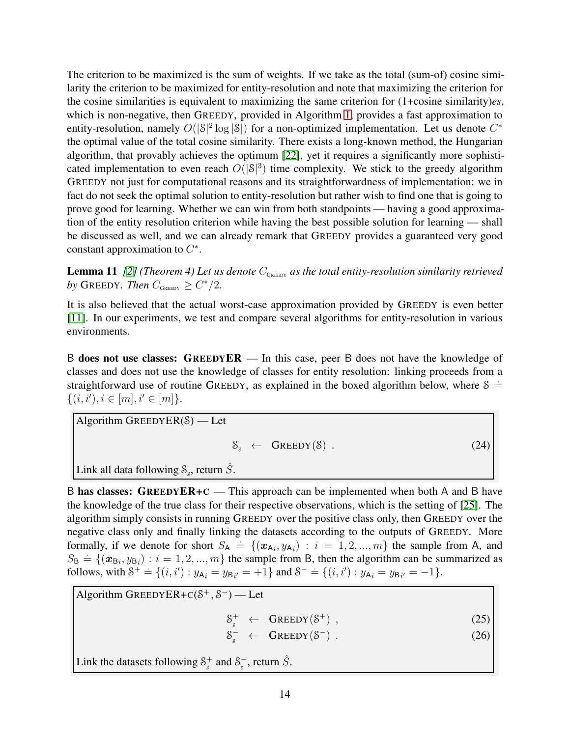The criterion to be maximized is the sum of weights. If we take as the total (sum-of) cosine similarity the criterion to be maximized for entity-resolution and note that maximizing the criterion for the cosine similarities is equivalent to maximizing the same criterion for (1+cosine similarity)*es*, which is non-negative, then GREEDY, provided in Algorithm [1,](#page-12-0) provides a fast approximation to entity-resolution, namely  $O(|\mathcal{S}|^2 \log |\mathcal{S}|)$  for a non-optimized implementation. Let us denote  $C^*$ the optimal value of the total cosine similarity. There exists a long-known method, the Hungarian algorithm, that provably achieves the optimum [\[22\]](#page-21-14), yet it requires a significantly more sophisticated implementation to even reach  $O(|\mathcal{S}|^3)$  time complexity. We stick to the greedy algorithm GREEDY not just for computational reasons and its straightforwardness of implementation: we in fact do not seek the optimal solution to entity-resolution but rather wish to find one that is going to prove good for learning. Whether we can win from both standpoints — having a good approximation of the entity resolution criterion while having the best possible solution for learning — shall be discussed as well, and we can already remark that GREEDY provides a guaranteed very good constant approximation to  $C^*$ .

**Lemma 11** *[\[2\]](#page-20-12)* (Theorem 4) Let us denote  $C_{\text{GreenY}}$  as the total entity-resolution similarity retrieved by GREEDY. Then  $C_{\text{Green}} \ge C^*/2$ .

It is also believed that the actual worst-case approximation provided by GREEDY is even better [\[11\]](#page-20-13). In our experiments, we test and compare several algorithms for entity-resolution in various environments.

B does not use classes: GREEDYER — In this case, peer B does not have the knowledge of classes and does not use the knowledge of classes for entity resolution: linking proceeds from a straightforward use of routine GREEDY, as explained in the boxed algorithm below, where  $\delta =$  $\{(i, i'), i \in [m], i' \in [m]\}.$ 

Algorithm GREEDYER(S) — Let

$$
\mathcal{S}_{g} \leftarrow \text{GREEDY}(\mathcal{S}) \tag{24}
$$

Link all data following  $\mathcal{S}_g$ , return  $\hat{S}$ .

B has classes:  $G$ REEDY $ER+C$  — This approach can be implemented when both A and B have the knowledge of the true class for their respective observations, which is the setting of [\[25\]](#page-21-8). The algorithm simply consists in running GREEDY over the positive class only, then GREEDY over the negative class only and finally linking the datasets according to the outputs of GREEDY. More formally, if we denote for short  $S_A = \{ (x_{Ai}, y_{Ai}) : i = 1, 2, ..., m \}$  the sample from A, and  $S_B = \{(\mathbf{x}_{B_i}, y_{B_i}) : i = 1, 2, ..., m\}$  the sample from B, then the algorithm can be summarized as follows, with  $S^+ = \{(i, i') : y_{A_i} = y_{B_{i'}} = +1\}$  and  $S^- = \{(i, i') : y_{A_i} = y_{B_{i'}} = -1\}$ .

Algorithm GREEDYER+ $C(S^+, S^-)$  — Let

 $S_{g}^{+} \leftarrow \text{GREEDY}(S^{+})$ , (25)

 $S_{g}^{-} \leftarrow$  GREEDY(S<sup>-</sup> ).  $(26)$ 

Link the datasets following  $S_{g}^{+}$  and  $S_{g}^{-}$ , return  $\hat{S}$ .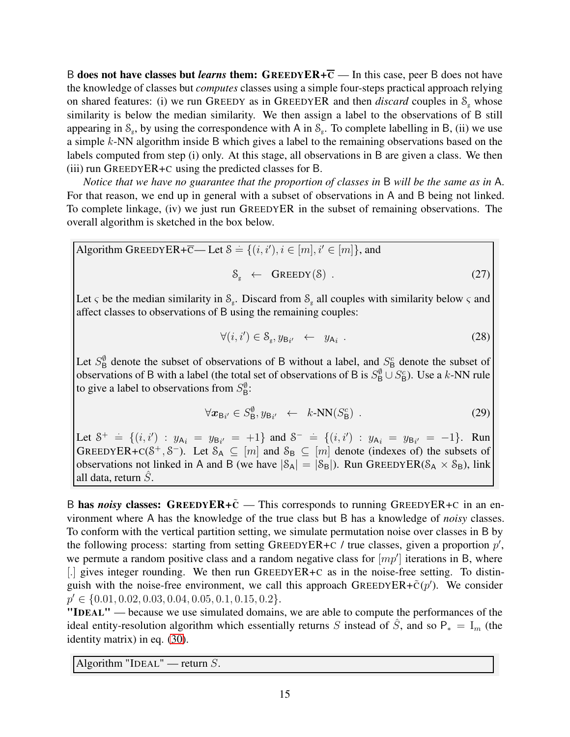B does not have classes but *learns* them:  $G$ REEDYER+ $\overline{C}$  — In this case, peer B does not have the knowledge of classes but *computes* classes using a simple four-steps practical approach relying on shared features: (i) we run GREEDY as in GREEDYER and then *discard* couples in  $S<sub>g</sub>$  whose similarity is below the median similarity. We then assign a label to the observations of B still appearing in  $S_g$ , by using the correspondence with A in  $S_g$ . To complete labelling in B, (ii) we use a simple k-NN algorithm inside B which gives a label to the remaining observations based on the labels computed from step (i) only. At this stage, all observations in B are given a class. We then (iii) run GREEDYER+C using the predicted classes for B.

*Notice that we have no guarantee that the proportion of classes in* B *will be the same as in* A. For that reason, we end up in general with a subset of observations in A and B being not linked. To complete linkage, (iv) we just run GREEDYER in the subset of remaining observations. The overall algorithm is sketched in the box below.

Algorithm GREEDYER+ $\overline{C}$ — Let  $\delta = \{(i, i'), i \in [m], i' \in [m]\}$ , and

$$
\mathcal{S}_{g} \leftarrow \text{GREEDY}(\mathcal{S}) \tag{27}
$$

Let  $\varsigma$  be the median similarity in  $\mathcal{S}_{g}$ . Discard from  $\mathcal{S}_{g}$  all couples with similarity below  $\varsigma$  and affect classes to observations of B using the remaining couples:

$$
\forall (i, i') \in S_{\rm g}, y_{\rm Bi'} \leftarrow y_{\rm Ai} \tag{28}
$$

Let  $S^{\emptyset}_{\text{B}}$  denote the subset of observations of B without a label, and  $S^c_{\text{B}}$  denote the subset of observations of B with a label (the total set of observations of B is  $S^{\emptyset}_{\mathsf{B}} \cup S^c_{\mathsf{B}}$ ). Use a k-NN rule to give a label to observations from  $S^{\emptyset}_{\mathsf{B}}$ :

$$
\forall \mathbf{x}_{\mathsf{B}_{i'}} \in S^{\emptyset}_{\mathsf{B}}, y_{\mathsf{B}_{i'}} \leftarrow k\text{-NN}(S^c_{\mathsf{B}}) \tag{29}
$$

Let  $S^+ = \{(i, i') : y_{A_i} = y_{B_{i'}} = +1\}$  and  $S^- = \{(i, i') : y_{A_i} = y_{B_{i'}} = -1\}$ . Run GREEDYER+C( $S^+$ ,  $S^-$ ). Let  $S_A \subseteq [m]$  and  $S_B \subseteq [m]$  denote (indexes of) the subsets of observations not linked in A and B (we have  $|\mathcal{S}_A| = |\mathcal{S}_B|$ ). Run GREEDYER( $\mathcal{S}_A \times \mathcal{S}_B$ ), link all data, return  $\tilde{S}$ .

B has *noisy* classes: GREEDYER+ $\tilde{C}$  — This corresponds to running GREEDYER+C in an environment where A has the knowledge of the true class but B has a knowledge of *noisy* classes. To conform with the vertical partition setting, we simulate permutation noise over classes in B by the following process: starting from setting GREEDYER+C / true classes, given a proportion  $p'$ , we permute a random positive class and a random negative class for  $[mp']$  iterations in B, where [.] gives integer rounding. We then run GREEDYER+C as in the noise-free setting. To distinguish with the noise-free environment, we call this approach GREEDYER+ $\tilde{c}(p')$ . We consider  $p' \in \{0.01, 0.02, 0.03, 0.04, 0.05, 0.1, 0.15, 0.2\}.$ 

"IDEAL" — because we use simulated domains, we are able to compute the performances of the ideal entity-resolution algorithm which essentially returns S instead of  $\hat{S}$ , and so P<sup>\*</sup> = I<sub>m</sub> (the identity matrix) in eq. [\(30\)](#page-15-0).

Algorithm "IDEAL" — return  $S$ .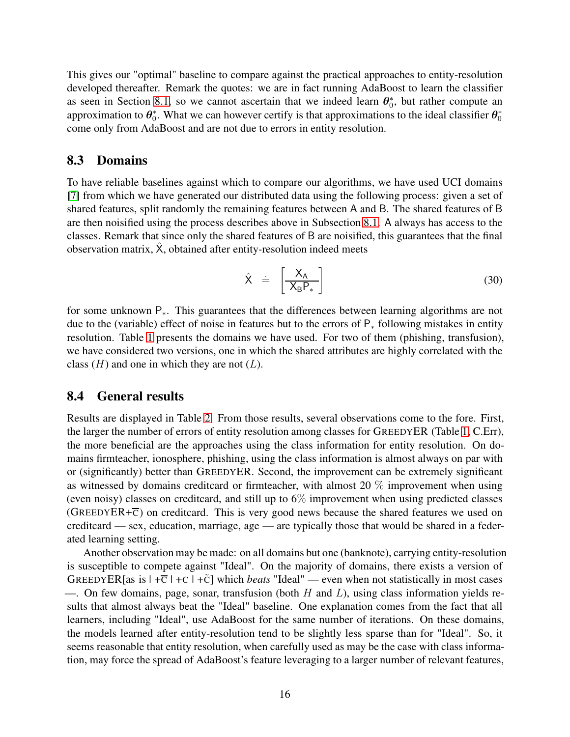This gives our "optimal" baseline to compare against the practical approaches to entity-resolution developed thereafter. Remark the quotes: we are in fact running AdaBoost to learn the classifier as seen in Section [8.1,](#page-11-4) so we cannot ascertain that we indeed learn  $\theta_0^*$ , but rather compute an approximation to  $\theta_0^*$ . What we can however certify is that approximations to the ideal classifier  $\theta_0^*$ come only from AdaBoost and are not due to errors in entity resolution.

#### 8.3 Domains

To have reliable baselines against which to compare our algorithms, we have used UCI domains [\[7\]](#page-20-14) from which we have generated our distributed data using the following process: given a set of shared features, split randomly the remaining features between A and B. The shared features of B are then noisified using the process describes above in Subsection [8.1.](#page-11-4) A always has access to the classes. Remark that since only the shared features of B are noisified, this guarantees that the final observation matrix,  $\hat{X}$ , obtained after entity-resolution indeed meets

<span id="page-15-0"></span>
$$
\hat{X} = \left[\frac{X_A}{X_B P_*}\right] \tag{30}
$$

for some unknown P∗. This guarantees that the differences between learning algorithms are not due to the (variable) effect of noise in features but to the errors of P<sup>∗</sup> following mistakes in entity resolution. Table [1](#page-16-0) presents the domains we have used. For two of them (phishing, transfusion), we have considered two versions, one in which the shared attributes are highly correlated with the class  $(H)$  and one in which they are not  $(L)$ .

#### 8.4 General results

Results are displayed in Table [2.](#page-22-0) From those results, several observations come to the fore. First, the larger the number of errors of entity resolution among classes for GREEDYER (Table [1,](#page-16-0) C.Err), the more beneficial are the approaches using the class information for entity resolution. On domains firmteacher, ionosphere, phishing, using the class information is almost always on par with or (significantly) better than GREEDYER. Second, the improvement can be extremely significant as witnessed by domains creditcard or firmteacher, with almost 20 % improvement when using (even noisy) classes on creditcard, and still up to 6% improvement when using predicted classes (GREEDYER+ $\overline{c}$ ) on creditcard. This is very good news because the shared features we used on creditcard — sex, education, marriage, age — are typically those that would be shared in a federated learning setting.

Another observation may be made: on all domains but one (banknote), carrying entity-resolution is susceptible to compete against "Ideal". On the majority of domains, there exists a version of GREEDYER[as is  $|+\overline{C}|+C|+\tilde{C}$ ] which *beats* "Ideal" — even when not statistically in most cases —. On few domains, page, sonar, transfusion (both  $H$  and  $L$ ), using class information yields results that almost always beat the "Ideal" baseline. One explanation comes from the fact that all learners, including "Ideal", use AdaBoost for the same number of iterations. On these domains, the models learned after entity-resolution tend to be slightly less sparse than for "Ideal". So, it seems reasonable that entity resolution, when carefully used as may be the case with class information, may force the spread of AdaBoost's feature leveraging to a larger number of relevant features,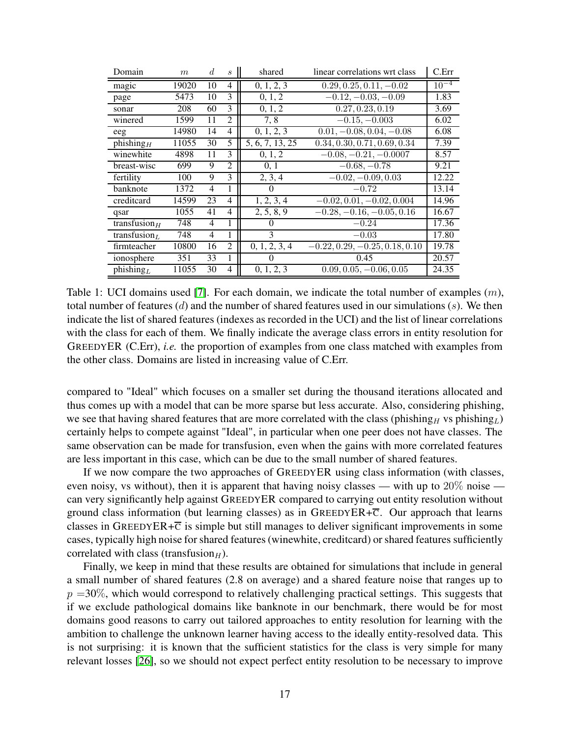| Domain                                | m     | d  | S              | shared          | linear correlations wrt class    | C. Err    |
|---------------------------------------|-------|----|----------------|-----------------|----------------------------------|-----------|
| magic                                 | 19020 | 10 | 4              | 0, 1, 2, 3      | $0.29, 0.25, 0.11, -0.02$        | $10^{-4}$ |
| page                                  | 5473  | 10 | 3              | 0, 1, 2         | $-0.12, -0.03, -0.09$            | 1.83      |
| sonar                                 | 208   | 60 | 3              | 0, 1, 2         | 0.27, 0.23, 0.19                 | 3.69      |
| winered                               | 1599  | 11 | 2              | 7,8             | $-0.\overline{15,-0.003}$        | 6.02      |
| eeg                                   | 14980 | 14 | $\overline{4}$ | 0, 1, 2, 3      | $0.01, -0.08, 0.04, -0.08$       | 6.08      |
| $\overline{\text{phishing}}_H$        | 11055 | 30 | 5              | 5, 6, 7, 13, 25 | 0.34, 0.30, 0.71, 0.69, 0.34     | 7.39      |
| winewhite                             | 4898  | 11 | 3              | 0, 1, 2         | $-0.08, -0.21, -0.0007$          | 8.57      |
| breast-wisc                           | 699   | 9  | $\overline{2}$ | 0, 1            | $-0.68, -0.78$                   | 9.21      |
| fertility                             | 100   | 9  | 3              | 2, 3, 4         | $-0.02, -0.09, 0.03$             | 12.22     |
| banknote                              | 1372  | 4  | 1              | $\theta$        | $-0.72$                          | 13.14     |
| creditcard                            | 14599 | 23 | 4              | 1, 2, 3, 4      | $-0.02, 0.01, -0.02, 0.004$      | 14.96     |
| qsar                                  | 1055  | 41 | 4              | 2, 5, 8, 9      | $-0.28, -0.16, -0.05, 0.16$      | 16.67     |
| transfusion $H$                       | 748   | 4  | 1              | 0               | $-0.24$                          | 17.36     |
| transfusion <sub><math>L</math></sub> | 748   | 4  | 1              | 3               | $-0.03$                          | 17.80     |
| firmteacher                           | 10800 | 16 | 2              | 0, 1, 2, 3, 4   | $-0.22, 0.29, -0.25, 0.18, 0.10$ | 19.78     |
| ionosphere                            | 351   | 33 | 1              | $\theta$        | 0.45                             | 20.57     |
| phishing <sub>L</sub>                 | 11055 | 30 | 4              | 0, 1, 2, 3      | $0.09, 0.05, -0.06, 0.05$        | 24.35     |

<span id="page-16-0"></span>Table 1: UCI domains used [\[7\]](#page-20-14). For each domain, we indicate the total number of examples  $(m)$ , total number of features (d) and the number of shared features used in our simulations (s). We then indicate the list of shared features (indexes as recorded in the UCI) and the list of linear correlations with the class for each of them. We finally indicate the average class errors in entity resolution for GREEDYER (C.Err), *i.e.* the proportion of examples from one class matched with examples from the other class. Domains are listed in increasing value of C.Err.

compared to "Ideal" which focuses on a smaller set during the thousand iterations allocated and thus comes up with a model that can be more sparse but less accurate. Also, considering phishing, we see that having shared features that are more correlated with the class (phishing $_H$  vs phishing<sub>L</sub>) certainly helps to compete against "Ideal", in particular when one peer does not have classes. The same observation can be made for transfusion, even when the gains with more correlated features are less important in this case, which can be due to the small number of shared features.

If we now compare the two approaches of GREEDYER using class information (with classes, even noisy, vs without), then it is apparent that having noisy classes — with up to 20% noise can very significantly help against GREEDYER compared to carrying out entity resolution without ground class information (but learning classes) as in GREEDYER+ $\overline{c}$ . Our approach that learns classes in GREEDYER+ $\overline{c}$  is simple but still manages to deliver significant improvements in some cases, typically high noise for shared features (winewhite, creditcard) or shared features sufficiently correlated with class (transfusion $_H$ ).

Finally, we keep in mind that these results are obtained for simulations that include in general a small number of shared features (2.8 on average) and a shared feature noise that ranges up to  $p = 30\%$ , which would correspond to relatively challenging practical settings. This suggests that if we exclude pathological domains like banknote in our benchmark, there would be for most domains good reasons to carry out tailored approaches to entity resolution for learning with the ambition to challenge the unknown learner having access to the ideally entity-resolved data. This is not surprising: it is known that the sufficient statistics for the class is very simple for many relevant losses [\[26\]](#page-21-9), so we should not expect perfect entity resolution to be necessary to improve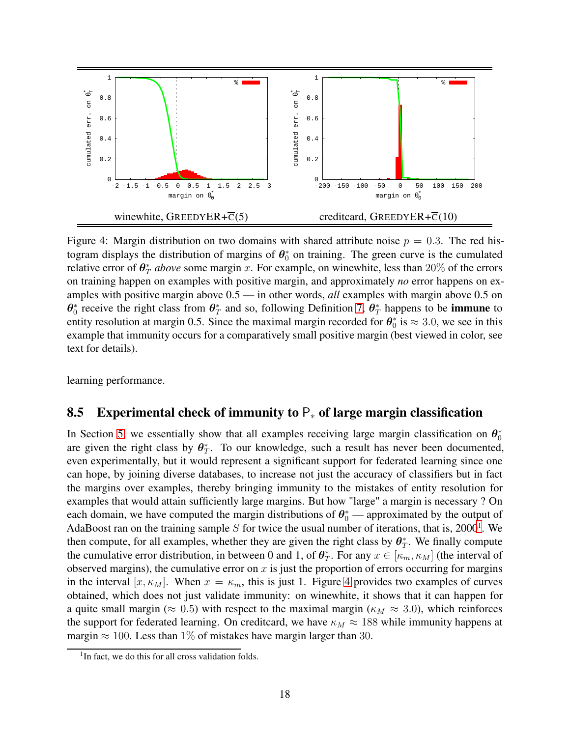

<span id="page-17-1"></span>Figure 4: Margin distribution on two domains with shared attribute noise  $p = 0.3$ . The red histogram displays the distribution of margins of  $\theta_0^*$  on training. The green curve is the cumulated relative error of  $\theta_T^*$  *above* some margin x. For example, on winewhite, less than 20% of the errors on training happen on examples with positive margin, and approximately *no* error happens on examples with positive margin above 0.5 — in other words, *all* examples with margin above 0.5 on  $\theta_0^*$  receive the right class from  $\theta_T^*$  and so, following Definition [7,](#page-10-4)  $\theta_T^*$  happens to be **immune** to entity resolution at margin 0.5. Since the maximal margin recorded for  $\theta_0^*$  is  $\approx 3.0$ , we see in this example that immunity occurs for a comparatively small positive margin (best viewed in color, see text for details).

learning performance.

### 8.5 Experimental check of immunity to  $P_*$  of large margin classification

In Section [5,](#page-10-0) we essentially show that all examples receiving large margin classification on  $\theta_0^*$ are given the right class by  $\theta_T^*$ . To our knowledge, such a result has never been documented, even experimentally, but it would represent a significant support for federated learning since one can hope, by joining diverse databases, to increase not just the accuracy of classifiers but in fact the margins over examples, thereby bringing immunity to the mistakes of entity resolution for examples that would attain sufficiently large margins. But how "large" a margin is necessary ? On each domain, we have computed the margin distributions of  $\theta_0^*$  — approximated by the output of AdaBoost ran on the training sample S for twice the usual number of iterations, that is, 2000<sup>[1](#page-17-0)</sup>. We then compute, for all examples, whether they are given the right class by  $\theta^*_T$ . We finally compute the cumulative error distribution, in between 0 and 1, of  $\theta_T^*$ . For any  $x \in [\kappa_m, \kappa_M]$  (the interval of observed margins), the cumulative error on  $x$  is just the proportion of errors occurring for margins in the interval  $[x, \kappa_M]$ . When  $x = \kappa_m$ , this is just 1. Figure [4](#page-17-1) provides two examples of curves obtained, which does not just validate immunity: on winewhite, it shows that it can happen for a quite small margin ( $\approx 0.5$ ) with respect to the maximal margin ( $\kappa_M \approx 3.0$ ), which reinforces the support for federated learning. On creditcard, we have  $\kappa_M \approx 188$  while immunity happens at margin  $\approx 100$ . Less than 1% of mistakes have margin larger than 30.

<span id="page-17-0"></span><sup>&</sup>lt;sup>1</sup>In fact, we do this for all cross validation folds.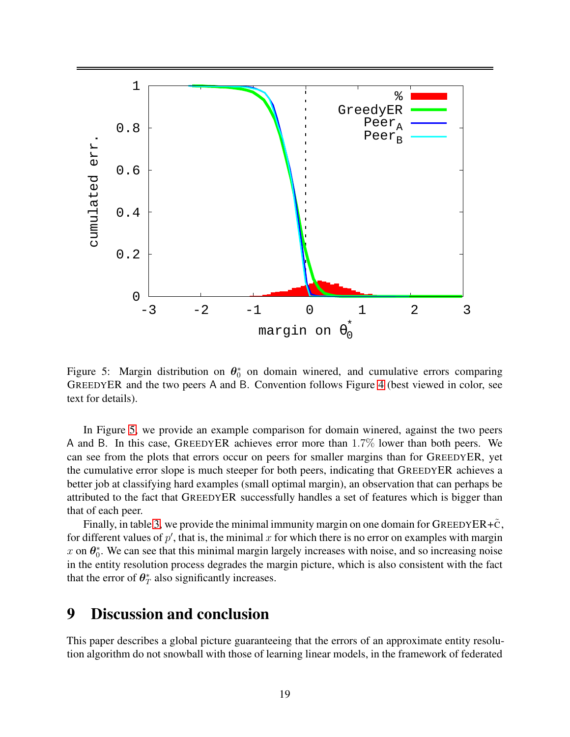

<span id="page-18-0"></span>Figure 5: Margin distribution on  $\theta_0^*$  on domain winered, and cumulative errors comparing GREEDYER and the two peers A and B. Convention follows Figure [4](#page-17-1) (best viewed in color, see text for details).

In Figure [5,](#page-18-0) we provide an example comparison for domain winered, against the two peers A and B. In this case, GREEDYER achieves error more than 1.7% lower than both peers. We can see from the plots that errors occur on peers for smaller margins than for GREEDYER, yet the cumulative error slope is much steeper for both peers, indicating that GREEDYER achieves a better job at classifying hard examples (small optimal margin), an observation that can perhaps be attributed to the fact that GREEDYER successfully handles a set of features which is bigger than that of each peer.

Finally, in table [3,](#page-22-1) we provide the minimal immunity margin on one domain for GREEDYER+ $\tilde{c}$ , for different values of  $p'$ , that is, the minimal x for which there is no error on examples with margin x on  $\theta_0^*$ . We can see that this minimal margin largely increases with noise, and so increasing noise in the entity resolution process degrades the margin picture, which is also consistent with the fact that the error of  $\theta_T^*$  also significantly increases.

# 9 Discussion and conclusion

This paper describes a global picture guaranteeing that the errors of an approximate entity resolution algorithm do not snowball with those of learning linear models, in the framework of federated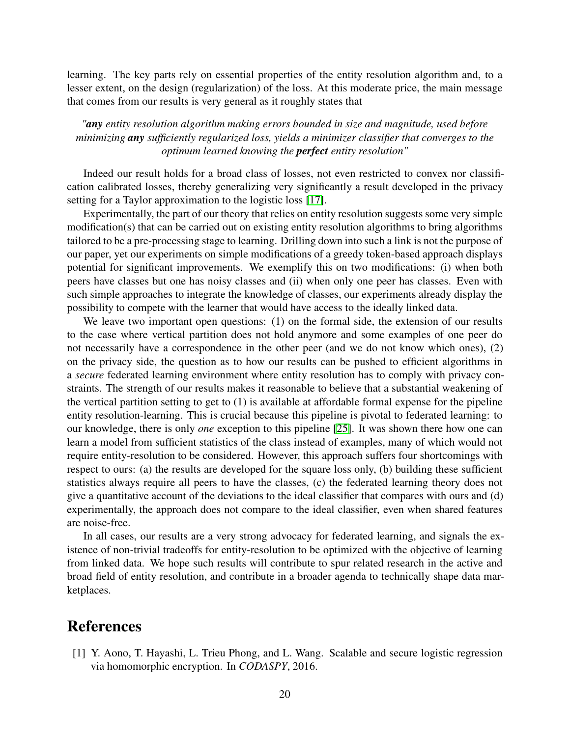learning. The key parts rely on essential properties of the entity resolution algorithm and, to a lesser extent, on the design (regularization) of the loss. At this moderate price, the main message that comes from our results is very general as it roughly states that

### *"any entity resolution algorithm making errors bounded in size and magnitude, used before minimizing any sufficiently regularized loss, yields a minimizer classifier that converges to the optimum learned knowing the perfect entity resolution"*

Indeed our result holds for a broad class of losses, not even restricted to convex nor classification calibrated losses, thereby generalizing very significantly a result developed in the privacy setting for a Taylor approximation to the logistic loss [\[17\]](#page-20-15).

Experimentally, the part of our theory that relies on entity resolution suggests some very simple modification(s) that can be carried out on existing entity resolution algorithms to bring algorithms tailored to be a pre-processing stage to learning. Drilling down into such a link is not the purpose of our paper, yet our experiments on simple modifications of a greedy token-based approach displays potential for significant improvements. We exemplify this on two modifications: (i) when both peers have classes but one has noisy classes and (ii) when only one peer has classes. Even with such simple approaches to integrate the knowledge of classes, our experiments already display the possibility to compete with the learner that would have access to the ideally linked data.

We leave two important open questions: (1) on the formal side, the extension of our results to the case where vertical partition does not hold anymore and some examples of one peer do not necessarily have a correspondence in the other peer (and we do not know which ones), (2) on the privacy side, the question as to how our results can be pushed to efficient algorithms in a *secure* federated learning environment where entity resolution has to comply with privacy constraints. The strength of our results makes it reasonable to believe that a substantial weakening of the vertical partition setting to get to (1) is available at affordable formal expense for the pipeline entity resolution-learning. This is crucial because this pipeline is pivotal to federated learning: to our knowledge, there is only *one* exception to this pipeline [\[25\]](#page-21-8). It was shown there how one can learn a model from sufficient statistics of the class instead of examples, many of which would not require entity-resolution to be considered. However, this approach suffers four shortcomings with respect to ours: (a) the results are developed for the square loss only, (b) building these sufficient statistics always require all peers to have the classes, (c) the federated learning theory does not give a quantitative account of the deviations to the ideal classifier that compares with ours and (d) experimentally, the approach does not compare to the ideal classifier, even when shared features are noise-free.

In all cases, our results are a very strong advocacy for federated learning, and signals the existence of non-trivial tradeoffs for entity-resolution to be optimized with the objective of learning from linked data. We hope such results will contribute to spur related research in the active and broad field of entity resolution, and contribute in a broader agenda to technically shape data marketplaces.

## <span id="page-19-0"></span>References

[1] Y. Aono, T. Hayashi, L. Trieu Phong, and L. Wang. Scalable and secure logistic regression via homomorphic encryption. In *CODASPY*, 2016.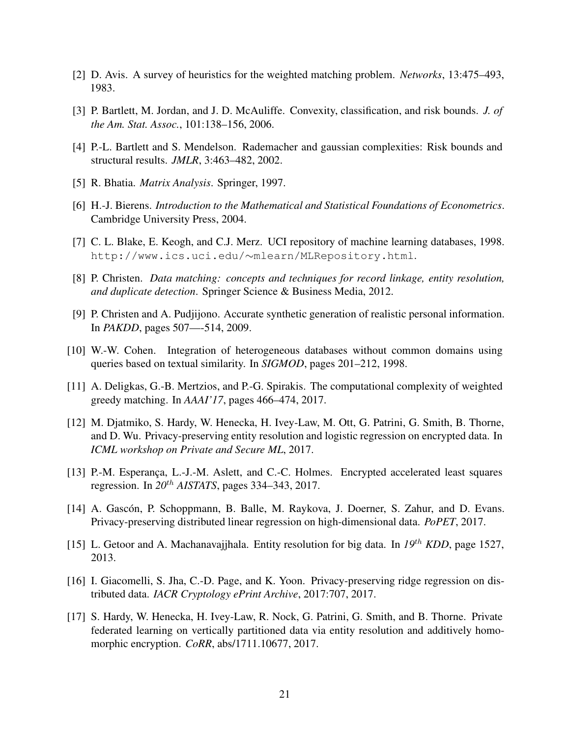- <span id="page-20-12"></span><span id="page-20-2"></span>[2] D. Avis. A survey of heuristics for the weighted matching problem. *Networks*, 13:475–493, 1983.
- <span id="page-20-10"></span>[3] P. Bartlett, M. Jordan, and J. D. McAuliffe. Convexity, classification, and risk bounds. *J. of the Am. Stat. Assoc.*, 101:138–156, 2006.
- <span id="page-20-7"></span>[4] P.-L. Bartlett and S. Mendelson. Rademacher and gaussian complexities: Risk bounds and structural results. *JMLR*, 3:463–482, 2002.
- <span id="page-20-6"></span>[5] R. Bhatia. *Matrix Analysis*. Springer, 1997.
- <span id="page-20-14"></span>[6] H.-J. Bierens. *Introduction to the Mathematical and Statistical Foundations of Econometrics*. Cambridge University Press, 2004.
- <span id="page-20-3"></span>[7] C. L. Blake, E. Keogh, and C.J. Merz. UCI repository of machine learning databases, 1998. http://www.ics.uci.edu/∼mlearn/MLRepository.html.
- <span id="page-20-11"></span>[8] P. Christen. *Data matching: concepts and techniques for record linkage, entity resolution, and duplicate detection*. Springer Science & Business Media, 2012.
- <span id="page-20-5"></span>[9] P. Christen and A. Pudjijono. Accurate synthetic generation of realistic personal information. In *PAKDD*, pages 507—-514, 2009.
- <span id="page-20-13"></span>[10] W.-W. Cohen. Integration of heterogeneous databases without common domains using queries based on textual similarity. In *SIGMOD*, pages 201–212, 1998.
- <span id="page-20-0"></span>[11] A. Deligkas, G.-B. Mertzios, and P.-G. Spirakis. The computational complexity of weighted greedy matching. In *AAAI'17*, pages 466–474, 2017.
- [12] M. Djatmiko, S. Hardy, W. Henecka, H. Ivey-Law, M. Ott, G. Patrini, G. Smith, B. Thorne, and D. Wu. Privacy-preserving entity resolution and logistic regression on encrypted data. In *ICML workshop on Private and Secure ML*, 2017.
- <span id="page-20-8"></span>[13] P.-M. Esperança, L.-J.-M. Aslett, and C.-C. Holmes. Encrypted accelerated least squares regression. In *20*th *AISTATS*, pages 334–343, 2017.
- <span id="page-20-1"></span>[14] A. Gascón, P. Schoppmann, B. Balle, M. Raykova, J. Doerner, S. Zahur, and D. Evans. Privacy-preserving distributed linear regression on high-dimensional data. *PoPET*, 2017.
- <span id="page-20-9"></span><span id="page-20-4"></span>[15] L. Getoor and A. Machanavajjhala. Entity resolution for big data. In *19*th *KDD*, page 1527, 2013.
- [16] I. Giacomelli, S. Jha, C.-D. Page, and K. Yoon. Privacy-preserving ridge regression on distributed data. *IACR Cryptology ePrint Archive*, 2017:707, 2017.
- <span id="page-20-15"></span>[17] S. Hardy, W. Henecka, H. Ivey-Law, R. Nock, G. Patrini, G. Smith, and B. Thorne. Private federated learning on vertically partitioned data via entity resolution and additively homomorphic encryption. *CoRR*, abs/1711.10677, 2017.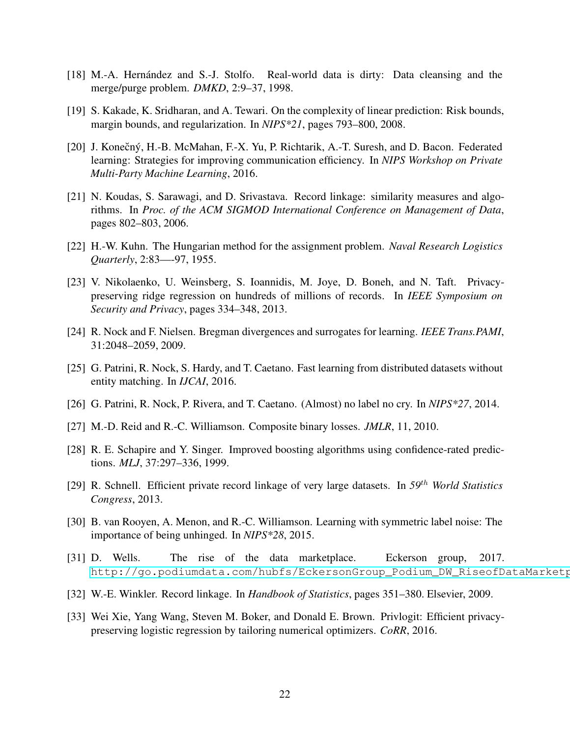- <span id="page-21-11"></span><span id="page-21-5"></span>[18] M.-A. Hernández and S.-J. Stolfo. Real-world data is dirty: Data cleansing and the merge/purge problem. *DMKD*, 2:9–37, 1998.
- <span id="page-21-1"></span>[19] S. Kakade, K. Sridharan, and A. Tewari. On the complexity of linear prediction: Risk bounds, margin bounds, and regularization. In *NIPS\*21*, pages 793–800, 2008.
- [20] J. Konečný, H.-B. McMahan, F.-X. Yu, P. Richtarik, A.-T. Suresh, and D. Bacon. Federated learning: Strategies for improving communication efficiency. In *NIPS Workshop on Private Multi-Party Machine Learning*, 2016.
- <span id="page-21-12"></span>[21] N. Koudas, S. Sarawagi, and D. Srivastava. Record linkage: similarity measures and algorithms. In *Proc. of the ACM SIGMOD International Conference on Management of Data*, pages 802–803, 2006.
- <span id="page-21-14"></span><span id="page-21-10"></span>[22] H.-W. Kuhn. The Hungarian method for the assignment problem. *Naval Research Logistics Quarterly*, 2:83—-97, 1955.
- [23] V. Nikolaenko, U. Weinsberg, S. Ioannidis, M. Joye, D. Boneh, and N. Taft. Privacypreserving ridge regression on hundreds of millions of records. In *IEEE Symposium on Security and Privacy*, pages 334–348, 2013.
- <span id="page-21-8"></span><span id="page-21-3"></span>[24] R. Nock and F. Nielsen. Bregman divergences and surrogates for learning. *IEEE Trans.PAMI*, 31:2048–2059, 2009.
- [25] G. Patrini, R. Nock, S. Hardy, and T. Caetano. Fast learning from distributed datasets without entity matching. In *IJCAI*, 2016.
- <span id="page-21-9"></span><span id="page-21-4"></span>[26] G. Patrini, R. Nock, P. Rivera, and T. Caetano. (Almost) no label no cry. In *NIPS\*27*, 2014.
- <span id="page-21-13"></span>[27] M.-D. Reid and R.-C. Williamson. Composite binary losses. *JMLR*, 11, 2010.
- [28] R. E. Schapire and Y. Singer. Improved boosting algorithms using confidence-rated predictions. *MLJ*, 37:297–336, 1999.
- <span id="page-21-6"></span>[29] R. Schnell. Efficient private record linkage of very large datasets. In *59*th *World Statistics Congress*, 2013.
- <span id="page-21-2"></span>[30] B. van Rooyen, A. Menon, and R.-C. Williamson. Learning with symmetric label noise: The importance of being unhinged. In *NIPS\*28*, 2015.
- <span id="page-21-7"></span><span id="page-21-0"></span>[31] D. Wells. The rise of the data marketplace. Eckerson group, 2017. http://go.podiumdata.com/hubfs/EckersonGroup\_Podium\_DW\_RiseofDataMarketp
- [32] W.-E. Winkler. Record linkage. In *Handbook of Statistics*, pages 351–380. Elsevier, 2009.
- [33] Wei Xie, Yang Wang, Steven M. Boker, and Donald E. Brown. Privlogit: Efficient privacypreserving logistic regression by tailoring numerical optimizers. *CoRR*, 2016.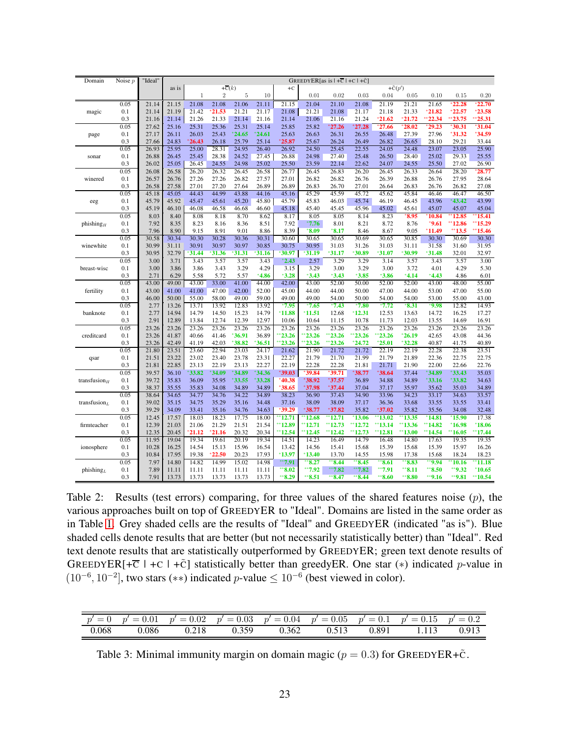| Domain                                | Noise $p$  | "Ideal"        |                | GREEDYER[as is $ +\overline{C} +C +\tilde{C} $ |                |                |                |                |                |                 |                  |                |                |                |                |                |
|---------------------------------------|------------|----------------|----------------|------------------------------------------------|----------------|----------------|----------------|----------------|----------------|-----------------|------------------|----------------|----------------|----------------|----------------|----------------|
|                                       |            |                | as is          | $+\overline{c}(k)$                             |                |                |                | $+C$           |                |                 | $+\tilde{C}(p')$ |                |                |                |                |                |
|                                       |            |                |                | $\mathbf{1}$                                   | $\overline{2}$ | $\rm 5$        | 10             |                | 0.01           | 0.02            | 0.03             | 0.04           | 0.05           | 0.10           | 0.15           | 0.20           |
| magic                                 | 0.05       | 21.14          | 21.15          | 21.08                                          | 21.08          | 21.06          | 21.11          | 21.15          | 21.04          | 21.10           | 21.08            | 21.19          | 21.21          | 21.65          | 122.28         | 22.70          |
|                                       | 0.1        | 21.14          | 21.19          | 21.42                                          | 21.53          | 21.21          | 21.17          | 21.08          | 21.21          | 21.08           | 21.17            | 21.18          | 21.33          | $*21.82$       | $*22.57$       | $*23.58$       |
|                                       | 0.3        | 21.16          | 21.14          | 21.26                                          | 21.33          | 21.14          | 21.16          | 21.14          | 21.06          | 21.16           | 21.24            | *21.62         | 21.72          | $*22.34$       | ** 23.75       | **25.31        |
|                                       | 0.05       | 27.62          | 25.16          | 25.31                                          | 25.36          | 25.31          | 25.14          | 25.85          | 25.82          | 27.26           | 27.28            | 27.66          | 28.02          | 29.23          | $*30.31$       | 31.04          |
| page                                  | 0.1        | 27.17          | 26.11          | 26.03                                          | 25.43          | 24.65          | 24.61          | 25.63          | 26.63          | 26.31           | 26.55            | 26.48          | 27.39          | 27.96          | $*31.32$       | 34.59          |
|                                       | 0.3        | 27.66          | 24.83          | $*26.43$                                       | 26.18          | 25.79          | 25.14          | $*25.87$       | 25.67          | 26.24           | 26.49            | 26.82          | 26.65          | 28.10          | 29.21          | 33.44          |
|                                       | 0.05       | 26.93          | 25.95          | 25.00                                          | 28.31          | 24.95          | 26.40          | 26.92          | 24.50          | 25.45           | 22.55            | 24.05          | 24.48          | 23.07          | 23.05          | 25.90          |
| sonar                                 | 0.1<br>0.3 | 26.88          | 26.45          | 25.45<br>26.45                                 | 28.38<br>24.55 | 24.52<br>24.98 | 27.45<br>25.02 | 26.88<br>25.50 | 24.98<br>23.59 | 27.40           | 25.48            | 26.50          | 28.40          | 25.02<br>25.50 | 29.33          | 25.55          |
|                                       | 0.05       | 26.02<br>26.08 | 25.05<br>26.58 | 26.20                                          | 26.32          | 26.45          | 26.58          | 26.77          | 26.45          | 22.14<br>26.83  | 22.62<br>26.20   | 24.07<br>26.45 | 24.55<br>26.33 | 26.64          | 27.02<br>28.20 | 26.90<br>28.77 |
| winered                               | 0.1        | 26.57          | 26.76          | 27.26                                          | 27.26          | 26.82          | 27.57          | 27.01          | 26.82          | 26.82           | 26.76            | 26.39          | 26.88          | 26.76          | 27.95          | 28.64          |
|                                       | 0.3        | 26.58          | 27.58          | 27.01                                          | 27.20          | 27.64          | 26.89          | 26.89          | 26.83          | 26.70           | 27.01            | 26.64          | 26.83          | 26.76          | 26.82          | 27.08          |
|                                       | 0.05       | 45.18          | 45.05          | 44.43                                          | 44.99          | 43.88          | 44.16          | 45.16          | 45.29          | 45.59           | 45.72            | 45.62          | 45.84          | 46.46          | 46.47          | 46.50          |
| eeg                                   | 0.1        | 45.79          | 45.92          | 45.47                                          | 45.61          | 45.20          | 45.80          | 45.79          | 45.83          | 46.03           | 45.74            | 46.19          | 46.45          | 43.96          | 43.42          | 43.99          |
|                                       | 0.3        | 45.19          | 46.10          | 46.08                                          | 46.58          | 46.68          | 46.60          | 45.18          | 45.40          | 45.45           | 45.96            | 45.02          | 45.61          | 45.07          | 45.07          | 45.04          |
|                                       | 0.05       | 8.03           | 8.40           | 8.08                                           | 8.18           | 8.70           | 8.62           | 8.17           | 8.05           | 8.05            | 8.14             | 8.23           | $*8.95$        | 10.84          | $*12.85$       | 15.41          |
| phishing $H$                          | 0.1        | 7.92           | 8.35           | 8.23                                           | 8.16           | 8.36           | 8.51           | 7.92           | *7.76          | 8.01            | 8.21             | 8.72           | 8.76           | *9.61          | **12.86        | 15.29          |
|                                       | 0.3        | 7.96           | 8.90           | 9.15                                           | 8.91           | 9.01           | 8.86           | 8.39           | $*8.09$        | $*8.17$         | 8.46             | 8.67           | 9.05           | *11.49         | ** 13.5        | 15.46          |
|                                       | 0.05       | 30.58          | 30.34          | 30.30                                          | 30.28          | 30.36          | 30.31          | 30.60          | 30.65          | 30.65           | 30.69            | 30.65          | 30.85          | 30.30          | 30.69          | 30.30          |
| winewhite                             | 0.1        | 30.99          | 31.11          | 30.91                                          | 30.97          | 30.97          | 30.85          | 30.75          | 30.95          | 31.03           | 31.26            | 31.03          | 31.11          | 31.58          | 31.60          | 31.95          |
|                                       | 0.3        | 30.95          | 32.79          | 31.44                                          | 31.36          | 31.31          | 31.16          | 30.97          | *31.19         | 31.17           | 30.89            | *31.07         | 30.99          | 31.48          | 32.01          | 32.97          |
|                                       | 0.05       | 3.00           | 3.71           | 3.43                                           | 3.57           | 3.57           | 3.43           | $*2.43$        | 2.57           | 3.29            | 3.29             | 3.14           | 3.57           | 3.43           | 3.57           | 3.00           |
| breast-wisc                           | 0.1        | 3.00           | 3.86           | 3.86                                           | 3.43           | 3.29           | 4.29           | 3.15           | 3.29           | 3.00            | 3.29             | 3.00           | 3.72           | 4.01           | 4.29           | 5.30           |
|                                       | 0.3        | 2.71           | 6.29           | 5.58                                           | 5.72           | 5.57           | $*4.86$        | $*3.28$        | $*3.43$        | $*3.43$         | $*3.85$          | $*3.86$        | $*4.14$        | $*4.43$        | 4.86           | 6.01           |
|                                       | 0.05       | 43.00          | 49.00          | 43.00                                          | 33.00          | 41.00          | 44.00          | 42.00          | 43.00          | 52.00           | 50.00            | 52.00          | 52.00          | 43.00          | 48.00          | 55.00          |
| fertility                             | 0.1        | 43.00          | 41.00          | 41.00                                          | 47.00          | 42.00          | 52.00          | 45.00          | 44.00          | 44.00           | 50.00            | 47.00          | 44.00          | 53.00          | 47.00          | 55.00          |
|                                       | 0.3        | 46.00          | 50.00          | 55.00                                          | 58.00          | 49.00          | 59.00          | 49.00          | 49.00          | 54.00           | 50.00            | 54.00          | 54.00          | 53.00          | 55.00          | 43.00          |
|                                       | 0.05       | 2.77           | 13.26          | 13.71                                          | 13.92          | 12.83          | 13.92          | $*7.95$        | $*7.65$        | $*7.43$         | $*7.80$          | $*7.72$        | $*8.31$        | $^{\ast}9.98$  | 12.82          | 14.93          |
| banknote                              | 0.1        | 2.77           | 14.94          | 14.79                                          | 14.50          | 15.23          | 14.79          | $*11.88$       | $*11.51$       | 12.68           | $*12.31$         | 12.53          | 13.63          | 14.72          | 16.25          | 17.27          |
|                                       | 0.3        | 2.91           | 12.89          | 13.84                                          | 12.74          | 12.39          | 12.97          | 10.06          | 10.64          | 11.15           | 10.78            | 11.73          | 12.03          | 13.55          | 14.69          | 16.91          |
|                                       | 0.05       | 23.26<br>23.26 | 23.26          | 23.26                                          | 23.26<br>41.46 | 23.26<br>36.91 | 23.26          | 23.26<br>23.26 | 23.26<br>23.26 | 23.26           | 23.26<br>23.26   | 23.26<br>23.26 | 23.26          | 23.26          | 23.26          | 23.26          |
| creditcard                            | 0.1<br>0.3 | 23.26          | 41.87<br>42.49 | 40.66<br>41.19                                 | 42.03          | 38.82          | 36.89<br>36.51 | $*23.26$       | 23.26          | 23.26<br>123.26 | $*24.72$         | $*25.01$       | 26.19<br>32.28 | 42.65<br>40.87 | 43.08<br>41.75 | 44.36<br>40.89 |
|                                       | 0.05       | 21.80          | 23.51          | 23.60                                          | 22.94          | 23.03          | 24.17          | 21.62          | 21.90          | 21.72           | 21.72            | 22.19          | 22.19          | 22.28          | 22.38          | 23.51          |
| qsar                                  | 0.1        | 21.51          | 23.22          | 23.02                                          | 23.40          | 23.78          | 23.31          | 22.27          | 21.79          | 21.70           | 21.99            | 21.79          | 21.89          | 22.36          | 22.75          | 22.75          |
|                                       | 0.3        | 21.81          | 22.85          | 23.13                                          | 22.19          | 23.13          | 22.27          | 22.19          | 22.28          | 22.28           | 21.81            | 21.71          | 21.90          | 22.00          | 22.66          | 22.76          |
|                                       | 0.05       | 39.57          | 36.10          | 33.82                                          | 34.09          | 34.89          | 34.36          | 39.03          | *39.84         | 39.71           | 38.77            | $*38.64$       | 37.44          | 34.89          | $*33.43$       | 35.03          |
| transfusion $H$                       | 0.1        | 39.72          | 35.83          | 36.09                                          | 35.95          | 33.55          | 33.28          | $*40.38$       | $*38.92$       | $*37.57$        | 36.89            | 34.88          | 34.89          | 33.16          | $*33.82$       | 34.63          |
|                                       | 0.3        | 38.37          | 35.55          | 35.83                                          | 34.08          | 34.89          | 34.89          | $*38.65$       | $*37.98$       | $*37.44$        | 37.04            | 37.17          | 35.97          | 35.62          | 35.03          | 34.89          |
|                                       | 0.05       | 38.64          | 34.65          | 34.77                                          | 34.76          | 34.22          | 34.89          | 38.23          | 36.90          | 37.43           | 34.90            | 33.96          | 34.23          | 33.17          | 34.63          | 33.57          |
| transfusion <sub><math>I</math></sub> | 0.1        | 39.02          | 35.15          | 34.75                                          | 35.29          | 35.16          | 34.48          | 37.16          | 38.09          | 38.09           | 37.17            | 36.36          | 33.68          | 33.55          | 33.55          | 33.41          |
|                                       | 0.3        | 39.29          | 34.09          | 33.41                                          | 35.16          | 34.76          | 34.63          | $*39.29$       | $*38.77$       | $*37.82$        | 35.82            | $*37.02$       | 35.82          | 35.56          | 34.08          | 32.48          |
|                                       | 0.05       | 12.45          | 17.57          | 18.03                                          | 18.23          | 17.75          | 18.00          | $*12.71$       | $*12.68$       | **12.71         | 13.06            | $*13.02$       | "13.35         | 14.81          | $*15.90$       | 17.38          |
| firmteacher                           | 0.1        | 12.39          | 21.03          | 21.06                                          | 21.29          | 21.51          | 21.54          | **12.89        | $*12.71$       | **12.73         | $*12.72$         | **13.14        | **13.36        | **14.82        | $*16.98$       | $*18.06$       |
|                                       | 0.3        | 12.35          | 20.45          | *21.12                                         | $*21.16$       | 20.32          | 20.34          | **12.54        | $*12.45$       | $*12.42$        | **12.73          | **12.81        | **13.00        | **14.54        | $*16.05$       | 17.44          |
|                                       | 0.05       | 11.95          | 19.04          | 19.34                                          | 19.61          | 20.19          | 19.34          | 14.51          | 14.23          | 16.49           | 14.79            | 16.48          | 14.80          | 17.63          | 19.35          | 19.35          |
| ionosphere                            | 0.1        | 10.28          | 16.25          | 14.54                                          | 15.13          | 15.96          | 16.54          | 13.42          | 14.56          | 15.41           | 15.68            | 15.39          | 15.68          | 15.39          | 15.97          | 16.26          |
|                                       | 0.3        | 10.84          | 17.95          | 19.38                                          | *22.50         | 20.23          | 17.93          | $*13.97$       | *13.40         | 13.70           | 14.55            | 15.98          | 17.38          | 15.68          | 18.24          | 18.23          |
|                                       | 0.05       | 7.97           | 14.80          | 14.82                                          | 14.99          | 15.02          | 14.98          | $*$ *7.91      | $*8.27$        | **8.44          | **8.45           | **8.61         | ** 8.83        | **9.94         | $^*10.16$      | 11.18          |
| phishing <sub>L</sub>                 | 0.1        | 7.89           | 11.11          | 11.11                                          | 11.11          | 11.11          | 11.11          | **8.02         | **7.92         | **7.82          | $*7.82$          | **7.91         | $*8.11$        | **8.50         | **9.32         | $*10.65$       |
|                                       | 0.3        | 7.91           | 13.73          | 13.73                                          | 13.73          | 13.73          | 13.73          | $*8.29$        | $*8.51$        | **8.47          | $*$ 8.44         | $*8.60$        | **8.80         | **9.16         | **9.81         | 10.54          |

<span id="page-22-0"></span>Table 2: Results (test errors) comparing, for three values of the shared features noise  $(p)$ , the various approaches built on top of GREEDYER to "Ideal". Domains are listed in the same order as in Table [1.](#page-16-0) Grey shaded cells are the results of "Ideal" and GREEDYER (indicated "as is"). Blue shaded cells denote results that are better (but not necessarily statistically better) than "Ideal". Red text denote results that are statistically outperformed by GREEDYER; green text denote results of GREEDYER[+ $\overline{C}$  | + $C$  | + $\tilde{C}$ ] statistically better than greedyER. One star (\*) indicated p-value in  $(10^{-6}, 10^{-2}]$ , two stars (\*\*) indicated *p*-value  $\leq 10^{-6}$  (best viewed in color).

|       |       | $p' = 0$ $p' = 0.01$ $p' = 0.02$ $p' = 0.03$ $p' = 0.04$ $p' = 0.05$ $p' = 0.1$ $p' = 0.15$ $p' = 0.2$ |  |  |  |
|-------|-------|--------------------------------------------------------------------------------------------------------|--|--|--|
| 0.068 | 0.086 | $0.218$ $0.359$ $0.362$ $0.513$ $0.891$ $1.113$ $0.913$                                                |  |  |  |

<span id="page-22-1"></span>Table 3: Minimal immunity margin on domain magic ( $p = 0.3$ ) for GREEDYER+ $\tilde{c}$ .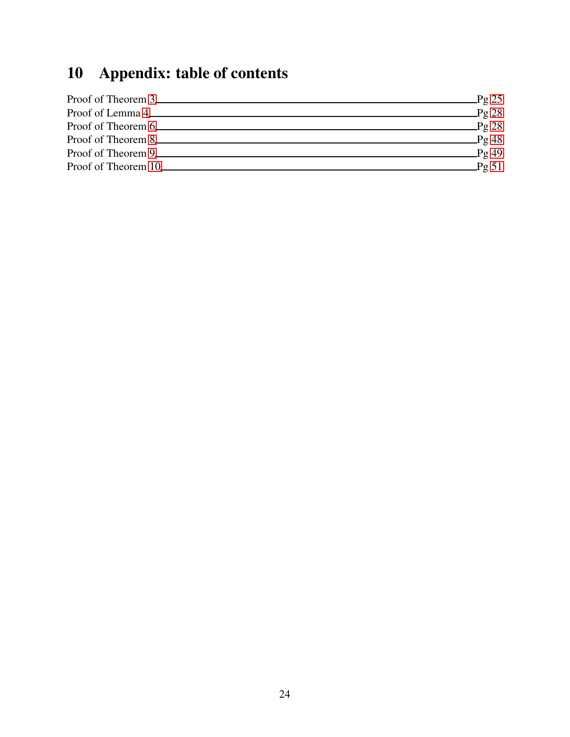# <span id="page-23-0"></span>10 Appendix: table of contents

| Proof of Theorem 3 | $\mathbb{P}$ g 25 |
|--------------------|-------------------|
| Proof of Lemma 4   | $\mathbf{Pg}$ 28  |
| Proof of Theorem 6 | $\mathbb{P}$ g 28 |
|                    | Pg48              |
|                    | $\mathbf{p}$ g 49 |
|                    | $\_\$ {Pg} 51     |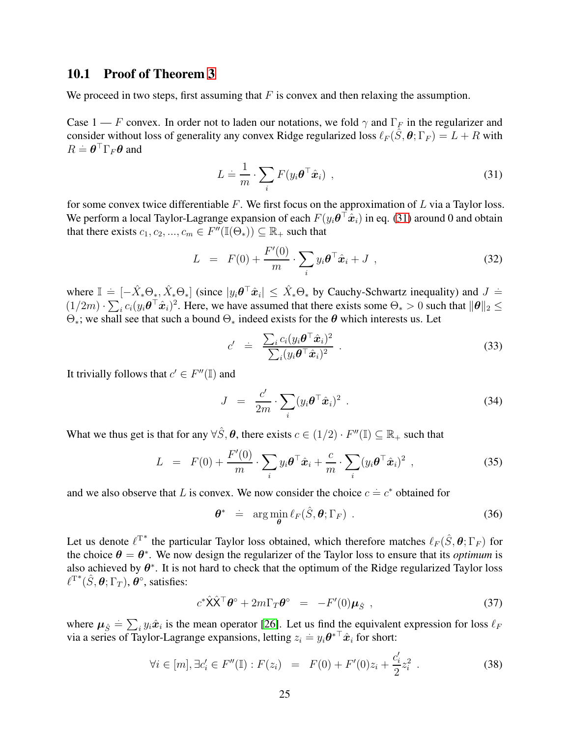#### <span id="page-24-0"></span>10.1 Proof of Theorem [3](#page-7-0)

We proceed in two steps, first assuming that  $F$  is convex and then relaxing the assumption.

Case 1 — F convex. In order not to laden our notations, we fold  $\gamma$  and  $\Gamma_F$  in the regularizer and consider without loss of generality any convex Ridge regularized loss  $\ell_F(\hat{S}, \theta; \Gamma_F) = L + R$  with  $R = \boldsymbol{\theta}^\top \Gamma_F \boldsymbol{\theta}$  and

<span id="page-24-1"></span>
$$
L \doteq \frac{1}{m} \cdot \sum_{i} F(y_i \boldsymbol{\theta}^\top \hat{\boldsymbol{x}}_i) , \qquad (31)
$$

for some convex twice differentiable  $F$ . We first focus on the approximation of  $L$  via a Taylor loss. We perform a local Taylor-Lagrange expansion of each  $F(y_i \theta^{\top} \hat{x}_i)$  in eq. [\(31\)](#page-24-1) around 0 and obtain that there exists  $c_1, c_2, ..., c_m \in F''(\mathbb{I}(\Theta_*)) \subseteq \mathbb{R}_+$  such that

<span id="page-24-4"></span>
$$
L = F(0) + \frac{F'(0)}{m} \cdot \sum_{i} y_i \boldsymbol{\theta}^\top \hat{\boldsymbol{x}}_i + J \tag{32}
$$

where  $\mathbb{I} = [-\hat{X}_* \Theta_*, \hat{X}_* \Theta_*]$  (since  $|y_i \theta^{\top} \hat{x}_i| \leq \hat{X}_* \Theta_*$  by Cauchy-Schwartz inequality) and  $J =$  $(1/2m) \cdot \sum_i c_i(y_i \theta^\top \hat{x}_i)^2$ . Here, we have assumed that there exists some  $\Theta_* > 0$  such that  $\|\theta\|_2 \leq$  $\Theta_*$ ; we shall see that such a bound  $\Theta_*$  indeed exists for the  $\theta$  which interests us. Let

$$
c' = \frac{\sum_{i} c_i (y_i \boldsymbol{\theta}^\top \hat{\boldsymbol{x}}_i)^2}{\sum_{i} (y_i \boldsymbol{\theta}^\top \hat{\boldsymbol{x}}_i)^2} \ . \tag{33}
$$

It trivially follows that  $c' \in F''(\mathbb{I})$  and

$$
J = \frac{c'}{2m} \cdot \sum_{i} (y_i \boldsymbol{\theta}^\top \hat{\boldsymbol{x}}_i)^2
$$
 (34)

What we thus get is that for any  $\forall \hat{S}, \theta$ , there exists  $c \in (1/2) \cdot F''(\mathbb{I}) \subseteq \mathbb{R}_+$  such that

$$
L = F(0) + \frac{F'(0)}{m} \cdot \sum_{i} y_i \boldsymbol{\theta}^\top \hat{\boldsymbol{x}}_i + \frac{c}{m} \cdot \sum_{i} (y_i \boldsymbol{\theta}^\top \hat{\boldsymbol{x}}_i)^2 , \qquad (35)
$$

and we also observe that L is convex. We now consider the choice  $c = c^*$  obtained for

<span id="page-24-2"></span>
$$
\boldsymbol{\theta}^* = \arg\min_{\boldsymbol{\theta}} \ell_F(\hat{S}, \boldsymbol{\theta}; \Gamma_F) \tag{36}
$$

Let us denote  $\ell^{\mathsf{T}^*}$  the particular Taylor loss obtained, which therefore matches  $\ell_F(\hat{S}, \theta; \Gamma_F)$  for the choice  $\theta = \theta^*$ . We now design the regularizer of the Taylor loss to ensure that its *optimum* is also achieved by  $\theta^*$ . It is not hard to check that the optimum of the Ridge regularized Taylor loss  $\ell^{T^*}(\hat{S}, \theta; \Gamma_T), \dot{\theta}^\circ$ , satisfies:

<span id="page-24-3"></span>
$$
c^*\hat{\mathbf{X}}\hat{\mathbf{X}}^\top \boldsymbol{\theta}^\circ + 2m\Gamma_T \boldsymbol{\theta}^\circ = -F'(0)\boldsymbol{\mu}_{\hat{S}} , \qquad (37)
$$

where  $\mu_{\hat{S}} = \sum_i y_i \hat{x}_i$  is the mean operator [\[26\]](#page-21-9). Let us find the equivalent expression for loss  $\ell_F$ via a series of Taylor-Lagrange expansions, letting  $z_i = y_i \theta^*$   $\hat{x}_i$  for short:

$$
\forall i \in [m], \exists c_i' \in F''(\mathbb{I}) : F(z_i) = F(0) + F'(0)z_i + \frac{c_i'}{2}z_i^2.
$$
 (38)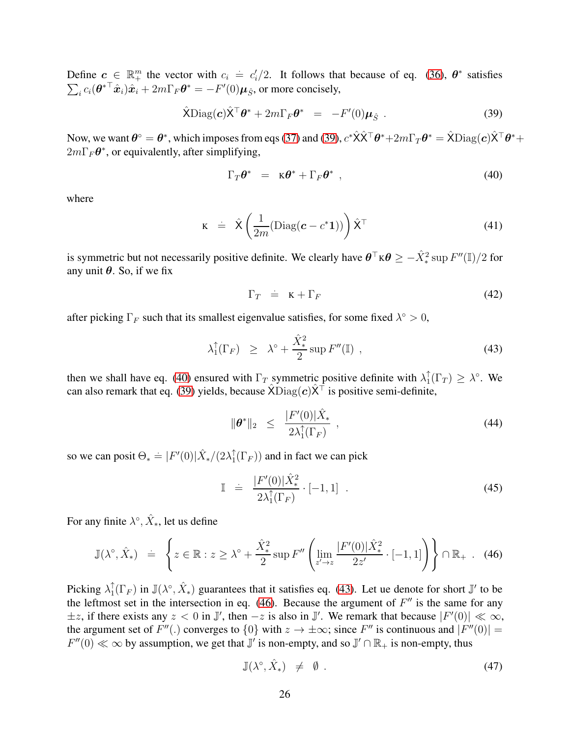Define  $c \in \mathbb{R}^m_+$  the vector with  $c_i = c'_i/2$ . It follows that because of eq. [\(36\)](#page-24-2),  $\theta^*$  satisfies  $\sum_i c_i(\boldsymbol{\theta}^{*\top}\hat{\boldsymbol{x}}_i)\hat{\boldsymbol{x}}_i + 2m\Gamma_F\boldsymbol{\theta}^* = -F'(0)\boldsymbol{\mu}_{\hat{S}},$  or more concisely,

<span id="page-25-0"></span>
$$
\hat{\mathsf{X}}\mathrm{Diag}(\boldsymbol{c})\hat{\mathsf{X}}^{\top}\boldsymbol{\theta}^* + 2m\Gamma_F\boldsymbol{\theta}^* = -F'(0)\boldsymbol{\mu}_{\hat{S}}.
$$
\n(39)

Now, we want  $\bm{\theta}^\circ=\bm{\theta}^*$ , which imposes from eqs [\(37\)](#page-24-3) and [\(39\)](#page-25-0),  $c^*\hat{\bm{\mathsf{X}}} \hat{\bm{\mathsf{X}}}^\top \bm{\theta}^* + 2m\Gamma_T\bm{\theta}^* = \hat{\bm{\mathsf{X}}} \text{Diag}(\bm{c}) \hat{\bm{\mathsf{X}}}^\top \bm{\theta}^* +$  $2m\Gamma_F\theta^*$ , or equivalently, after simplifying,

<span id="page-25-1"></span>
$$
\Gamma_T \theta^* = \kappa \theta^* + \Gamma_F \theta^*, \qquad (40)
$$

where

$$
\mathbf{K} \quad \doteq \quad \hat{\mathbf{X}} \left( \frac{1}{2m} (\text{Diag}(\mathbf{c} - c^* \mathbf{1})) \right) \hat{\mathbf{X}}^{\top} \tag{41}
$$

is symmetric but not necessarily positive definite. We clearly have  $\theta^{\top} \kappa \theta \ge -\hat{X}^2_* \sup F''(\mathbb{I})/2$  for any unit  $\theta$ . So, if we fix

$$
\Gamma_T = \kappa + \Gamma_F \tag{42}
$$

after picking  $\Gamma_F$  such that its smallest eigenvalue satisfies, for some fixed  $\lambda^{\circ} > 0$ ,

<span id="page-25-2"></span>
$$
\lambda_1^{\uparrow}(\Gamma_F) \geq \lambda^{\circ} + \frac{\hat{X}_*^2}{2} \sup F''(\mathbb{I}) \tag{43}
$$

then we shall have eq. [\(40\)](#page-25-1) ensured with  $\Gamma_T$  symmetric positive definite with  $\lambda_1^{\uparrow}$  $\int_1^{\uparrow} (\Gamma_T) \geq \lambda^{\circ}$ . We can also remark that eq. [\(39\)](#page-25-0) yields, because  $\hat{X}$ Diag(c) $\hat{X}^{\dagger}$  is positive semi-definite,

$$
\|\boldsymbol{\theta}^*\|_2 \leq \frac{|F'(0)|\hat{X}_*}{2\lambda_1^{\uparrow}(\Gamma_F)}, \qquad (44)
$$

so we can posit  $\Theta_* \doteq |F'(0)| \hat{X}_*/(2\lambda_1^{\uparrow})$  $T_1(\Gamma_F)$  and in fact we can pick

$$
\mathbb{I} \quad \doteq \quad \frac{|F'(0)|\hat{X}_*^2}{2\lambda_1^{\uparrow}(\Gamma_F)} \cdot [-1,1] \quad . \tag{45}
$$

For any finite  $\lambda^\circ$ ,  $\hat{X}_*$ , let us define

<span id="page-25-3"></span>
$$
\mathbb{J}(\lambda^{\circ}, \hat{X}_*) \quad \doteq \quad \left\{ z \in \mathbb{R} : z \ge \lambda^{\circ} + \frac{\hat{X}_*^2}{2} \sup F'' \left( \lim_{z' \to z} \frac{|F'(0)| \hat{X}_*^2}{2z'} \cdot [-1, 1] \right) \right\} \cap \mathbb{R}_+ \quad (46)
$$

Picking  $\lambda_1^{\uparrow}$  ${}_{1}^{+}(\Gamma_{F})$  in  $\mathbb{J}(\lambda^{\circ}, \hat{X}_{*})$  guarantees that it satisfies eq. [\(43\)](#page-25-2). Let ue denote for short  $\mathbb{J}'$  to be the leftmost set in the intersection in eq.  $(46)$ . Because the argument of  $F''$  is the same for any  $\pm z$ , if there exists any  $z < 0$  in  $\mathbb{J}'$ , then  $-z$  is also in  $\mathbb{J}'$ . We remark that because  $|F'(0)| \ll \infty$ , the argument set of  $F''(.)$  converges to  $\{0\}$  with  $z \to \pm \infty$ ; since  $F''$  is continuous and  $|F''(0)| =$  $F''(0) \ll \infty$  by assumption, we get that  $\mathbb{J}'$  is non-empty, and so  $\mathbb{J}' \cap \mathbb{R}_+$  is non-empty, thus

$$
\mathbb{J}(\lambda^{\circ}, \hat{X}_*) \neq \emptyset. \tag{47}
$$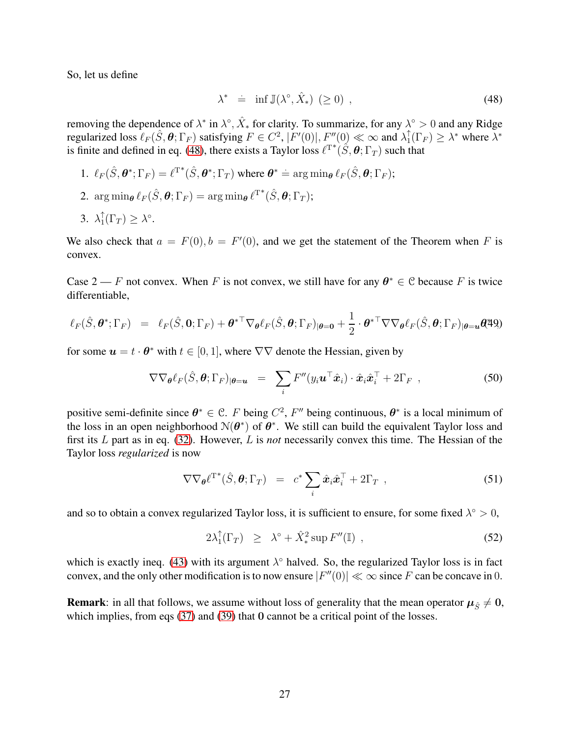So, let us define

<span id="page-26-0"></span>
$$
\lambda^* \doteq \inf \mathbb{J}(\lambda^\circ, \hat{X}_*) \ (\ge 0) \tag{48}
$$

removing the dependence of  $\lambda^*$  in  $\lambda^\circ$ ,  $\hat{X}_*$  for clarity. To summarize, for any  $\lambda^\circ > 0$  and any Ridge regularized loss  $\ell_F(\hat{S}, \theta; \Gamma_F)$  satisfying  $F \in C^2$ ,  $|F'(0)|$ ,  $F''(0) \ll \infty$  and  $\lambda_1^{\uparrow}$  $\int_1^{\hat{\tau}}(\Gamma_F) \geq \lambda^*$  where  $\lambda^*$ is finite and defined in eq. [\(48\)](#page-26-0), there exists a Taylor loss  $\ell^{T^*}(\hat{S}, \theta; \Gamma_T)$  such that

- 1.  $\ell_F(\hat{S}, \theta^*; \Gamma_F) = \ell^{T^*}(\hat{S}, \theta^*; \Gamma_T)$  where  $\theta^* = \arg \min_{\theta} \ell_F(\hat{S}, \theta; \Gamma_F)$ ;
- $2. \ \arg\min_{\bm{\theta}} \ell_F(\hat{S}, \bm{\theta}; \Gamma_F) = \arg\min_{\bm{\theta}} \ell^{\mathrm{T}^*}(\hat{S}, \bm{\theta}; \Gamma_T);$
- 3.  $\lambda_1^{\uparrow}$  ${}_{1}^{\uparrow}(\Gamma_{T}) \geq \lambda^{\circ}.$

We also check that  $a = F(0), b = F'(0)$ , and we get the statement of the Theorem when F is convex.

Case 2 — F not convex. When F is not convex, we still have for any  $\theta^* \in \mathcal{C}$  because F is twice differentiable,

$$
\ell_F(\hat{S}, \boldsymbol{\theta}^*; \Gamma_F) = \ell_F(\hat{S}, 0; \Gamma_F) + \boldsymbol{\theta}^{*T} \nabla_{\boldsymbol{\theta}} \ell_F(\hat{S}, \boldsymbol{\theta}; \Gamma_F)_{|\boldsymbol{\theta} = \mathbf{0}} + \frac{1}{2} \cdot \boldsymbol{\theta}^{*T} \nabla \nabla_{\boldsymbol{\theta}} \ell_F(\hat{S}, \boldsymbol{\theta}; \Gamma_F)_{|\boldsymbol{\theta} = \mathbf{u}} \boldsymbol{\theta}^{\sharp} \boldsymbol{\theta})
$$

for some  $u = t \cdot \theta^*$  with  $t \in [0, 1]$ , where  $\nabla \nabla$  denote the Hessian, given by

$$
\nabla \nabla_{\theta} \ell_F(\hat{S}, \theta; \Gamma_F)_{|\theta = u} = \sum_i F''(y_i \mathbf{u}^\top \hat{\mathbf{x}}_i) \cdot \hat{\mathbf{x}}_i \hat{\mathbf{x}}_i^\top + 2\Gamma_F , \qquad (50)
$$

positive semi-definite since  $\theta^* \in \mathcal{C}$ . F being  $C^2$ , F'' being continuous,  $\theta^*$  is a local minimum of the loss in an open neighborhood  $N(\theta^*)$  of  $\theta^*$ . We still can build the equivalent Taylor loss and first its L part as in eq. [\(32\)](#page-24-4). However, L is *not* necessarily convex this time. The Hessian of the Taylor loss *regularized* is now

$$
\nabla \nabla_{\theta} \ell^{T^*}(\hat{S}, \theta; \Gamma_T) = c^* \sum_i \hat{x}_i \hat{x}_i^{\top} + 2\Gamma_T , \qquad (51)
$$

and so to obtain a convex regularized Taylor loss, it is sufficient to ensure, for some fixed  $\lambda^{\circ} > 0$ ,

$$
2\lambda_1^{\uparrow}(\Gamma_T) \geq \lambda^{\circ} + \hat{X}_*^2 \sup F''(\mathbb{I}) , \qquad (52)
$$

which is exactly ineq. [\(43\)](#page-25-2) with its argument  $\lambda^{\circ}$  halved. So, the regularized Taylor loss is in fact convex, and the only other modification is to now ensure  $|F''(0)| \ll \infty$  since F can be concave in 0.

**Remark**: in all that follows, we assume without loss of generality that the mean operator  $\mu_{\hat{S}} \neq 0$ , which implies, from eqs [\(37\)](#page-24-3) and [\(39\)](#page-25-0) that 0 cannot be a critical point of the losses.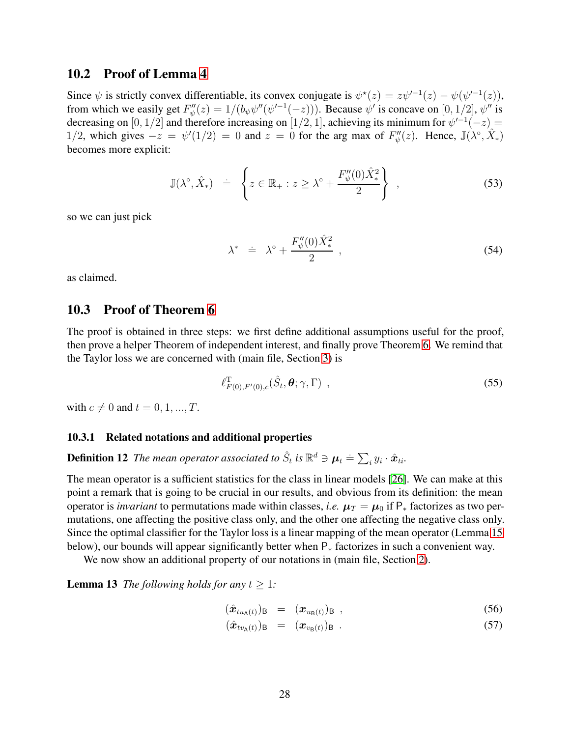### <span id="page-27-0"></span>10.2 Proof of Lemma [4](#page-7-2)

Since  $\psi$  is strictly convex differentiable, its convex conjugate is  $\psi^*(z) = z\psi'^{-1}(z) - \psi(\psi'^{-1}(z))$ , from which we easily get  $F''_{\psi}(z) = 1/(b_{\psi}\psi''(\psi'^{-1}(-z)))$ . Because  $\psi'$  is concave on [0, 1/2],  $\psi''$  is decreasing on [0, 1/2] and therefore increasing on [1/2, 1], achieving its minimum for  $\psi'^{-1}(-z)$  = 1/2, which gives  $-z = \psi'(1/2) = 0$  and  $z = 0$  for the arg max of  $F''_{\psi}(z)$ . Hence,  $\mathbb{J}(\lambda^{\circ}, \hat{X}_*)$ becomes more explicit:

$$
\mathbb{J}(\lambda^{\circ}, \hat{X}_*) = \left\{ z \in \mathbb{R}_+ : z \ge \lambda^{\circ} + \frac{F''_{\psi}(0)\hat{X}_*^2}{2} \right\} ,\qquad(53)
$$

so we can just pick

$$
\lambda^* \quad \doteq \quad \lambda^\circ + \frac{F''_{\psi}(0)\hat{X}^2_*}{2} \tag{54}
$$

<span id="page-27-1"></span>as claimed.

### 10.3 Proof of Theorem [6](#page-9-0)

The proof is obtained in three steps: we first define additional assumptions useful for the proof, then prove a helper Theorem of independent interest, and finally prove Theorem [6.](#page-9-0) We remind that the Taylor loss we are concerned with (main file, Section [3\)](#page-6-0) is

<span id="page-27-3"></span>
$$
\ell_{F(0),F'(0),c}^{\mathrm{T}}(\hat{S}_t,\boldsymbol{\theta};\gamma,\Gamma) ,
$$
\n(55)

with  $c \neq 0$  and  $t = 0, 1, ..., T$ .

#### 10.3.1 Related notations and additional properties

**Definition 12** The mean operator associated to  $\hat{S}_t$  is  $\mathbb{R}^d \ni \mu_t \doteq \sum_i y_i \cdot \hat{x}_{ti}$ .

The mean operator is a sufficient statistics for the class in linear models [\[26\]](#page-21-9). We can make at this point a remark that is going to be crucial in our results, and obvious from its definition: the mean operator is *invariant* to permutations made within classes, *i.e.*  $\mu_T = \mu_0$  if  $P_*$  factorizes as two permutations, one affecting the positive class only, and the other one affecting the negative class only. Since the optimal classifier for the Taylor loss is a linear mapping of the mean operator (Lemma [15](#page-30-0) below), our bounds will appear significantly better when P<sup>∗</sup> factorizes in such a convenient way.

We now show an additional property of our notations in (main file, Section [2\)](#page-3-0).

<span id="page-27-4"></span>**Lemma 13** *The following holds for any*  $t \geq 1$ *:* 

<span id="page-27-5"></span><span id="page-27-2"></span>
$$
(\hat{\boldsymbol{x}}_{tu_{\mathsf{A}}(t)})_{\mathsf{B}} = (\boldsymbol{x}_{u_{\mathsf{B}}(t)})_{\mathsf{B}} , \qquad (56)
$$

$$
(\hat{\boldsymbol{x}}_{tv_{\mathsf{A}}(t)})_{\mathsf{B}} = (\boldsymbol{x}_{v_{\mathsf{B}}(t)})_{\mathsf{B}} . \qquad (57)
$$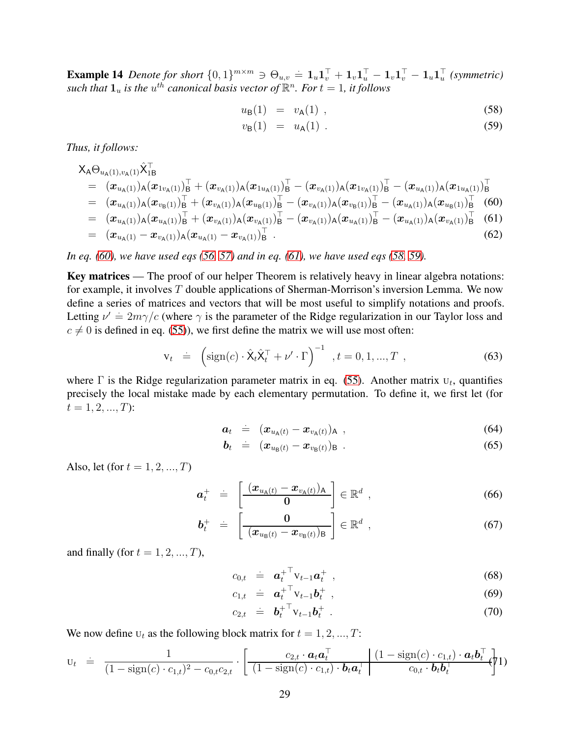**Example 14** Denote for short  $\{0,1\}^{m \times m} \ni \Theta_{u,v} = \mathbf{1}_u \mathbf{1}_v^{\top} + \mathbf{1}_v \mathbf{1}_u^{\top} - \mathbf{1}_v \mathbf{1}_v^{\top} - \mathbf{1}_u \mathbf{1}_u^{\top}$  (symmetric) such that  $\mathbf{1}_u$  is the  $u^{th}$  canonical basis vector of  $\mathbb{R}^n$ *. For*  $t = 1$ *, it follows* 

<span id="page-28-1"></span>
$$
u_{\mathsf{B}}(1) = v_{\mathsf{A}}(1) , \qquad (58)
$$

$$
v_{\mathsf{B}}(1) = u_{\mathsf{A}}(1) \tag{59}
$$

*Thus, it follows:*

<span id="page-28-0"></span>
$$
\begin{array}{lll} &\chi_{\mathsf{A}}\Theta_{u_{\mathsf{A}}(1),v_{\mathsf{A}}(1)}\hat{\chi}_{1\mathsf{B}}^{\top}\\ &=& (\pmb{x}_{u_{\mathsf{A}}(1)})_{\mathsf{A}}(\pmb{x}_{1v_{\mathsf{A}}(1)})_{\mathsf{B}}^{\top} + (\pmb{x}_{v_{\mathsf{A}}(1)})_{\mathsf{A}}(\pmb{x}_{1u_{\mathsf{A}}(1)})_{\mathsf{B}}^{\top} - (\pmb{x}_{v_{\mathsf{A}}(1)})_{\mathsf{A}}(\pmb{x}_{1v_{\mathsf{A}}(1)})_{\mathsf{B}}^{\top} - (\pmb{x}_{u_{\mathsf{A}}(1)})_{\mathsf{A}}(\pmb{x}_{1u_{\mathsf{A}}(1)})_{\mathsf{B}}^{\top}\\ &=& (\pmb{x}_{u_{\mathsf{A}}(1)})_{\mathsf{A}}(\pmb{x}_{v_{\mathsf{B}}(1)})_{\mathsf{B}}^{\top} + (\pmb{x}_{v_{\mathsf{A}}(1)})_{\mathsf{A}}(\pmb{x}_{u_{\mathsf{B}}(1)})_{\mathsf{B}}^{\top} - (\pmb{x}_{v_{\mathsf{A}}(1)})_{\mathsf{A}}(\pmb{x}_{v_{\mathsf{B}}(1)})_{\mathsf{B}}^{\top} - (\pmb{x}_{u_{\mathsf{A}}(1)})_{\mathsf{A}}(\pmb{x}_{u_{\mathsf{B}}(1)})_{\mathsf{B}}^{\top} & (60)\\ &=& (\pmb{x}_{u_{\mathsf{A}}(1)})_{\mathsf{A}}(\pmb{x}_{u_{\mathsf{A}}(1)})_{\mathsf{B}}^{\top} + (\pmb{x}_{v_{\mathsf{A}}(1)})_{\mathsf{A}}(\pmb{x}_{v_{\mathsf{A}}(1)})_{\mathsf{B}}^{\top} - (\pmb{x}_{v_{\mathsf{A}}(1)})_{\mathsf{A}}(\pmb{x}_{u_{\mathsf{A}}(1)})_{\mathsf{B}}^{\top} - (\pmb{x}_{u_{\mathsf{A}}(1)})_{\mathsf{A}}(\pmb{x}_{v_{\mathsf{A}}(1)})_{\mathsf{B}}^{\top} & (61)\end{array}
$$

$$
= (x_{u_{A}(1)} - x_{v_{A}(1)})_{A} (x_{u_{A}(1)} - x_{v_{A}(1)})_{B}^{\top}.
$$
\n(62)

*In eq. [\(60\)](#page-28-0), we have used eqs [\(56, 57\)](#page-27-2) and in eq. [\(61\)](#page-28-0), we have used eqs [\(58, 59\)](#page-28-1).*

Key matrices — The proof of our helper Theorem is relatively heavy in linear algebra notations: for example, it involves  $T$  double applications of Sherman-Morrison's inversion Lemma. We now define a series of matrices and vectors that will be most useful to simplify notations and proofs. Letting  $\nu' = 2m\gamma/c$  (where  $\gamma$  is the parameter of the Ridge regularization in our Taylor loss and  $c \neq 0$  is defined in eq. [\(55\)](#page-27-3)), we first define the matrix we will use most often:

$$
\mathbf{v}_t = \left(\text{sign}(c) \cdot \hat{\mathbf{X}}_t \hat{\mathbf{X}}_t^\top + \nu' \cdot \Gamma\right)^{-1}, t = 0, 1, ..., T,
$$
 (63)

where  $\Gamma$  is the Ridge regularization parameter matrix in eq. [\(55\)](#page-27-3). Another matrix  $U_t$ , quantifies precisely the local mistake made by each elementary permutation. To define it, we first let (for  $t = 1, 2, ..., T$ :

$$
\boldsymbol{a}_t = (\boldsymbol{x}_{u_{\mathsf{A}}(t)} - \boldsymbol{x}_{v_{\mathsf{A}}(t)})_{\mathsf{A}}, \qquad (64)
$$

$$
\boldsymbol{b}_t = (\boldsymbol{x}_{u_{\mathsf{B}}(t)} - \boldsymbol{x}_{v_{\mathsf{B}}(t)})_{\mathsf{B}} \tag{65}
$$

Also, let (for  $t = 1, 2, ..., T$ )

$$
\boldsymbol{a}_t^+ \quad \dot{=} \quad \left[ \frac{(\boldsymbol{x}_{u_{\mathsf{A}}(t)} - \boldsymbol{x}_{v_{\mathsf{A}}(t)})_{\mathsf{A}}}{\mathbf{0}} \right] \in \mathbb{R}^d \enspace , \tag{66}
$$

$$
\boldsymbol{b}_t^+ \quad \dot{=} \quad \left[ \begin{array}{cc} 0 \\ \hline (\boldsymbol{x}_{u_{\mathsf{B}}(t)} - \boldsymbol{x}_{v_{\mathsf{B}}(t)})_{\mathsf{B}} \end{array} \right] \in \mathbb{R}^d \enspace , \tag{67}
$$

and finally (for  $t = 1, 2, ..., T$ ),

$$
c_{0,t} \doteq \boldsymbol{a}_t^{+^\top} \mathbf{v}_{t-1} \boldsymbol{a}_t^+ \t\t(68)
$$

$$
c_{1,t} = \boldsymbol{a}_t^+{}^\top \boldsymbol{v}_{t-1} \boldsymbol{b}_t^+ \t\t(69)
$$

$$
c_{2,t} \quad \doteq \quad \boldsymbol{b}_t^{+ \top} \mathbf{v}_{t-1} \boldsymbol{b}_t^{+} \tag{70}
$$

We now define  $U_t$  as the following block matrix for  $t = 1, 2, ..., T$ :

$$
\mathbf{u}_t = \frac{1}{(1-\text{sign}(c)\cdot c_{1,t})^2 - c_{0,t}c_{2,t}} \cdot \left[ \frac{c_{2,t} \cdot \boldsymbol{a}_t \boldsymbol{a}_t^\top}{(1-\text{sign}(c)\cdot c_{1,t}) \cdot \boldsymbol{b}_t \boldsymbol{a}_t^\top} \middle| \frac{(1-\text{sign}(c)\cdot c_{1,t}) \cdot \boldsymbol{a}_t \boldsymbol{b}_t^\top}{c_{0,t} \cdot \boldsymbol{b}_t \boldsymbol{b}_t^\top} \right]
$$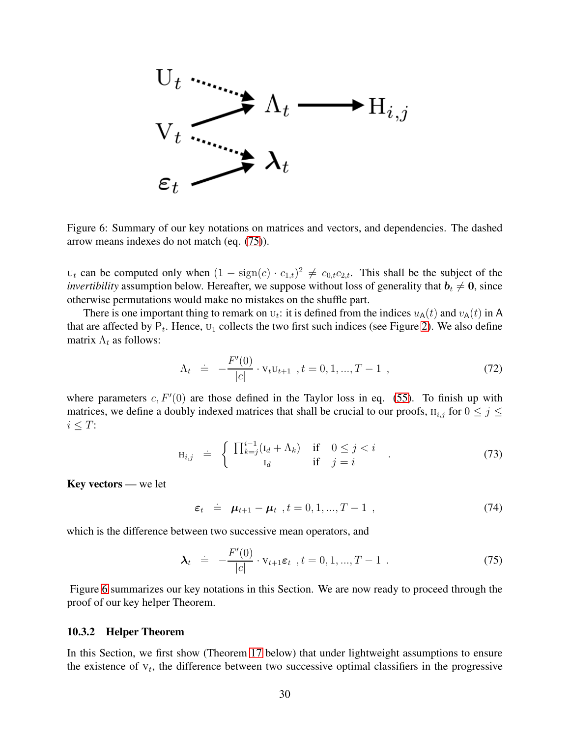

<span id="page-29-1"></span>Figure 6: Summary of our key notations on matrices and vectors, and dependencies. The dashed arrow means indexes do not match (eq. [\(75\)](#page-29-0)).

 $U_t$  can be computed only when  $(1 - \text{sign}(c) \cdot c_{1,t})^2 \neq c_{0,t}c_{2,t}$ . This shall be the subject of the *invertibility* assumption below. Hereafter, we suppose without loss of generality that  $b_t \neq 0$ , since otherwise permutations would make no mistakes on the shuffle part.

There is one important thing to remark on  $U_t$ : it is defined from the indices  $u_A(t)$  and  $v_A(t)$  in A that are affected by  $P_t$ . Hence,  $U_1$  collects the two first such indices (see Figure [2\)](#page-5-0). We also define matrix  $\Lambda_t$  as follows:

<span id="page-29-3"></span>
$$
\Lambda_t = -\frac{F'(0)}{|c|} \cdot \mathbf{v}_t \mathbf{u}_{t+1} \quad t = 0, 1, ..., T - 1 \quad , \tag{72}
$$

where parameters  $c, F'(0)$  are those defined in the Taylor loss in eq. [\(55\)](#page-27-3). To finish up with matrices, we define a doubly indexed matrices that shall be crucial to our proofs,  $H_{i,j}$  for  $0 \leq j \leq j$  $i \leq T$ :

$$
\mathbf{H}_{i,j} \quad \dot{=} \quad \left\{ \begin{array}{ccc} \prod_{k=j}^{i-1} (\mathbf{I}_d + \Lambda_k) & \text{if} & 0 \le j < i \\ \mathbf{I}_d & \text{if} & j = i \end{array} \right. \tag{73}
$$

Key vectors — we let

<span id="page-29-2"></span>
$$
\varepsilon_t = \mu_{t+1} - \mu_t, \ t = 0, 1, ..., T - 1 \t{, \t(74)}
$$

which is the difference between two successive mean operators, and

<span id="page-29-0"></span>
$$
\lambda_t = -\frac{F'(0)}{|c|} \cdot \mathbf{v}_{t+1} \varepsilon_t, t = 0, 1, ..., T-1.
$$
 (75)

Figure [6](#page-29-1) summarizes our key notations in this Section. We are now ready to proceed through the proof of our key helper Theorem.

#### 10.3.2 Helper Theorem

In this Section, we first show (Theorem [17](#page-32-0) below) that under lightweight assumptions to ensure the existence of  $V_t$ , the difference between two successive optimal classifiers in the progressive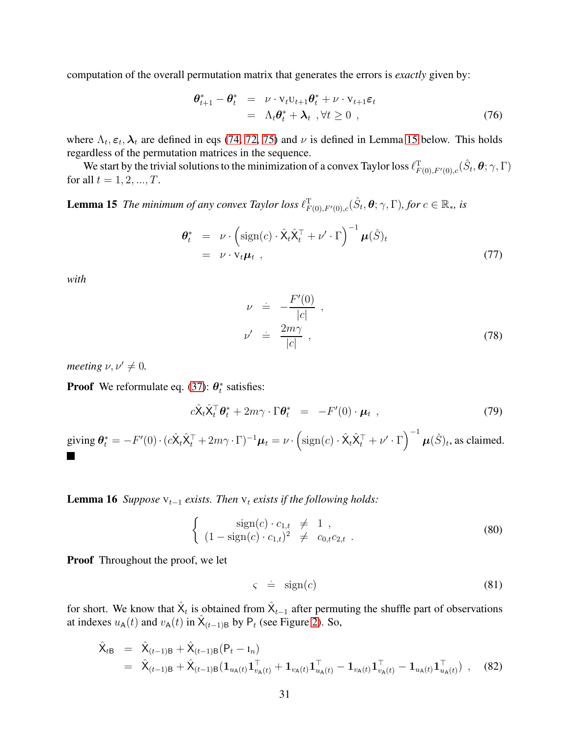computation of the overall permutation matrix that generates the errors is *exactly* given by:

$$
\begin{array}{rcl}\n\boldsymbol{\theta}_{t+1}^* - \boldsymbol{\theta}_t^* &=& \nu \cdot \mathbf{v}_t \mathbf{u}_{t+1} \boldsymbol{\theta}_t^* + \nu \cdot \mathbf{v}_{t+1} \boldsymbol{\varepsilon}_t \\
&=& \Lambda_t \boldsymbol{\theta}_t^* + \boldsymbol{\lambda}_t \quad \forall t \ge 0 \quad ,\n\end{array} \tag{76}
$$

where  $\Lambda_t$ ,  $\varepsilon_t$ ,  $\lambda_t$  are defined in eqs [\(74,](#page-29-2) [72,](#page-29-3) [75\)](#page-29-0) and  $\nu$  is defined in Lemma [15](#page-30-0) below. This holds regardless of the permutation matrices in the sequence.

We start by the trivial solutions to the minimization of a convex Taylor loss  $\ell^T_{F(0),F'(0),c}(\hat{S}_t,\bm{\theta};\gamma,\Gamma)$ for all  $t = 1, 2, ..., T$ .

**Lemma 15** The minimum of any convex Taylor loss  $\ell_{F(0),F'(0),c}^T(\hat{S}_t, \theta; \gamma, \Gamma)$ , for  $c \in \mathbb{R}_*$ , is

<span id="page-30-0"></span>
$$
\theta_t^* = \nu \cdot \left( \text{sign}(c) \cdot \hat{\mathbf{X}}_t \hat{\mathbf{X}}_t^\top + \nu' \cdot \Gamma \right)^{-1} \mu(\hat{S})_t
$$
  
=  $\nu \cdot \mathbf{V}_t \mu_t$ , (77)

*with*

$$
\nu = -\frac{F'(0)}{|c|},
$$
  
\n
$$
\nu' = \frac{2m\gamma}{|c|},
$$
\n(78)

*meeting*  $\nu, \nu' \neq 0$ .

**Proof** We reformulate eq. [\(37\)](#page-24-3):  $\theta_t^*$  satisfies:

$$
c\hat{\mathbf{X}}_t \hat{\mathbf{X}}_t^\top \boldsymbol{\theta}_t^* + 2m\gamma \cdot \Gamma \boldsymbol{\theta}_t^* = -F'(0) \cdot \boldsymbol{\mu}_t , \qquad (79)
$$

giving  $\theta_t^* = -F'(0) \cdot (c\hat{X}_t \hat{X}_t^\top + 2m\gamma \cdot \Gamma)^{-1} \mu_t = \nu \cdot \left( \text{sign}(c) \cdot \hat{X}_t \hat{X}_t^\top + \nu' \cdot \Gamma \right)^{-1} \mu(\hat{S})_t$ , as claimed.

<span id="page-30-2"></span>**Lemma 16** *Suppose*  $V_{t-1}$  *exists. Then*  $V_t$  *exists if the following holds:* 

$$
\begin{cases}\n\text{sign}(c) \cdot c_{1,t} \neq 1, \\
(1 - \text{sign}(c) \cdot c_{1,t})^2 \neq c_{0,t}c_{2,t}.\n\end{cases}
$$
\n(80)

**Proof** Throughout the proof, we let

$$
\varsigma = \text{sign}(c) \tag{81}
$$

for short. We know that  $\hat{X}_t$  is obtained from  $\hat{X}_{t-1}$  after permuting the shuffle part of observations at indexes  $u_A(t)$  and  $v_A(t)$  in  $\hat{X}_{(t-1)B}$  by  $P_t$  (see Figure [2\)](#page-5-0). So,

<span id="page-30-1"></span>
$$
\hat{\mathbf{X}}_{t\mathbf{B}} = \hat{\mathbf{X}}_{(t-1)\mathbf{B}} + \hat{\mathbf{X}}_{(t-1)\mathbf{B}} (\mathbf{P}_t - \mathbf{I}_n)
$$
\n
$$
= \hat{\mathbf{X}}_{(t-1)\mathbf{B}} + \hat{\mathbf{X}}_{(t-1)\mathbf{B}} (\mathbf{1}_{u_{\mathbf{A}}(t)} \mathbf{1}_{v_{\mathbf{A}}(t)}^\top + \mathbf{1}_{v_{\mathbf{A}}(t)} \mathbf{1}_{u_{\mathbf{A}}(t)}^\top - \mathbf{1}_{v_{\mathbf{A}}(t)} \mathbf{1}_{v_{\mathbf{A}}(t)}^\top - \mathbf{1}_{u_{\mathbf{A}}(t)} \mathbf{1}_{u_{\mathbf{A}}(t)}^\top), \quad (82)
$$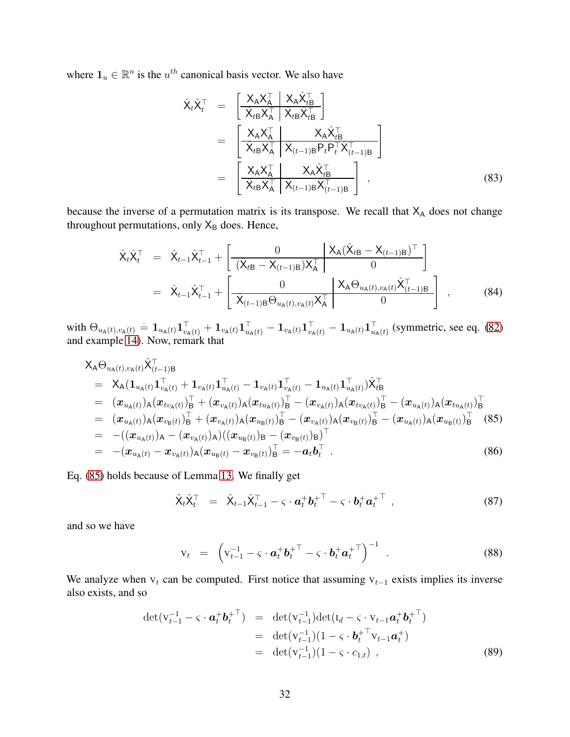where  $\mathbf{1}_u \in \mathbb{R}^n$  is the  $u^{th}$  canonical basis vector. We also have

$$
\hat{\mathbf{X}}_{t}\hat{\mathbf{X}}_{t}^{\top} = \begin{bmatrix} \mathbf{X}_{A}\mathbf{X}_{A}^{\top} \quad \mathbf{X}_{A}\hat{\mathbf{X}}_{tB}^{\top} \\ \overline{\mathbf{X}}_{tB}\mathbf{X}_{A}^{\top} \quad \overline{\mathbf{X}}_{tB}\hat{\mathbf{X}}_{tB}^{\top} \end{bmatrix} \n= \begin{bmatrix} \mathbf{X}_{A}\mathbf{X}_{A}^{\top} \quad \mathbf{X}_{tB}\hat{\mathbf{X}}_{tB}^{\top} \\ \overline{\mathbf{X}}_{tB}\mathbf{X}_{A}^{\top} \quad \overline{\mathbf{X}}_{(t-1)B}P_{t}P_{t}^{\top}\overline{\mathbf{X}}_{(t-1)B}^{\top} \\ \overline{\mathbf{X}}_{tB}\mathbf{X}_{A}^{\top} \quad \overline{\mathbf{X}}_{(t-1)B}\hat{\mathbf{X}}_{(t-1)B}^{\top} \end{bmatrix} ,
$$
\n(83)

because the inverse of a permutation matrix is its transpose. We recall that  $X_A$  does not change throughout permutations, only  $X_B$  does. Hence,

$$
\hat{\mathbf{X}}_t \hat{\mathbf{X}}_t^\top = \hat{\mathbf{X}}_{t-1} \hat{\mathbf{X}}_{t-1}^\top + \begin{bmatrix} 0 & \mathbf{X}_A (\hat{\mathbf{X}}_{tB} - \mathbf{X}_{(t-1)B})^\top \\ (\hat{\mathbf{X}}_{tB} - \mathbf{X}_{(t-1)B}) \mathbf{X}_A^\top & 0 \end{bmatrix}
$$
\n
$$
= \hat{\mathbf{X}}_{t-1} \hat{\mathbf{X}}_{t-1}^\top + \begin{bmatrix} 0 & \mathbf{X}_A \Theta_{u_A(t), v_A(t)} \hat{\mathbf{X}}_{(t-1)B}^\top \\ \hat{\mathbf{X}}_{(t-1)B} \Theta_{u_A(t), v_A(t)} \mathbf{X}_A^\top & 0 \end{bmatrix},
$$
\n(84)

 $\text{with } \Theta_{u_{\mathsf{A}}(t),v_{\mathsf{A}}(t)} = \mathbf{1}_{u_{\mathsf{A}}(t)}\mathbf{1}_{v_{\mathsf{A}}(t)}^{\top} + \mathbf{1}_{v_{\mathsf{A}}(t)}\mathbf{1}_{u_{\mathsf{A}}(t)}^{\top} - \mathbf{1}_{v_{\mathsf{A}}(t)}\mathbf{1}_{v_{\mathsf{A}}(t)}^{\top} - \mathbf{1}_{u_{\mathsf{A}}(t)}\mathbf{1}_{u_{\mathsf{A}}(t)}^{\top}$  (symmetric, see eq. [\(82\)](#page-30-1) and example [14\)](#page-27-4). Now, remark that

<span id="page-31-0"></span>
$$
\mathsf{X}_{\mathsf{A}}\Theta_{u_{\mathsf{A}}(t),v_{\mathsf{A}}(t)}\hat{\mathsf{X}}_{(t-1)\mathsf{B}}^{\top} \n= \mathsf{X}_{\mathsf{A}}(\mathbf{1}_{u_{\mathsf{A}}(t)}\mathbf{1}_{v_{\mathsf{A}}(t)}^{\top} + \mathbf{1}_{v_{\mathsf{A}}(t)}\mathbf{1}_{u_{\mathsf{A}}(t)}^{\top} - \mathbf{1}_{v_{\mathsf{A}}(t)}\mathbf{1}_{v_{\mathsf{A}}(t)}^{\top} - \mathbf{1}_{u_{\mathsf{A}}(t)}\mathbf{1}_{u_{\mathsf{A}}(t)}^{\top})\hat{\mathsf{X}}_{t\mathsf{B}}^{\top} \n= (x_{u_{\mathsf{A}}(t)})_{\mathsf{A}}(x_{tv_{\mathsf{A}}(t)})_{\mathsf{B}}^{\top} + (x_{v_{\mathsf{A}}(t)})_{\mathsf{A}}(x_{tu_{\mathsf{A}}(t)})_{\mathsf{B}}^{\top} - (x_{v_{\mathsf{A}}(t)})_{\mathsf{A}}(x_{tv_{\mathsf{A}}(t)})_{\mathsf{B}}^{\top} - (x_{u_{\mathsf{A}}(t)})_{\mathsf{A}}(x_{tu_{\mathsf{A}}(t)})_{\mathsf{B}}^{\top} \n= (x_{u_{\mathsf{A}}(t)})_{\mathsf{A}}(x_{v_{\mathsf{B}}(t)})_{\mathsf{B}}^{\top} + (x_{v_{\mathsf{A}}(t)})_{\mathsf{A}}(x_{u_{\mathsf{B}}(t)})_{\mathsf{B}}^{\top} - (x_{v_{\mathsf{A}}(t)})_{\mathsf{A}}(x_{v_{\mathsf{B}}(t)})_{\mathsf{B}}^{\top} - (x_{u_{\mathsf{A}}(t)})_{\mathsf{A}}(x_{u_{\mathsf{B}}(t)})_{\mathsf{B}}^{\top} (85) \n= -((x_{u_{\mathsf{A}}(t)})_{\mathsf{A}} - (x_{v_{\mathsf{A}}(t)})_{\mathsf{A}})((x_{u_{\mathsf{B}}(t)})_{\mathsf{B}} - (x_{v_{\mathsf{B}}(t)})_{\mathsf{B}}^{\top})^{\top} \n= -(x_{u_{\mathsf{A}}(t)}
$$

Eq. [\(85\)](#page-31-0) holds because of Lemma [13.](#page-27-5) We finally get

<span id="page-31-2"></span>
$$
\hat{\mathbf{X}}_t \hat{\mathbf{X}}_t^\top = \hat{\mathbf{X}}_{t-1} \hat{\mathbf{X}}_{t-1}^\top - \varsigma \cdot \boldsymbol{a}_t^+ \boldsymbol{b}_t^{+ \top} - \varsigma \cdot \boldsymbol{b}_t^+ \boldsymbol{a}_t^{+ \top} , \qquad (87)
$$

and so we have

$$
\mathbf{v}_t = \left( \mathbf{v}_{t-1}^{-1} - \varsigma \cdot \boldsymbol{a}_t^+ \boldsymbol{b}_t^{+ \top} - \varsigma \cdot \boldsymbol{b}_t^+ \boldsymbol{a}_t^{+ \top} \right)^{-1} \tag{88}
$$

We analyze when  $v_t$  can be computed. First notice that assuming  $v_{t-1}$  exists implies its inverse also exists, and so

<span id="page-31-1"></span>
$$
\det(\mathbf{v}_{t-1}^{-1} - \varsigma \cdot \mathbf{a}_t^+ \mathbf{b}_t^{+T}) = \det(\mathbf{v}_{t-1}^{-1}) \det(\mathbf{I}_d - \varsigma \cdot \mathbf{v}_{t-1} \mathbf{a}_t^+ \mathbf{b}_t^{+T})
$$
  
\n
$$
= \det(\mathbf{v}_{t-1}^{-1})(1 - \varsigma \cdot \mathbf{b}_t^{+T} \mathbf{v}_{t-1} \mathbf{a}_t^{+})
$$
  
\n
$$
= \det(\mathbf{v}_{t-1}^{-1})(1 - \varsigma \cdot c_{1,t}), \qquad (89)
$$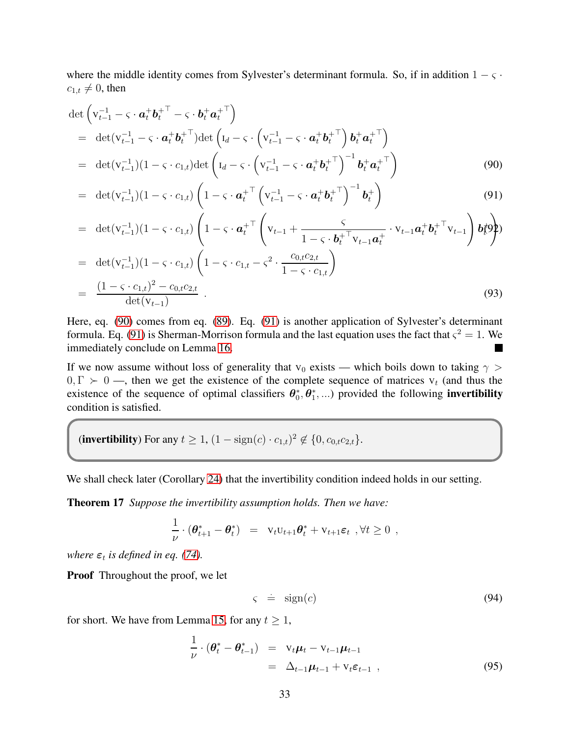where the middle identity comes from Sylvester's determinant formula. So, if in addition  $1 - \varsigma \cdot$  $c_{1,t} \neq 0$ , then

<span id="page-32-1"></span>
$$
\det \left( \mathbf{v}_{t-1}^{-1} - \varsigma \cdot \boldsymbol{a}_t^+ \boldsymbol{b}_t^{+ \top} - \varsigma \cdot \boldsymbol{b}_t^+ \boldsymbol{a}_t^{+ \top} \right)
$$
\n
$$
= \det(\mathbf{v}_{t-1}^{-1} - \varsigma \cdot \boldsymbol{a}_t^+ \boldsymbol{b}_t^{+ \top}) \det \left( \mathbf{I}_d - \varsigma \cdot \left( \mathbf{v}_{t-1}^{-1} - \varsigma \cdot \boldsymbol{a}_t^+ \boldsymbol{b}_t^{+ \top} \right) \boldsymbol{b}_t^+ \boldsymbol{a}_t^{+ \top} \right)
$$
\n
$$
= \det(\mathbf{v}_{t-1}^{-1})(1 - \varsigma \cdot c_{1,t}) \det \left( \mathbf{I}_d - \varsigma \cdot \left( \mathbf{v}_{t-1}^{-1} - \varsigma \cdot \boldsymbol{a}_t^+ \boldsymbol{b}_t^{+ \top} \right)^{-1} \boldsymbol{b}_t^+ \boldsymbol{a}_t^{+ \top} \right) \tag{90}
$$

$$
= \det(\mathbf{v}_{t-1}^{-1})(1-\varsigma \cdot c_{1,t}) \left(1-\varsigma \cdot \mathbf{a}_t^{+^{\top}} \left(\mathbf{v}_{t-1}^{-1}-\varsigma \cdot \mathbf{a}_t^{+} \mathbf{b}_t^{+^{\top}}\right)^{-1} \mathbf{b}_t^{+}\right) \tag{91}
$$

$$
= \det(\mathbf{v}_{t-1}^{-1})(1-\varsigma \cdot c_{1,t}) \left(1-\varsigma \cdot \mathbf{a}_t^{+^{\top}} \left(\mathbf{v}_{t-1} + \frac{\varsigma}{1-\varsigma \cdot \mathbf{b}_t^{+^{\top}} \mathbf{v}_{t-1} \mathbf{a}_t^{+}} \cdot \mathbf{v}_{t-1} \mathbf{a}_t^{+} \mathbf{b}_t^{+^{\top}} \mathbf{v}_{t-1}\right) \mathbf{b}_t^{\top} \mathbf{c}_t^{\top}
$$
  
= \det(\mathbf{v}\_{t-1}^{-1})(1-\varsigma \cdot c\_{1,t}) \left(1-\varsigma \cdot c\_{1,t} - \varsigma^2 \cdot \frac{c\_{0,t}c\_{2,t}}{1-\varsigma \cdot c\_{1,t}}\right)

$$
= \det(\mathbf{v}_{t-1}^{-1})(1 - \varsigma \cdot c_{1,t}) \left(1 - \varsigma \cdot c_{1,t} - \varsigma^2 \cdot \frac{c_{0,t}c_{2,t}}{1 - \varsigma \cdot c_{1,t}}\right)
$$
  

$$
= \frac{(1 - \varsigma \cdot c_{1,t})^2 - c_{0,t}c_{2,t}}{\det(\mathbf{v}_{t-1})}.
$$
 (93)

Here, eq. [\(90\)](#page-32-1) comes from eq. [\(89\)](#page-31-1). Eq. [\(91\)](#page-32-1) is another application of Sylvester's determinant formula. Eq. [\(91\)](#page-32-1) is Sherman-Morrison formula and the last equation uses the fact that  $\varsigma^2 = 1$ . We immediately conclude on Lemma [16.](#page-30-2)

If we now assume without loss of generality that  $v_0$  exists — which boils down to taking  $\gamma$  >  $0, \Gamma \succ 0$  —, then we get the existence of the complete sequence of matrices  $V_t$  (and thus the existence of the sequence of optimal classifiers  $\theta_0^*, \theta_1^*, ...$  provided the following **invertibility** condition is satisfied.

(invertibility) For any  $t \ge 1$ ,  $(1 - \text{sign}(c) \cdot c_{1,t})^2 \notin \{0, c_{0,t}c_{2,t}\}.$ 

We shall check later (Corollary [24\)](#page-42-0) that the invertibility condition indeed holds in our setting.

Theorem 17 *Suppose the invertibility assumption holds. Then we have:*

$$
\frac{1}{\nu} \cdot (\boldsymbol{\theta}_{t+1}^* - \boldsymbol{\theta}_t^*) = \mathbf{v}_t \mathbf{v}_{t+1} \boldsymbol{\theta}_t^* + \mathbf{v}_{t+1} \boldsymbol{\varepsilon}_t , \forall t \ge 0 ,
$$

*where*  $\varepsilon_t$  *is defined in eq.* [\(74\)](#page-29-2)*.* 

Proof Throughout the proof, we let

<span id="page-32-0"></span>
$$
\varsigma = \text{sign}(c) \tag{94}
$$

for short. We have from Lemma [15,](#page-30-0) for any  $t \geq 1$ ,

$$
\frac{1}{\nu} \cdot (\boldsymbol{\theta}_t^* - \boldsymbol{\theta}_{t-1}^*) = \mathbf{v}_t \boldsymbol{\mu}_t - \mathbf{v}_{t-1} \boldsymbol{\mu}_{t-1} \n= \Delta_{t-1} \boldsymbol{\mu}_{t-1} + \mathbf{v}_t \boldsymbol{\varepsilon}_{t-1} ,
$$
\n(95)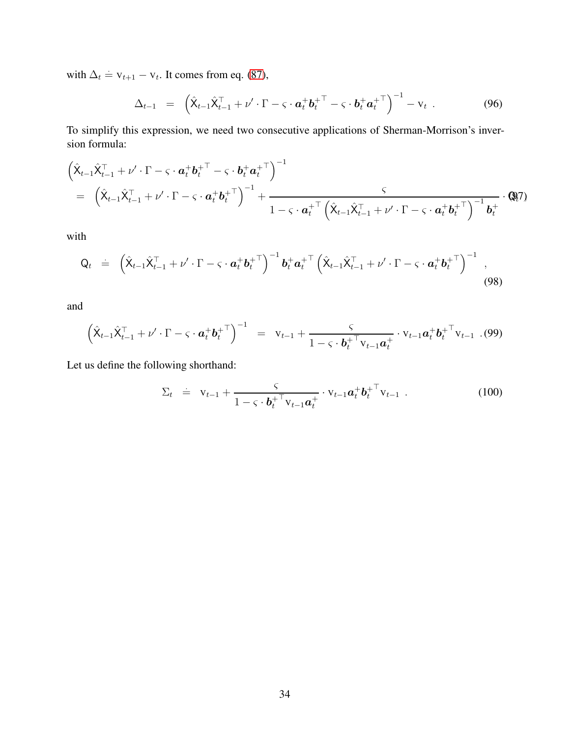with  $\Delta_t = v_{t+1} - v_t$ . It comes from eq. [\(87\)](#page-31-2),

$$
\Delta_{t-1} = \left( \hat{X}_{t-1} \hat{X}_{t-1}^{\top} + \nu' \cdot \Gamma - \varsigma \cdot \boldsymbol{a}_t^+ \boldsymbol{b}_t^{+ \top} - \varsigma \cdot \boldsymbol{b}_t^+ \boldsymbol{a}_t^{+ \top} \right)^{-1} - \mathrm{v}_t \tag{96}
$$

To simplify this expression, we need two consecutive applications of Sherman-Morrison's inversion formula:

<span id="page-33-0"></span>
$$
\begin{split}\n&\left(\hat{\mathbf{X}}_{t-1}\hat{\mathbf{X}}_{t-1}^{\top} + \nu' \cdot \Gamma - \varsigma \cdot \boldsymbol{a}_t^+ \boldsymbol{b}_t^{+ \top} - \varsigma \cdot \boldsymbol{b}_t^+ \boldsymbol{a}_t^{+ \top}\right)^{-1} \\
&= \left(\hat{\mathbf{X}}_{t-1}\hat{\mathbf{X}}_{t-1}^{\top} + \nu' \cdot \Gamma - \varsigma \cdot \boldsymbol{a}_t^+ \boldsymbol{b}_t^{+ \top}\right)^{-1} + \frac{\varsigma}{1 - \varsigma \cdot \boldsymbol{a}_t^{+ \top} \left(\hat{\mathbf{X}}_{t-1}\hat{\mathbf{X}}_{t-1}^{\top} + \nu' \cdot \Gamma - \varsigma \cdot \boldsymbol{a}_t^+ \boldsymbol{b}_t^{+ \top}\right)^{-1} \boldsymbol{b}_t^{+} \cdot \mathbf{Q}_t^{\top}\n\end{split}
$$

with

$$
\mathbf{Q}_t = \left( \hat{\mathbf{X}}_{t-1} \hat{\mathbf{X}}_{t-1}^\top + \nu' \cdot \Gamma - \varsigma \cdot \boldsymbol{a}_t^+ \boldsymbol{b}_t^{+ \top} \right)^{-1} \boldsymbol{b}_t^+ \boldsymbol{a}_t^{+ \top} \left( \hat{\mathbf{X}}_{t-1} \hat{\mathbf{X}}_{t-1}^\top + \nu' \cdot \Gamma - \varsigma \cdot \boldsymbol{a}_t^+ \boldsymbol{b}_t^{+ \top} \right)^{-1} , \tag{98}
$$

and

<span id="page-33-1"></span>
$$
\left(\hat{X}_{t-1}\hat{X}_{t-1}^{\top} + \nu' \cdot \Gamma - \varsigma \cdot \boldsymbol{a}_t^+ \boldsymbol{b}_t^{+ \top}\right)^{-1} = \mathbf{V}_{t-1} + \frac{\varsigma}{1 - \varsigma \cdot \boldsymbol{b}_t^{+ \top} \mathbf{V}_{t-1} \boldsymbol{a}_t^{+}} \cdot \mathbf{V}_{t-1} \boldsymbol{a}_t^{+} \boldsymbol{b}_t^{+ \top} \mathbf{V}_{t-1} \tag{99}
$$

Let us define the following shorthand:

$$
\Sigma_t \doteq \mathbf{v}_{t-1} + \frac{\varsigma}{1 - \varsigma \cdot \boldsymbol{b}_t^{+ \top} \mathbf{v}_{t-1} \boldsymbol{a}_t^{+}} \cdot \mathbf{v}_{t-1} \boldsymbol{a}_t^{+} {\boldsymbol{b}_t^{+ \top} \mathbf{v}_{t-1}} \tag{100}
$$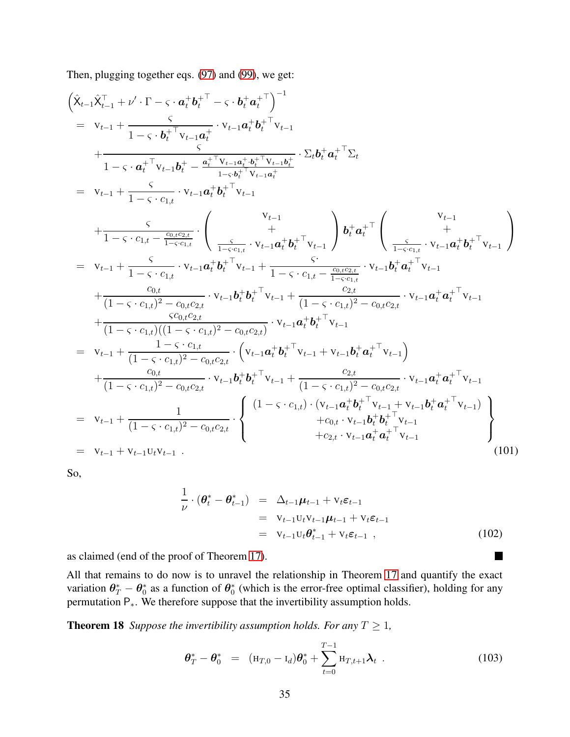Then, plugging together eqs. [\(97\)](#page-33-0) and [\(99\)](#page-33-1), we get:

$$
\left(\hat{\mathbf{X}}_{t-1}\hat{\mathbf{X}}_{t-1}^{\top} + \nu' \cdot \Gamma - \varsigma \cdot \mathbf{a}_{t}^{+} \mathbf{b}_{t}^{+ \top} - \varsigma \cdot \mathbf{b}_{t}^{+} \mathbf{a}_{t}^{+ \top} \right)^{-1}
$$
\n
$$
= \mathbf{v}_{t-1} + \frac{\varsigma}{1 - \varsigma \cdot \mathbf{a}_{t}^{+ \top} \mathbf{v}_{t-1} \mathbf{a}_{t}^{+} + \mathbf{b}_{t}^{+ \top} \mathbf{v}_{t-1}} + \frac{\varsigma}{1 - \varsigma \cdot \mathbf{a}_{t}^{+ \top} \mathbf{v}_{t-1} \mathbf{a}_{t}^{+} + \mathbf{b}_{t}^{+ \top} \mathbf{v}_{t-1}}}{1 - \varsigma \cdot \mathbf{a}_{t}^{+ \top} \mathbf{v}_{t-1} \mathbf{b}_{t}^{+} - \frac{\mathbf{a}_{t}^{+ \top} \mathbf{v}_{t-1} \mathbf{a}_{t}^{+} \mathbf{b}_{t}^{+ \top} \mathbf{v}_{t-1}}{1 - \varsigma \cdot c_{1,t}} - \frac{\varsigma}{1 - \varsigma \cdot c_{1,t}} \cdot \mathbf{v}_{t-1} \mathbf{a}_{t}^{+} \mathbf{b}_{t}^{+ \top} \mathbf{v}_{t-1}} + \frac{\varsigma}{1 - \varsigma \cdot c_{1,t} - \frac{c_{0,t}c_{2,t}}{1 - \varsigma \cdot c_{1,t}} \cdot \frac{\varsigma}{1 - \varsigma \cdot c_{1,t}} - \frac{\varsigma}{1 - \varsigma \cdot c_{1,t}} - \frac{\varsigma}{1 - \varsigma \cdot c_{1,t}} - \frac{\varsigma}{1 - \varsigma \cdot c_{1,t}} - \frac{\varsigma}{1 - \varsigma \cdot c_{1,t}} - \frac{\varsigma}{1 - \varsigma \cdot c_{1,t}} - \frac{\varsigma}{1 - \varsigma \cdot c_{1,t}} - \frac{\varsigma}{1 - \varsigma \cdot c_{1,t}} - \frac{\varsigma}{1 - \varsigma \cdot c_{1,t}} - \frac{\varsigma}{1 - \varsigma \cdot c_{1,t}} - \frac{\varsigma}{1 - \varsigma \cdot c_{1,t}} - \frac{\varsigma}{1 - \varsigma \cdot c_{1,t}} - \frac{\varsigma}{1 - \varsigma \cdot c_{1,t}} - \frac{\varsigma}{1 - \varsigma \cdot c_{1
$$

So,

$$
\frac{1}{\nu} \cdot (\boldsymbol{\theta}_t^* - \boldsymbol{\theta}_{t-1}^*) = \Delta_{t-1} \boldsymbol{\mu}_{t-1} + \mathbf{v}_t \boldsymbol{\varepsilon}_{t-1}
$$
\n
$$
= \mathbf{v}_{t-1} \mathbf{u}_t \mathbf{v}_{t-1} \boldsymbol{\mu}_{t-1} + \mathbf{v}_t \boldsymbol{\varepsilon}_{t-1}
$$
\n
$$
= \mathbf{v}_{t-1} \mathbf{u}_t \boldsymbol{\theta}_{t-1}^* + \mathbf{v}_t \boldsymbol{\varepsilon}_{t-1} \tag{102}
$$

<span id="page-34-0"></span> $\blacksquare$ 

as claimed (end of the proof of Theorem [17\)](#page-32-0).

All that remains to do now is to unravel the relationship in Theorem [17](#page-32-0) and quantify the exact variation  $\theta^*_T - \theta^*_0$  as a function of  $\theta^*_0$  (which is the error-free optimal classifier), holding for any permutation P∗. We therefore suppose that the invertibility assumption holds.

**Theorem 18** *Suppose the invertibility assumption holds. For any*  $T \geq 1$ *,* 

$$
\boldsymbol{\theta}_T^* - \boldsymbol{\theta}_0^* = (\mathbf{H}_{T,0} - \mathbf{I}_d) \boldsymbol{\theta}_0^* + \sum_{t=0}^{T-1} \mathbf{H}_{T,t+1} \boldsymbol{\lambda}_t.
$$
 (103)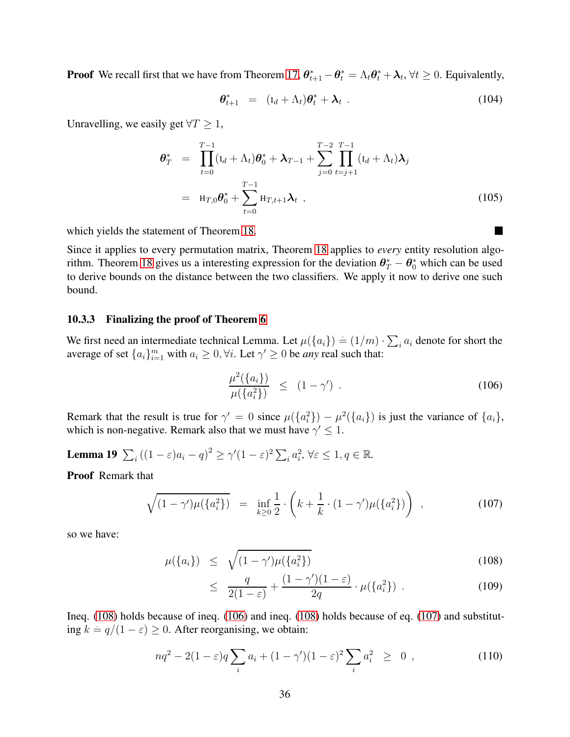**Proof** We recall first that we have from Theorem [17,](#page-32-0)  $\theta_{t+1}^* - \theta_t^* = \Lambda_t \theta_t^* + \lambda_t$ ,  $\forall t \ge 0$ . Equivalently,

$$
\boldsymbol{\theta}_{t+1}^* = (\mathbf{I}_d + \Lambda_t) \boldsymbol{\theta}_t^* + \boldsymbol{\lambda}_t. \qquad (104)
$$

Unravelling, we easily get  $\forall T \geq 1$ ,

$$
\theta_T^* = \prod_{t=0}^{T-1} (\mathbf{I}_d + \Lambda_t) \theta_0^* + \lambda_{T-1} + \sum_{j=0}^{T-2} \prod_{t=j+1}^{T-1} (\mathbf{I}_d + \Lambda_t) \lambda_j
$$
  
=  $\mathbf{H}_{T,0} \theta_0^* + \sum_{t=0}^{T-1} \mathbf{H}_{T,t+1} \lambda_t$ , (105)

which yields the statement of Theorem [18.](#page-34-0)

Since it applies to every permutation matrix, Theorem [18](#page-34-0) applies to *every* entity resolution algo-rithm. Theorem [18](#page-34-0) gives us a interesting expression for the deviation  $\theta^*_T - \theta^*_0$  which can be used to derive bounds on the distance between the two classifiers. We apply it now to derive one such bound.

#### 10.3.3 Finalizing the proof of Theorem [6](#page-9-0)

We first need an intermediate technical Lemma. Let  $\mu({a_i}) = (1/m) \cdot \sum_i a_i$  denote for short the average of set  $\{a_i\}_{i=1}^m$  with  $a_i \geq 0, \forall i$ . Let  $\gamma' \geq 0$  be *any* real such that:

<span id="page-35-3"></span><span id="page-35-1"></span>
$$
\frac{\mu^2(\{a_i\})}{\mu(\{a_i^2\})} \le (1 - \gamma') \ . \tag{106}
$$

Remark that the result is true for  $\gamma' = 0$  since  $\mu({a_i}^2) - \mu^2({a_i})$  is just the variance of  ${a_i}$ , which is non-negative. Remark also that we must have  $\gamma' \leq 1$ .

**Lemma 19**  $\sum_i ((1-\varepsilon)a_i - q)^2 \ge \gamma'(1-\varepsilon)^2 \sum_i a_i^2$ ,  $\forall \varepsilon \le 1, q \in \mathbb{R}$ .

Proof Remark that

<span id="page-35-2"></span>
$$
\sqrt{(1-\gamma')\mu(\{a_i^2\})} = \inf_{k\geq 0} \frac{1}{2} \cdot \left(k + \frac{1}{k} \cdot (1-\gamma')\mu(\{a_i^2\})\right) , \qquad (107)
$$

so we have:

<span id="page-35-0"></span>
$$
\mu(\lbrace a_i \rbrace) \leq \sqrt{(1-\gamma')\mu(\lbrace a_i^2 \rbrace)}
$$
\n(108)

$$
\leq \frac{q}{2(1-\varepsilon)} + \frac{(1-\gamma')(1-\varepsilon)}{2q} \cdot \mu(\lbrace a_i^2 \rbrace) \tag{109}
$$

Ineq. [\(108\)](#page-35-0) holds because of ineq. [\(106\)](#page-35-1) and ineq. [\(108\)](#page-35-0) holds because of eq. [\(107\)](#page-35-2) and substituting  $k = q/(1 - \varepsilon) \ge 0$ . After reorganising, we obtain:

$$
nq^{2} - 2(1 - \varepsilon)q \sum_{i} a_{i} + (1 - \gamma')(1 - \varepsilon)^{2} \sum_{i} a_{i}^{2} \geq 0 , \qquad (110)
$$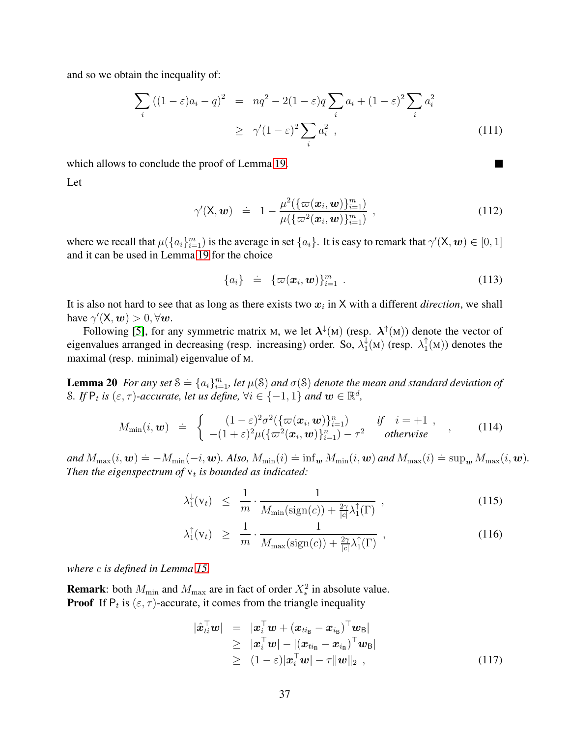and so we obtain the inequality of:

$$
\sum_{i} ((1 - \varepsilon)a_i - q)^2 = nq^2 - 2(1 - \varepsilon)q \sum_{i} a_i + (1 - \varepsilon)^2 \sum_{i} a_i^2
$$
  
 
$$
\geq \gamma'(1 - \varepsilon)^2 \sum_{i} a_i^2 , \qquad (111)
$$

which allows to conclude the proof of Lemma [19.](#page-35-3)

Let

$$
\gamma'(\mathsf{X}, \mathbf{w}) = 1 - \frac{\mu^2(\{\varpi(\mathbf{x}_i, \mathbf{w})\}_{i=1}^m)}{\mu(\{\varpi^2(\mathbf{x}_i, \mathbf{w})\}_{i=1}^m)},
$$
\n(112)

where we recall that  $\mu(\{a_i\}_{i=1}^m)$  is the average in set  $\{a_i\}$ . It is easy to remark that  $\gamma'(\mathsf{X},\mathbf{w}) \in [0,1]$ and it can be used in Lemma [19](#page-35-3) for the choice

<span id="page-36-0"></span>
$$
\{a_i\} = \{\varpi(\boldsymbol{x}_i, \boldsymbol{w})\}_{i=1}^m . \qquad (113)
$$

 $\blacksquare$ 

It is also not hard to see that as long as there exists two  $x_i$  in X with a different *direction*, we shall have  $\gamma'(\mathsf{X}, \mathbf{w}) > 0, \forall \mathbf{w}$ .

Following [\[5\]](#page-20-7), for any symmetric matrix M, we let  $\lambda^{\downarrow}(M)$  (resp.  $\lambda^{\uparrow}(M)$ ) denote the vector of eigenvalues arranged in decreasing (resp. increasing) order. So,  $\lambda_1^{\downarrow}$  $\chi_1^{\downarrow}(\mathbf{M})$  (resp.  $\lambda_1^{\uparrow}$  $I_1^{\uparrow}(M)$  denotes the maximal (resp. minimal) eigenvalue of M.

**Lemma 20** *For any set*  $S = \{a_i\}_{i=1}^m$ , let  $\mu(S)$  *and*  $\sigma(S)$  *denote the mean and standard deviation of* S. If  $P_t$  is  $(\varepsilon, \tau)$ -accurate, let us define,  $\forall i \in \{-1, 1\}$  and  $\boldsymbol{w} \in \mathbb{R}^d$ ,

$$
M_{\min}(i, \boldsymbol{w}) \doteq \begin{cases} (1-\varepsilon)^2 \sigma^2 (\{\varpi(\boldsymbol{x}_i, \boldsymbol{w})\}_{i=1}^n) & \text{if } i=+1, \\ -(1+\varepsilon)^2 \mu (\{\varpi^2(\boldsymbol{x}_i, \boldsymbol{w})\}_{i=1}^n) - \tau^2 & \text{otherwise} \end{cases}, \qquad (114)
$$

 $and M_{\max}(i, \boldsymbol{w}) \doteq -M_{\min}(-i, \boldsymbol{w})$ . Also,  $M_{\min}(i) \doteq \inf_{\boldsymbol{w}} M_{\min}(i, \boldsymbol{w})$  and  $M_{\max}(i) \doteq \sup_{\boldsymbol{w}} M_{\max}(i, \boldsymbol{w})$ . Then the eigenspectrum of  $v_t$  is bounded as indicated:

<span id="page-36-1"></span>
$$
\lambda_1^{\downarrow}(\mathbf{v}_t) \leq \frac{1}{m} \cdot \frac{1}{M_{\min}(\text{sign}(c)) + \frac{2\gamma}{|c|} \lambda_1^{\uparrow}(\Gamma)}, \qquad (115)
$$

$$
\lambda_1^{\uparrow}(\mathbf{v}_t) \geq \frac{1}{m} \cdot \frac{1}{M_{\max}(\text{sign}(c)) + \frac{2\gamma}{|c|} \lambda_1^{\uparrow}(\Gamma)},
$$
\n(116)

*where* c *is defined in Lemma [15.](#page-30-0)*

**Remark**: both  $M_{\text{min}}$  and  $M_{\text{max}}$  are in fact of order  $X_*^2$  in absolute value. **Proof** If  $P_t$  is  $(\epsilon, \tau)$ -accurate, it comes from the triangle inequality

$$
|\hat{\boldsymbol{x}}_{ti}^{\top}\boldsymbol{w}| = |\boldsymbol{x}_i^{\top}\boldsymbol{w} + (\boldsymbol{x}_{ti_B} - \boldsymbol{x}_{i_B})^{\top}\boldsymbol{w}_B|
$$
  
\n
$$
\geq |\boldsymbol{x}_i^{\top}\boldsymbol{w}| - |(\boldsymbol{x}_{ti_B} - \boldsymbol{x}_{i_B})^{\top}\boldsymbol{w}_B|
$$
  
\n
$$
\geq (1 - \varepsilon)|\boldsymbol{x}_i^{\top}\boldsymbol{w}| - \tau||\boldsymbol{w}||_2,
$$
 (117)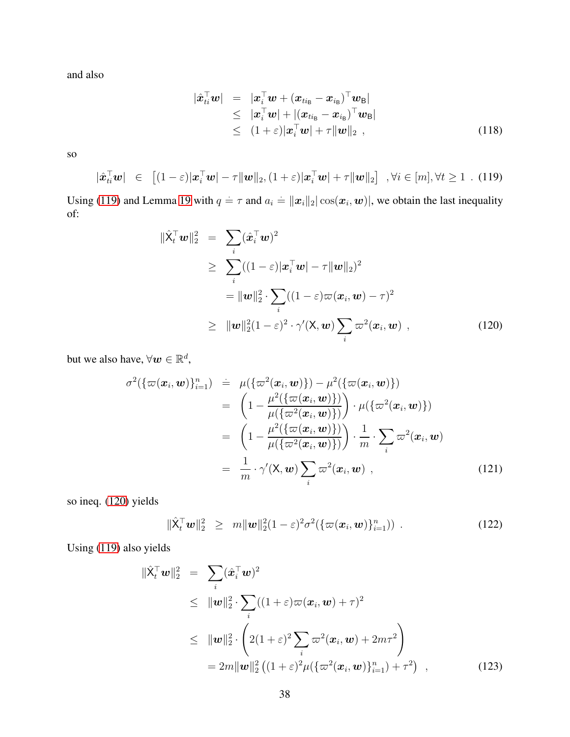and also

$$
\begin{array}{rcl}\n|\hat{\boldsymbol{x}}_{ti}^{\top}\boldsymbol{w}| & = & |\boldsymbol{x}_i^{\top}\boldsymbol{w} + (\boldsymbol{x}_{ti_B} - \boldsymbol{x}_{i_B})^{\top}\boldsymbol{w}_B| \\
& \leq & |\boldsymbol{x}_i^{\top}\boldsymbol{w}| + |(\boldsymbol{x}_{ti_B} - \boldsymbol{x}_{i_B})^{\top}\boldsymbol{w}_B| \\
& \leq & (1+\varepsilon)|\boldsymbol{x}_i^{\top}\boldsymbol{w}| + \tau ||\boldsymbol{w}||_2 \end{array} \tag{118}
$$

so

<span id="page-37-0"></span> $\overline{\phantom{a}}$ 

$$
\hat{\boldsymbol{x}}_{ti}^{\top}\boldsymbol{w}\vert \in [(1-\varepsilon)|\boldsymbol{x}_i^{\top}\boldsymbol{w}| - \tau\|\boldsymbol{w}\|_2, (1+\varepsilon)|\boldsymbol{x}_i^{\top}\boldsymbol{w}| + \tau\|\boldsymbol{w}\|_2] \quad , \forall i \in [m], \forall t \ge 1 \quad . \tag{119}
$$

Using [\(119\)](#page-37-0) and Lemma [19](#page-35-3) with  $q = \tau$  and  $a_i = ||x_i||_2 |\cos(x_i, w)|$ , we obtain the last inequality of:

<span id="page-37-1"></span>
$$
\begin{aligned}\n\|\hat{\mathbf{X}}_t^\top \mathbf{w}\|_2^2 &= \sum_i (\hat{\mathbf{x}}_i^\top \mathbf{w})^2 \\
&\geq \sum_i ((1-\varepsilon)|\mathbf{x}_i^\top \mathbf{w}| - \tau \|\mathbf{w}\|_2)^2 \\
&= \|\mathbf{w}\|_2^2 \cdot \sum_i ((1-\varepsilon)\varpi(\mathbf{x}_i, \mathbf{w}) - \tau)^2 \\
&\geq \|\mathbf{w}\|_2^2 (1-\varepsilon)^2 \cdot \gamma'(\mathsf{X}, \mathbf{w}) \sum_i \varpi^2(\mathbf{x}_i, \mathbf{w}) \,,\n\end{aligned} \tag{120}
$$

but we also have,  $\forall w \in \mathbb{R}^d$ ,

$$
\sigma^2(\{\varpi(\boldsymbol{x}_i,\boldsymbol{w})\}_{i=1}^n) = \mu(\{\varpi^2(\boldsymbol{x}_i,\boldsymbol{w})\}) - \mu^2(\{\varpi(\boldsymbol{x}_i,\boldsymbol{w})\})
$$
  
\n
$$
= \left(1 - \frac{\mu^2(\{\varpi(\boldsymbol{x}_i,\boldsymbol{w})\})}{\mu(\{\varpi^2(\boldsymbol{x}_i,\boldsymbol{w})\})}\right) \cdot \mu(\{\varpi^2(\boldsymbol{x}_i,\boldsymbol{w})\})
$$
  
\n
$$
= \left(1 - \frac{\mu^2(\{\varpi(\boldsymbol{x}_i,\boldsymbol{w})\})}{\mu(\{\varpi^2(\boldsymbol{x}_i,\boldsymbol{w})\})}\right) \cdot \frac{1}{m} \cdot \sum_i \varpi^2(\boldsymbol{x}_i,\boldsymbol{w})
$$
  
\n
$$
= \frac{1}{m} \cdot \gamma'(\mathsf{X},\boldsymbol{w}) \sum_i \varpi^2(\boldsymbol{x}_i,\boldsymbol{w}) , \qquad (121)
$$

so ineq. [\(120\)](#page-37-1) yields

$$
\|\hat{\mathbf{X}}_t^{\top}\mathbf{w}\|_2^2 \geq m \|\mathbf{w}\|_2^2 (1-\varepsilon)^2 \sigma^2 (\{\varpi(\mathbf{x}_i, \mathbf{w})\}_{i=1}^n)) .
$$
 (122)

Using [\(119\)](#page-37-0) also yields

$$
\|\hat{\mathbf{X}}_t^{\top}\mathbf{w}\|_2^2 = \sum_i (\hat{\mathbf{x}}_i^{\top}\mathbf{w})^2
$$
  
\n
$$
\leq \|\mathbf{w}\|_2^2 \cdot \sum_i ((1+\varepsilon)\varpi(\mathbf{x}_i, \mathbf{w}) + \tau)^2
$$
  
\n
$$
\leq \|\mathbf{w}\|_2^2 \cdot \left(2(1+\varepsilon)^2 \sum_i \varpi^2(\mathbf{x}_i, \mathbf{w}) + 2m\tau^2\right)
$$
  
\n
$$
= 2m \|\mathbf{w}\|_2^2 \left((1+\varepsilon)^2 \mu \left\{\varpi^2(\mathbf{x}_i, \mathbf{w})\right\}_{i=1}^n\right) + \tau^2\right),
$$
\n(123)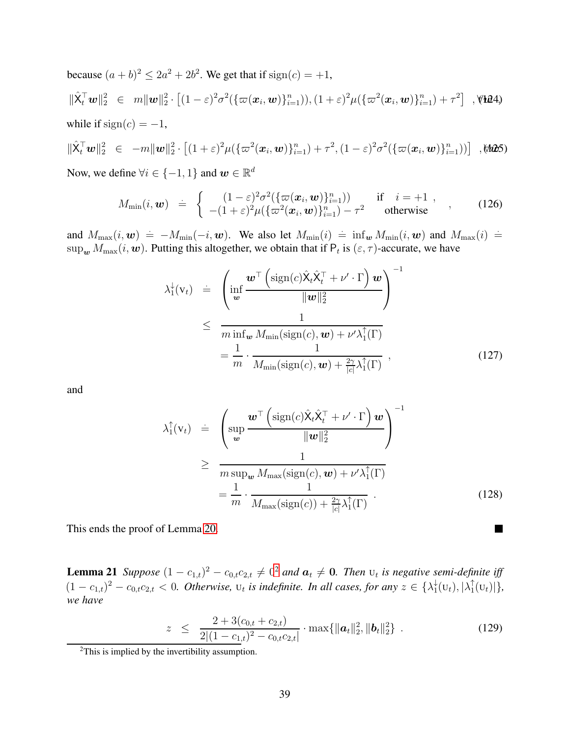because  $(a + b)^2 \le 2a^2 + 2b^2$ . We get that if  $sign(c) = +1$ ,  $\|\hat{\mathsf{X}}_t^{\top} \mathbf{w}\|_2^2 \ \in \ m \|\mathbf{w}\|_2^2 \cdot \left[ (1-\varepsilon)^2 \sigma^2(\{\varpi(\mathbf{x}_i, \mathbf{w})\}_{i=1}^n) , (1+\varepsilon)^2 \mu(\{\varpi^2(\mathbf{x}_i, \mathbf{w})\}_{i=1}^n) + \tau^2 \right]$ , **(124)** while if  $sign(c) = -1$ ,

$$
\|\hat{\mathbf{X}}_t^{\mathsf{T}}\mathbf{w}\|_2^2 \in -m\|\mathbf{w}\|_2^2 \cdot \left[ (1+\varepsilon)^2 \mu(\{\varpi^2(\mathbf{x}_i,\mathbf{w})\}_{i=1}^n) + \tau^2, (1-\varepsilon)^2 \sigma^2(\{\varpi(\mathbf{x}_i,\mathbf{w})\}_{i=1}^n)) \right] ,\text{M25}
$$

Now, we define  $\forall i \in \{-1, 1\}$  and  $\boldsymbol{w} \in \mathbb{R}^d$ 

$$
M_{\min}(i, \boldsymbol{w}) \doteq \begin{cases} (1-\varepsilon)^2 \sigma^2 (\{\varpi(\boldsymbol{x}_i, \boldsymbol{w})\}_{i=1}^n) ) & \text{if } i=+1, \\ -(1+\varepsilon)^2 \mu (\{\varpi^2(\boldsymbol{x}_i, \boldsymbol{w})\}_{i=1}^n) - \tau^2 & \text{otherwise} \end{cases}, \qquad (126)
$$

and  $M_{\text{max}}(i, \boldsymbol{w}) = -M_{\text{min}}(-i, \boldsymbol{w})$ . We also let  $M_{\text{min}}(i) = \inf_{\boldsymbol{w}} M_{\text{min}}(i, \boldsymbol{w})$  and  $M_{\text{max}}(i) =$  $\sup_{\bm{w}} M_{\max}(i, \bm{w})$ . Putting this altogether, we obtain that if  $\mathsf{P}_t$  is  $(\varepsilon, \tau)$ -accurate, we have

$$
\lambda_1^{\downarrow}(v_t) = \left( \inf_{\mathbf{w}} \frac{\mathbf{w}^{\top} \left( \text{sign}(c) \hat{\mathbf{X}}_t \hat{\mathbf{X}}_t^{\top} + \nu' \cdot \Gamma \right) \mathbf{w}}{\|\mathbf{w}\|_2^2} \right)^{-1}
$$
\n
$$
\leq \frac{1}{m \inf_{\mathbf{w}} M_{\min}(\text{sign}(c), \mathbf{w}) + \nu' \lambda_1^{\uparrow}(\Gamma)}
$$
\n
$$
= \frac{1}{m} \cdot \frac{1}{M_{\min}(\text{sign}(c), \mathbf{w}) + \frac{2\gamma}{|c|} \lambda_1^{\uparrow}(\Gamma)},
$$
\n(127)

and

$$
\lambda_1^{\uparrow}(\mathbf{v}_t) = \begin{pmatrix}\n\text{sup} \frac{\mathbf{w}^{\top} \left(\text{sign}(c) \hat{\mathbf{X}}_t \hat{\mathbf{X}}_t^{\top} + \nu' \cdot \Gamma\right) \mathbf{w}}{\|\mathbf{w}\|_2^2} \\
\text{sum} \frac{1}{m \text{sup}_{\mathbf{w}} M_{\text{max}}(\text{sign}(c), \mathbf{w}) + \nu' \lambda_1^{\uparrow}(\Gamma)} \\
= \frac{1}{m} \cdot \frac{1}{M_{\text{max}}(\text{sign}(c)) + \frac{2\gamma}{|c|} \lambda_1^{\uparrow}(\Gamma)}\n\end{pmatrix}^{-1}
$$
\n(128)

 $\blacksquare$ 

<span id="page-38-1"></span>This ends the proof of Lemma [20.](#page-36-0)

**Lemma [2](#page-38-0)1** Suppose  $(1 - c_{1,t})^2 - c_{0,t}c_{2,t} \neq 0^2$  and  $a_t \neq 0$ . Then  $u_t$  is negative semi-definite iff  $(1 - c_{1,t})^2 - c_{0,t}c_{2,t} < 0$ . Otherwise,  $u_t$  is indefinite. In all cases, for any  $z \in \{\lambda_1^{\downarrow}$  $\frac{1}{1}(\mathbf{U}_t), |\lambda_1^{\uparrow}|$  $_{1}^{T}(U_{t})|\},$ *we have*

$$
z \leq \frac{2 + 3(c_{0,t} + c_{2,t})}{2|(1 - c_{1,t})^2 - c_{0,t}c_{2,t}|} \cdot \max\{\|\boldsymbol{a}_t\|_2^2, \|\boldsymbol{b}_t\|_2^2\} \ . \tag{129}
$$

<span id="page-38-0"></span><sup>2</sup>This is implied by the invertibility assumption.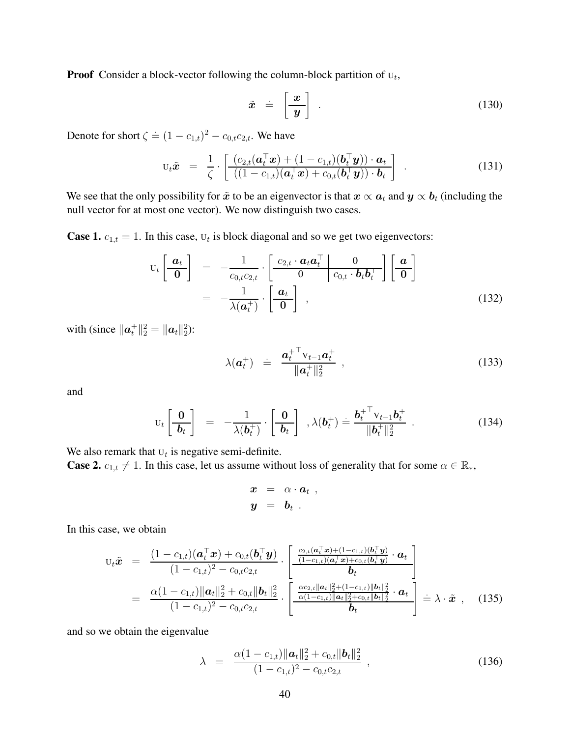**Proof** Consider a block-vector following the column-block partition of  $U_t$ ,

$$
\tilde{x} = \left[\frac{x}{y}\right] \tag{130}
$$

Denote for short  $\zeta \doteq (1 - c_{1,t})^2 - c_{0,t}c_{2,t}$ . We have

$$
\mathbf{U}_t \tilde{\boldsymbol{x}} = \frac{1}{\zeta} \cdot \left[ \frac{(c_{2,t}(\boldsymbol{a}_t^{\top} \boldsymbol{x}) + (1 - c_{1,t})(\boldsymbol{b}_t^{\top} \boldsymbol{y})) \cdot \boldsymbol{a}_t}{((1 - c_{1,t})(\boldsymbol{a}_t^{\top} \boldsymbol{x}) + c_{0,t}(\boldsymbol{b}_t^{\top} \boldsymbol{y})) \cdot \boldsymbol{b}_t} \right]
$$
(131)

We see that the only possibility for  $\tilde{x}$  to be an eigenvector is that  $x \propto a_t$  and  $y \propto b_t$  (including the null vector for at most one vector). We now distinguish two cases.

**Case 1.**  $c_{1,t} = 1$ . In this case,  $U_t$  is block diagonal and so we get two eigenvectors:

$$
\mathbf{U}_{t}\left[\begin{array}{c}\boldsymbol{a}_{t}\\ \hline \mathbf{0}\end{array}\right] = -\frac{1}{c_{0,t}c_{2,t}} \cdot \left[\begin{array}{c|c}\ c_{2,t} \cdot \boldsymbol{a}_{t}\boldsymbol{a}_{t}^{\top} & \mathbf{0} \\
\hline \mathbf{0} & c_{0,t} \cdot \boldsymbol{b}_{t}\boldsymbol{b}_{t}^{\top}\end{array}\right]\left[\begin{array}{c}\boldsymbol{a}\\ \hline \mathbf{0}\end{array}\right] \\
= -\frac{1}{\lambda(\boldsymbol{a}_{t}^{+})} \cdot \left[\begin{array}{c}\boldsymbol{a}_{t}\\ \hline \mathbf{0}\end{array}\right] ,
$$
\n(132)

with (since  $\|\bm{a}_t^+\|_2^2 = \|\bm{a}_t\|_2^2$ ):

$$
\lambda(\boldsymbol{a}_t^+) = \frac{\boldsymbol{a}_t^{+}^\top \mathbf{v}_{t-1} \boldsymbol{a}_t^+}{\|\boldsymbol{a}_t^+\|_2^2} \,, \tag{133}
$$

and

$$
\mathbf{U}_t \left[ \frac{\mathbf{0}}{\mathbf{b}_t} \right] = -\frac{1}{\lambda(\mathbf{b}_t^+)} \cdot \left[ \frac{\mathbf{0}}{\mathbf{b}_t} \right], \lambda(\mathbf{b}_t^+) \doteq \frac{\mathbf{b}_t^{+ \top} \mathbf{V}_{t-1} \mathbf{b}_t^+}{\Vert \mathbf{b}_t^+ \Vert_2^2} \ . \tag{134}
$$

We also remark that  $U_t$  is negative semi-definite.

**Case 2.**  $c_{1,t} \neq 1$ . In this case, let us assume without loss of generality that for some  $\alpha \in \mathbb{R}_*$ ,

$$
\begin{array}{rcl}\n\boldsymbol{x} & = & \alpha \cdot \boldsymbol{a}_t ,\\ \n\boldsymbol{y} & = & \boldsymbol{b}_t .\n\end{array}
$$

In this case, we obtain

$$
U_t \tilde{\mathbf{x}} = \frac{(1 - c_{1,t})(\mathbf{a}_t^{\top} \mathbf{x}) + c_{0,t}(\mathbf{b}_t^{\top} \mathbf{y})}{(1 - c_{1,t})^2 - c_{0,t}c_{2,t}} \cdot \left[ \frac{\frac{c_{2,t}(\mathbf{a}_t^{\top} \mathbf{x}) + (1 - c_{1,t})(\mathbf{b}_t^{\top} \mathbf{y})}{(1 - c_{1,t})(\mathbf{a}_t^{\top} \mathbf{x}) + c_{0,t}(\mathbf{b}_t^{\top} \mathbf{y})} \cdot \mathbf{a}_t}{\mathbf{b}_t} \right]
$$
  
\n
$$
= \frac{\alpha(1 - c_{1,t}) ||\mathbf{a}_t||_2^2 + c_{0,t} ||\mathbf{b}_t||_2^2}{(1 - c_{1,t})^2 - c_{0,t}c_{2,t}} \cdot \left[ \frac{\frac{\alpha c_{2,t} ||\mathbf{a}_t||_2^2 + (1 - c_{1,t}) ||\mathbf{b}_t||_2^2}{\alpha(1 - c_{1,t}) ||\mathbf{a}_t||_2^2 + c_{0,t} ||\mathbf{b}_t||_2^2} \cdot \mathbf{a}_t}{\mathbf{b}_t} \right] = \lambda \cdot \tilde{\mathbf{x}} \quad (135)
$$

and so we obtain the eigenvalue

$$
\lambda = \frac{\alpha (1 - c_{1,t}) ||\boldsymbol{a}_t||_2^2 + c_{0,t} ||\boldsymbol{b}_t||_2^2}{(1 - c_{1,t})^2 - c_{0,t} c_{2,t}},
$$
\n(136)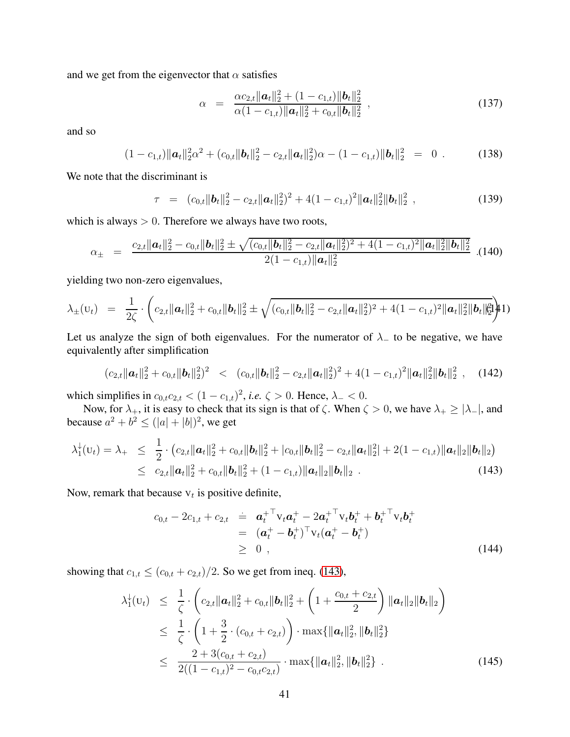and we get from the eigenvector that  $\alpha$  satisfies

$$
\alpha = \frac{\alpha c_{2,t} ||\boldsymbol{a}_t||_2^2 + (1 - c_{1,t}) ||\boldsymbol{b}_t||_2^2}{\alpha (1 - c_{1,t}) ||\boldsymbol{a}_t||_2^2 + c_{0,t} ||\boldsymbol{b}_t||_2^2},
$$
\n(137)

and so

$$
(1 - c_{1,t}) ||\boldsymbol{a}_t||_2^2 \alpha^2 + (c_{0,t} ||\boldsymbol{b}_t||_2^2 - c_{2,t} ||\boldsymbol{a}_t||_2^2) \alpha - (1 - c_{1,t}) ||\boldsymbol{b}_t||_2^2 = 0.
$$
 (138)

We note that the discriminant is

$$
\tau = (c_{0,t} ||\boldsymbol{b}_t||_2^2 - c_{2,t} ||\boldsymbol{a}_t||_2^2)^2 + 4(1 - c_{1,t})^2 ||\boldsymbol{a}_t||_2^2 ||\boldsymbol{b}_t||_2^2,
$$
\n(139)

which is always  $> 0$ . Therefore we always have two roots,

$$
\alpha_{\pm} = \frac{c_{2,t} ||\boldsymbol{a}_t||_2^2 - c_{0,t} ||\boldsymbol{b}_t||_2^2 \pm \sqrt{(c_{0,t} ||\boldsymbol{b}_t||_2^2 - c_{2,t} ||\boldsymbol{a}_t||_2^2)^2 + 4(1 - c_{1,t})^2 ||\boldsymbol{a}_t||_2^2 ||\boldsymbol{b}_t||_2^2}}{2(1 - c_{1,t}) ||\boldsymbol{a}_t||_2^2} \quad .
$$
(140)

yielding two non-zero eigenvalues,

$$
\lambda_{\pm}(\mathbf{u}_t) = \frac{1}{2\zeta} \cdot \left( c_{2,t} ||\mathbf{a}_t||_2^2 + c_{0,t} ||\mathbf{b}_t||_2^2 \pm \sqrt{(c_{0,t} ||\mathbf{b}_t||_2^2 - c_{2,t} ||\mathbf{a}_t||_2^2)^2 + 4(1 - c_{1,t})^2 ||\mathbf{a}_t||_2^2 ||\mathbf{b}_t||_2^2} \right)
$$

Let us analyze the sign of both eigenvalues. For the numerator of  $\lambda$  to be negative, we have equivalently after simplification

$$
(c_{2,t}||\boldsymbol{a}_t||_2^2 + c_{0,t}||\boldsymbol{b}_t||_2^2)^2 \leq (c_{0,t}||\boldsymbol{b}_t||_2^2 - c_{2,t}||\boldsymbol{a}_t||_2^2)^2 + 4(1 - c_{1,t})^2||\boldsymbol{a}_t||_2^2||\boldsymbol{b}_t||_2^2 , \quad (142)
$$

which simplifies in  $c_{0,t}c_{2,t} < (1 - c_{1,t})^2$ , *i.e.*  $\zeta > 0$ . Hence,  $\lambda_{-} < 0$ . which simplifies in  $c_{0,t}c_{2,t} < (1 - c_{1,t})^2$ , *i.e.*  $\zeta > 0$ . Hence,  $\lambda_{-} < 0$ .

Now, for  $\lambda_+$ , it is easy to check that its sign is that of  $\zeta$ . When  $\zeta > 0$ , we have  $\lambda_+ \geq |\lambda_-|$ , and because  $a^2 + b^2 \le (|a| + |b|)^2$ , we get

<span id="page-40-0"></span>
$$
\lambda_1^{\downarrow}(U_t) = \lambda_+ \leq \frac{1}{2} \cdot (c_{2,t} \|\boldsymbol{a}_t\|_2^2 + c_{0,t} \|\boldsymbol{b}_t\|_2^2 + |c_{0,t}| \|\boldsymbol{b}_t\|_2^2 - c_{2,t} \|\boldsymbol{a}_t\|_2^2 + 2(1 - c_{1,t}) \|\boldsymbol{a}_t\|_2 \|\boldsymbol{b}_t\|_2)
$$
  
 
$$
\leq c_{2,t} \|\boldsymbol{a}_t\|_2^2 + c_{0,t} \|\boldsymbol{b}_t\|_2^2 + (1 - c_{1,t}) \|\boldsymbol{a}_t\|_2 \|\boldsymbol{b}_t\|_2 . \tag{143}
$$

Now, remark that because  $v_t$  is positive definite,

$$
c_{0,t} - 2c_{1,t} + c_{2,t} = \mathbf{a}_t^{+T} \mathbf{v}_t \mathbf{a}_t^+ - 2\mathbf{a}_t^{+T} \mathbf{v}_t \mathbf{b}_t^+ + \mathbf{b}_t^{+T} \mathbf{v}_t \mathbf{b}_t^+
$$
  
=  $(\mathbf{a}_t^+ - \mathbf{b}_t^+)^T \mathbf{v}_t (\mathbf{a}_t^+ - \mathbf{b}_t^+)$   
\ge 0 , (144)

showing that  $c_{1,t} \le (c_{0,t} + c_{2,t})/2$ . So we get from ineq. [\(143\)](#page-40-0),

<span id="page-40-1"></span>
$$
\lambda_1^{\downarrow}(U_t) \leq \frac{1}{\zeta} \cdot \left( c_{2,t} \|\boldsymbol{a}_t\|_2^2 + c_{0,t} \|\boldsymbol{b}_t\|_2^2 + \left( 1 + \frac{c_{0,t} + c_{2,t}}{2} \right) \|\boldsymbol{a}_t\|_2 \|\boldsymbol{b}_t\|_2 \right) \leq \frac{1}{\zeta} \cdot \left( 1 + \frac{3}{2} \cdot (c_{0,t} + c_{2,t}) \right) \cdot \max\{\|\boldsymbol{a}_t\|_2^2, \|\boldsymbol{b}_t\|_2^2\} \leq \frac{2 + 3(c_{0,t} + c_{2,t})}{2((1 - c_{1,t})^2 - c_{0,t}c_{2,t})} \cdot \max\{\|\boldsymbol{a}_t\|_2^2, \|\boldsymbol{b}_t\|_2^2\} .
$$
\n(145)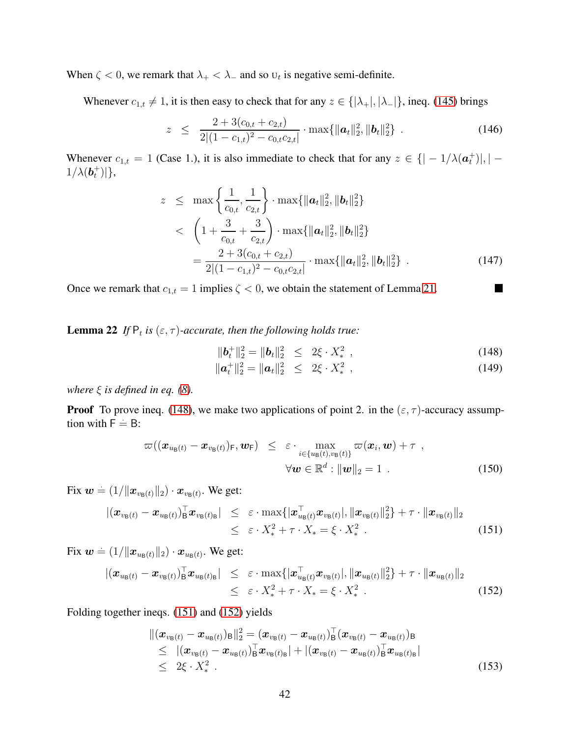When  $\zeta$  < 0, we remark that  $\lambda_+ < \lambda_-$  and so  $U_t$  is negative semi-definite.

Whenever  $c_{1,t} \neq 1$ , it is then easy to check that for any  $z \in \{|\lambda_+|, |\lambda_-|\}$ , ineq. [\(145\)](#page-40-1) brings

$$
z \leq \frac{2 + 3(c_{0,t} + c_{2,t})}{2|(1 - c_{1,t})^2 - c_{0,t}c_{2,t}|} \cdot \max{\{\|\boldsymbol{a}_t\|_2^2, \|\boldsymbol{b}_t\|_2^2\}} \ . \tag{146}
$$

Whenever  $c_{1,t} = 1$  (Case 1.), it is also immediate to check that for any  $z \in \{ |-1/\lambda(\boldsymbol{a}_t^+)|, |-1/\lambda(\boldsymbol{a}_t^+)|, |\boldsymbol{a}_t^-|, |\boldsymbol{a}_t^-|, |\boldsymbol{a}_t^-|, |\boldsymbol{a}_t^-|, |\boldsymbol{a}_t^-|, |\boldsymbol{a}_t^-|, |\boldsymbol{a}_t^-|, |\boldsymbol{a}_t^-|, |\boldsymbol{a}_t^-|, |\boldsymbol{a}_t^-|, |\boldsymbol{a}_t^-|, |\$  $1/\lambda(\boldsymbol{b}^+_t)|\},\$ 

$$
z \leq \max \left\{ \frac{1}{c_{0,t}}, \frac{1}{c_{2,t}} \right\} \cdot \max \{ ||\boldsymbol{a}_t||_2^2, ||\boldsymbol{b}_t||_2^2 \}
$$
  

$$
< \left( 1 + \frac{3}{c_{0,t}} + \frac{3}{c_{2,t}} \right) \cdot \max \{ ||\boldsymbol{a}_t||_2^2, ||\boldsymbol{b}_t||_2^2 \}
$$
  

$$
= \frac{2 + 3(c_{0,t} + c_{2,t})}{2|(1 - c_{1,t})^2 - c_{0,t}c_{2,t}|} \cdot \max \{ ||\boldsymbol{a}_t||_2^2, ||\boldsymbol{b}_t||_2^2 \} .
$$
 (147)

<span id="page-41-3"></span>Once we remark that  $c_{1,t} = 1$  implies  $\zeta < 0$ , we obtain the statement of Lemma [21.](#page-38-1)

**Lemma 22** If  $P_t$  is  $(\varepsilon, \tau)$ -accurate, then the following holds true:

<span id="page-41-0"></span>
$$
\|\boldsymbol{b}_t^+\|_2^2 = \|\boldsymbol{b}_t\|_2^2 \le 2\xi \cdot X_*^2 , \qquad (148)
$$

$$
\|\mathbf{a}_t^+\|_2^2 = \|\mathbf{a}_t\|_2^2 \le 2\xi \cdot X_*^2 , \qquad (149)
$$

*where*  $\xi$  *is defined in eq.* [\(8\)](#page-5-2)*.* 

**Proof** To prove ineq. [\(148\)](#page-41-0), we make two applications of point 2. in the  $(\varepsilon, \tau)$ -accuracy assumption with  $\overline{F} = B$ :

$$
\varpi((\boldsymbol{x}_{u_{\mathsf{B}}(t)} - \boldsymbol{x}_{v_{\mathsf{B}}(t)})_{\mathsf{F}}, \boldsymbol{w}_{\mathsf{F}}) \leq \varepsilon \cdot \max_{i \in \{u_{\mathsf{B}}(t), v_{\mathsf{B}}(t)\}} \varpi(\boldsymbol{x}_i, \boldsymbol{w}) + \tau ,
$$
  

$$
\forall \boldsymbol{w} \in \mathbb{R}^d : \|\boldsymbol{w}\|_2 = 1 .
$$
 (150)

Fix  $\boldsymbol{w} = (1/\|\boldsymbol{x}_{v_{\mathsf{B}}(t)}\|_2) \cdot \boldsymbol{x}_{v_{\mathsf{B}}(t)}$ . We get:

<span id="page-41-1"></span>
$$
\begin{array}{rcl}\n\left| \left( \boldsymbol{x}_{v_{\mathsf{B}}(t)} - \boldsymbol{x}_{u_{\mathsf{B}}(t)} \right)_{\mathsf{B}}^{\top} \boldsymbol{x}_{v_{\mathsf{B}}(t)_{\mathsf{B}}} \right| & \leq & \varepsilon \cdot \max \{ \left| \boldsymbol{x}_{u_{\mathsf{B}}(t)}^{\top} \boldsymbol{x}_{v_{\mathsf{B}}(t)} \right|, \left\| \boldsymbol{x}_{v_{\mathsf{B}}(t)} \right\|_{2}^{2} \} + \tau \cdot \left\| \boldsymbol{x}_{v_{\mathsf{B}}(t)} \right\|_{2} \\
& \leq & \varepsilon \cdot X_{*}^{2} + \tau \cdot X_{*} = \xi \cdot X_{*}^{2} \ .\n\end{array} \tag{151}
$$

Fix  $\boldsymbol{w} = (1/\|\boldsymbol{x}_{u_{\mathsf{B}}(t)}\|_2) \cdot \boldsymbol{x}_{u_{\mathsf{B}}(t)}$ . We get:

<span id="page-41-2"></span>
$$
\begin{array}{rcl}\n\left| \left( \boldsymbol{x}_{u_{\mathsf{B}}(t)} - \boldsymbol{x}_{v_{\mathsf{B}}(t)} \right)_{\mathsf{B}}^{\top} \boldsymbol{x}_{u_{\mathsf{B}}(t)_{\mathsf{B}}} \right| & \leq & \varepsilon \cdot \max \{ \left| \boldsymbol{x}_{u_{\mathsf{B}}(t)}^{\top} \boldsymbol{x}_{v_{\mathsf{B}}(t)} \right|, \left\| \boldsymbol{x}_{u_{\mathsf{B}}(t)} \right\|_{2}^{2} \} + \tau \cdot \left\| \boldsymbol{x}_{u_{\mathsf{B}}(t)} \right\|_{2} \\
& \leq & \varepsilon \cdot X_{*}^{2} + \tau \cdot X_{*} = \xi \cdot X_{*}^{2} \ .\n\end{array} \tag{152}
$$

Folding together ineqs. [\(151\)](#page-41-1) and [\(152\)](#page-41-2) yields

$$
\|(\boldsymbol{x}_{v_{\mathsf{B}}(t)} - \boldsymbol{x}_{u_{\mathsf{B}}(t)})_{\mathsf{B}}\|_{2}^{2} = (\boldsymbol{x}_{v_{\mathsf{B}}(t)} - \boldsymbol{x}_{u_{\mathsf{B}}(t)})_{\mathsf{B}}^{\top}(\boldsymbol{x}_{v_{\mathsf{B}}(t)} - \boldsymbol{x}_{u_{\mathsf{B}}(t)})_{\mathsf{B}}^{\top} \leq |(\boldsymbol{x}_{v_{\mathsf{B}}(t)} - \boldsymbol{x}_{u_{\mathsf{B}}(t)})_{\mathsf{B}}^{\top} \boldsymbol{x}_{v_{\mathsf{B}}(t)_{\mathsf{B}}}| + |(\boldsymbol{x}_{v_{\mathsf{B}}(t)} - \boldsymbol{x}_{u_{\mathsf{B}}(t)})_{\mathsf{B}}^{\top} \boldsymbol{x}_{u_{\mathsf{B}}(t)_{\mathsf{B}}}| \leq 2\zeta \cdot X^{2}_{*}.
$$
\n(153)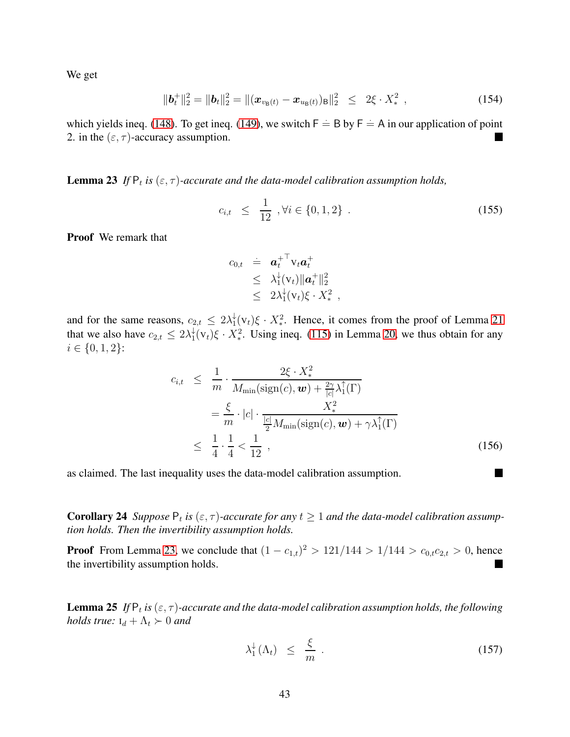We get

$$
\|\boldsymbol{b}_{t}^{+}\|_{2}^{2} = \|\boldsymbol{b}_{t}\|_{2}^{2} = \|(\boldsymbol{x}_{v_{\mathsf{B}}(t)} - \boldsymbol{x}_{u_{\mathsf{B}}(t)})_{\mathsf{B}}\|_{2}^{2} \leq 2\xi \cdot X_{*}^{2} , \qquad (154)
$$

which yields ineq. [\(148\)](#page-41-0). To get ineq. [\(149\)](#page-41-0), we switch  $F = B$  by  $F = A$  in our application of point 2. in the  $(\varepsilon, \tau)$ -accuracy assumption. П

<span id="page-42-1"></span>**Lemma 23** If  $P_t$  is  $(\varepsilon, \tau)$ -accurate and the data-model calibration assumption holds,

$$
c_{i,t} \leq \frac{1}{12}, \forall i \in \{0, 1, 2\} . \tag{155}
$$

Proof We remark that

$$
c_{0,t} \doteq \mathbf{a}_t^{+T} \mathbf{v}_t \mathbf{a}_t^+ \n\leq \lambda_1^{\downarrow}(\mathbf{v}_t) \|\mathbf{a}_t^+\|_2^2 \n\leq 2\lambda_1^{\downarrow}(\mathbf{v}_t)\xi \cdot X_*^2 ,
$$

and for the same reasons,  $c_{2,t} \leq 2\lambda_1^{\downarrow}$  $\frac{1}{1}(v_t)\xi \cdot X_*^2$ . Hence, it comes from the proof of Lemma [21](#page-38-1) that we also have  $c_{2,t} \leq 2\lambda_1^{\downarrow}$  $\frac{1}{1}(v_t)\xi \cdot X_*^2$ . Using ineq. [\(115\)](#page-36-1) in Lemma [20,](#page-36-0) we thus obtain for any  $i \in \{0, 1, 2\}$ :

$$
c_{i,t} \leq \frac{1}{m} \cdot \frac{2\xi \cdot X_*^2}{M_{\min}(\text{sign}(c), \mathbf{w}) + \frac{2\gamma}{|c|} \lambda_1^{\uparrow}(\Gamma)}
$$
  
=  $\frac{\xi}{m} \cdot |c| \cdot \frac{X_*^2}{\frac{|c|}{2} M_{\min}(\text{sign}(c), \mathbf{w}) + \gamma \lambda_1^{\uparrow}(\Gamma)}$   
 $\leq \frac{1}{4} \cdot \frac{1}{4} < \frac{1}{12}$ , (156)

<span id="page-42-0"></span>as claimed. The last inequality uses the data-model calibration assumption.

**Corollary 24** Suppose  $P_t$  is  $(\varepsilon, \tau)$ -accurate for any  $t \ge 1$  and the data-model calibration assump*tion holds. Then the invertibility assumption holds.*

**Proof** From Lemma [23,](#page-42-1) we conclude that  $(1 - c_{1,t})^2 > 121/144 > 1/144 > c_{0,t}c_{2,t} > 0$ , hence the invertibility assumption holds. Ш

<span id="page-42-3"></span>**Lemma 25** If  $P_t$  is  $(\varepsilon, \tau)$ -accurate and the data-model calibration assumption holds, the following *holds true:*  $I_d + \Lambda_t > 0$  *and* 

<span id="page-42-2"></span>
$$
\lambda_1^{\downarrow}(\Lambda_t) \leq \frac{\xi}{m} \ . \tag{157}
$$

**In the first**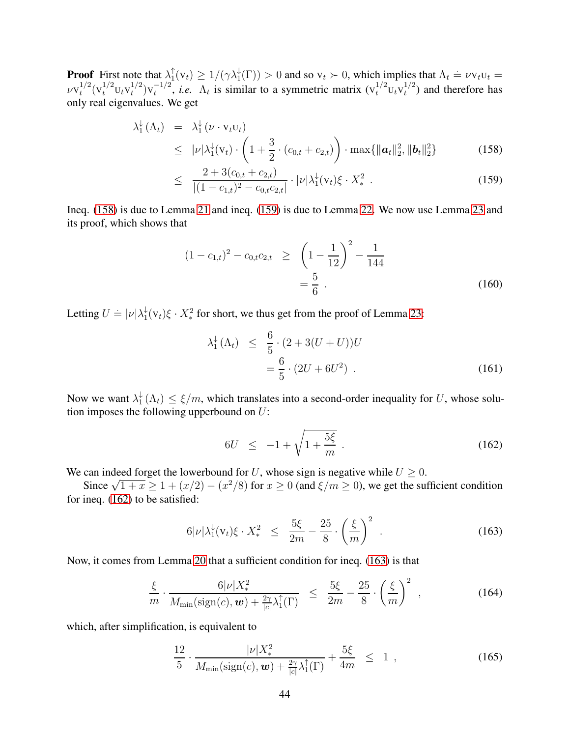**Proof** First note that  $\lambda_1^{\uparrow}$  $\int_1^{\uparrow} (v_t) \ge 1/(\gamma \lambda_1^{\downarrow}(\Gamma)) > 0$  and so  $v_t \succ 0$ , which implies that  $\Lambda_t = \nu v_t v_t =$  $\nu {\rm v}_t^{1/2}$  $t^{1/2} (v_t^{1/2} U_t V_t^{1/2})$  $\binom{1/2}{t} V_t^{-1/2}$  $t_t^{-1/2}$ , *i.e.*  $\Lambda_t$  is similar to a symmetric matrix  $(v_t^{1/2}v_t v_t^{1/2})$  $t^{1/2}$ ) and therefore has only real eigenvalues. We get

<span id="page-43-0"></span>
$$
\lambda_1^{\downarrow}(\Lambda_t) = \lambda_1^{\downarrow}(\nu \cdot \mathbf{v}_t \mathbf{u}_t) \leq |\nu|\lambda_1^{\downarrow}(\mathbf{v}_t) \cdot \left(1 + \frac{3}{2} \cdot (c_{0,t} + c_{2,t})\right) \cdot \max\{||\boldsymbol{a}_t||_2^2, ||\boldsymbol{b}_t||_2^2\}
$$
(158)

$$
\leq \frac{2 + 3(c_{0,t} + c_{2,t})}{|(1 - c_{1,t})^2 - c_{0,t}c_{2,t}|} \cdot |\nu| \lambda_1^{\downarrow}(v_t) \xi \cdot X_*^2 . \tag{159}
$$

Ineq. [\(158\)](#page-43-0) is due to Lemma [21](#page-38-1) and ineq. [\(159\)](#page-43-0) is due to Lemma [22.](#page-41-3) We now use Lemma [23](#page-42-1) and its proof, which shows that

$$
(1 - c_{1,t})^2 - c_{0,t}c_{2,t} \ge \left(1 - \frac{1}{12}\right)^2 - \frac{1}{144}
$$
  
=  $\frac{5}{6}$ . (160)

Letting  $U \doteq |\nu| \lambda_1^{\downarrow}$  $\frac{1}{1}(v_t)\xi \cdot X_*^2$  for short, we thus get from the proof of Lemma [23:](#page-42-1)

$$
\lambda_1^{\downarrow}(\Lambda_t) \leq \frac{6}{5} \cdot (2 + 3(U + U))U \n= \frac{6}{5} \cdot (2U + 6U^2) .
$$
\n(161)

Now we want  $\lambda_1^{\downarrow}$  $\frac{1}{1}(\Lambda_t) \leq \xi/m$ , which translates into a second-order inequality for U, whose solution imposes the following upperbound on  $U$ :

<span id="page-43-1"></span>
$$
6U \le -1 + \sqrt{1 + \frac{5\xi}{m}} \tag{162}
$$

We can indeed forget the lowerbound for U, whose sign is negative while  $U \geq 0$ .

Since  $\sqrt{1+x} \ge 1 + (x/2) - (x^2/8)$  for  $x \ge 0$  (and  $\xi/m \ge 0$ ), we get the sufficient condition for ineq. [\(162\)](#page-43-1) to be satisfied:

<span id="page-43-2"></span>
$$
6|\nu|\lambda_1^{\downarrow}(v_t)\xi \cdot X_*^2 \le \frac{5\xi}{2m} - \frac{25}{8} \cdot \left(\frac{\xi}{m}\right)^2 \,. \tag{163}
$$

Now, it comes from Lemma [20](#page-36-0) that a sufficient condition for ineq. [\(163\)](#page-43-2) is that

$$
\frac{\xi}{m} \cdot \frac{6|\nu|X_*^2}{M_{\min}(\text{sign}(c), \boldsymbol{w}) + \frac{2\gamma}{|c|}\lambda_1^{\uparrow}(\Gamma)} \leq \frac{5\xi}{2m} - \frac{25}{8} \cdot \left(\frac{\xi}{m}\right)^2 ,\qquad (164)
$$

which, after simplification, is equivalent to

$$
\frac{12}{5} \cdot \frac{|\nu| X_{*}^{2}}{M_{\min}(\text{sign}(c), \bm{w}) + \frac{2\gamma}{|c|} \lambda_{1}^{\uparrow}(\Gamma)} + \frac{5\xi}{4m} \leq 1 , \qquad (165)
$$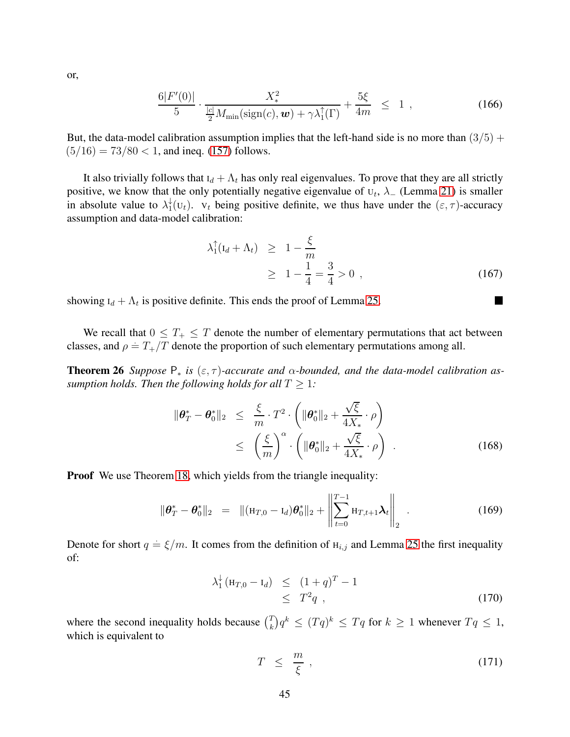or,

$$
\frac{6|F'(0)|}{5} \cdot \frac{X_*^2}{\frac{|c|}{2}M_{\min}(\text{sign}(c), \boldsymbol{w}) + \gamma \lambda_1^{\uparrow}(\Gamma)} + \frac{5\xi}{4m} \leq 1,
$$
 (166)

But, the data-model calibration assumption implies that the left-hand side is no more than  $(3/5)$  +  $(5/16) = 73/80 < 1$ , and ineq. [\(157\)](#page-42-2) follows.

It also trivially follows that  $I_d + \Lambda_t$  has only real eigenvalues. To prove that they are all strictly positive, we know that the only potentially negative eigenvalue of  $U_t$ ,  $\lambda$ <sub>-</sub> (Lemma [21\)](#page-38-1) is smaller in absolute value to  $\lambda_1^{\downarrow}$  $t_1^+(U_t)$ .  $V_t$  being positive definite, we thus have under the  $(\varepsilon, \tau)$ -accuracy assumption and data-model calibration:

$$
\lambda_1^{\uparrow}(\mathbf{I}_d + \Lambda_t) \ge 1 - \frac{\xi}{m} \ge 1 - \frac{1}{4} = \frac{3}{4} > 0 , \qquad (167)
$$

 $\blacksquare$ 

showing  $I_d + \Lambda_t$  is positive definite. This ends the proof of Lemma [25.](#page-42-3)

<span id="page-44-2"></span>We recall that  $0 \leq T_{+} \leq T$  denote the number of elementary permutations that act between classes, and  $\rho = T_{+}/T$  denote the proportion of such elementary permutations among all.

**Theorem 26** *Suppose*  $P_*$  *is*  $(\epsilon, \tau)$ -accurate and  $\alpha$ -bounded, and the data-model calibration as*sumption holds. Then the following holds for all*  $T > 1$ *:* 

$$
\|\boldsymbol{\theta}_T^* - \boldsymbol{\theta}_0^*\|_2 \leq \frac{\xi}{m} \cdot T^2 \cdot \left( \|\boldsymbol{\theta}_0^*\|_2 + \frac{\sqrt{\xi}}{4X_*} \cdot \rho \right)
$$
  

$$
\leq \left( \frac{\xi}{m} \right)^{\alpha} \cdot \left( \|\boldsymbol{\theta}_0^*\|_2 + \frac{\sqrt{\xi}}{4X_*} \cdot \rho \right) . \tag{168}
$$

**Proof** We use Theorem [18,](#page-34-0) which yields from the triangle inequality:

<span id="page-44-0"></span>
$$
\|\boldsymbol{\theta}_T^* - \boldsymbol{\theta}_0^*\|_2 = \|(\mathbf{H}_{T,0} - \mathbf{I}_d)\boldsymbol{\theta}_0^*\|_2 + \left\|\sum_{t=0}^{T-1} \mathbf{H}_{T,t+1}\boldsymbol{\lambda}_t\right\|_2.
$$
 (169)

Denote for short  $q = \frac{\xi}{m}$ . It comes from the definition of  $H_{i,j}$  and Lemma [25](#page-42-3) the first inequality of:

<span id="page-44-1"></span>
$$
\lambda_1^{\downarrow} (\mathbf{H}_{T,0} - \mathbf{I}_d) \leq (1+q)^{T} - 1 \leq T^{2} q \tag{170}
$$

where the second inequality holds because  $\binom{T}{k}$  $\int_k^T q^k \leq (T q)^k \leq T q$  for  $k \geq 1$  whenever  $T q \leq 1$ , which is equivalent to

$$
T \leq \frac{m}{\xi} \,, \tag{171}
$$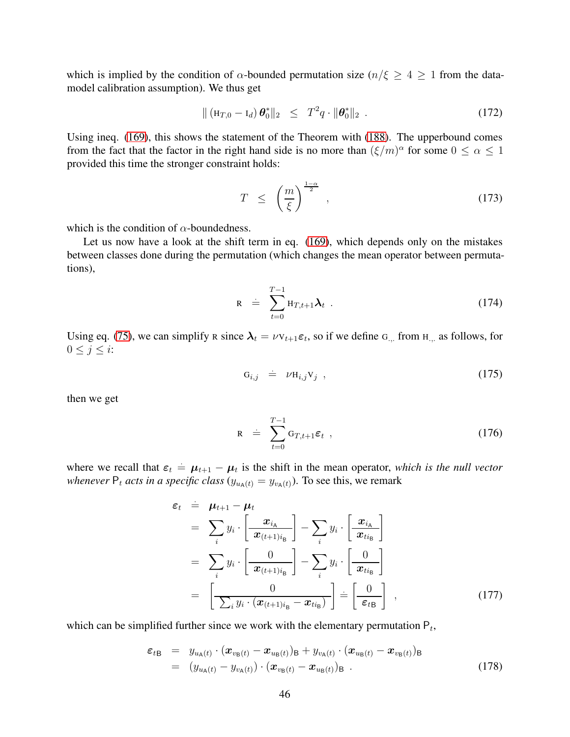which is implied by the condition of  $\alpha$ -bounded permutation size ( $n/\xi \geq 4 \geq 1$  from the datamodel calibration assumption). We thus get

$$
\| (\mathbf{H}_{T,0} - \mathbf{I}_d) \boldsymbol{\theta}_0^* \|_2 \leq T^2 q \cdot \| \boldsymbol{\theta}_0^* \|_2 .
$$
 (172)

Using ineq. [\(169\)](#page-44-0), this shows the statement of the Theorem with [\(188\)](#page-47-1). The upperbound comes from the fact that the factor in the right hand side is no more than  $(\xi/m)^{\alpha}$  for some  $0 \le \alpha \le 1$ provided this time the stronger constraint holds:

$$
T \leq \left(\frac{m}{\xi}\right)^{\frac{1-\alpha}{2}}, \qquad (173)
$$

which is the condition of  $\alpha$ -boundedness.

Let us now have a look at the shift term in eq. [\(169\)](#page-44-0), which depends only on the mistakes between classes done during the permutation (which changes the mean operator between permutations),

$$
R = \sum_{t=0}^{T-1} H_{T,t+1} \lambda_t \tag{174}
$$

Using eq. [\(75\)](#page-29-0), we can simplify R since  $\lambda_t = \nu v_{t+1} \epsilon_t$ , so if we define  $G_{t+1}$  from  $H_{t+1}$  as follows, for  $0 \leq j \leq i$ :

$$
G_{i,j} = \nu H_{i,j} V_j \tag{175}
$$

then we get

$$
R = \sum_{t=0}^{T-1} G_{T,t+1} \varepsilon_t , \qquad (176)
$$

where we recall that  $\varepsilon_t = \mu_{t+1} - \mu_t$  is the shift in the mean operator, *which is the null vector whenever*  $P_t$  *acts in a specific class* ( $y_{u_A(t)} = y_{v_A(t)}$ ). To see this, we remark

$$
\varepsilon_{t} = \mu_{t+1} - \mu_{t}
$$
\n
$$
= \sum_{i} y_{i} \cdot \left[ \frac{x_{i_{A}}}{x_{(t+1)i_{B}}} \right] - \sum_{i} y_{i} \cdot \left[ \frac{x_{i_{A}}}{x_{t i_{B}}} \right]
$$
\n
$$
= \sum_{i} y_{i} \cdot \left[ \frac{0}{x_{(t+1)i_{B}}} \right] - \sum_{i} y_{i} \cdot \left[ \frac{0}{x_{t i_{B}}} \right]
$$
\n
$$
= \left[ \frac{0}{\sum_{i} y_{i} \cdot (x_{(t+1)i_{B}} - x_{t i_{B}})} \right] = \left[ \frac{0}{\varepsilon_{t B}} \right], \qquad (177)
$$

which can be simplified further since we work with the elementary permutation  $P_t$ ,

$$
\varepsilon_{t\mathbf{B}} = y_{u_{\mathbf{A}}(t)} \cdot (\boldsymbol{x}_{v_{\mathbf{B}}(t)} - \boldsymbol{x}_{u_{\mathbf{B}}(t)})_{\mathbf{B}} + y_{v_{\mathbf{A}}(t)} \cdot (\boldsymbol{x}_{u_{\mathbf{B}}(t)} - \boldsymbol{x}_{v_{\mathbf{B}}(t)})_{\mathbf{B}}
$$
\n
$$
= (y_{u_{\mathbf{A}}(t)} - y_{v_{\mathbf{A}}(t)}) \cdot (\boldsymbol{x}_{v_{\mathbf{B}}(t)} - \boldsymbol{x}_{u_{\mathbf{B}}(t)})_{\mathbf{B}} . \tag{178}
$$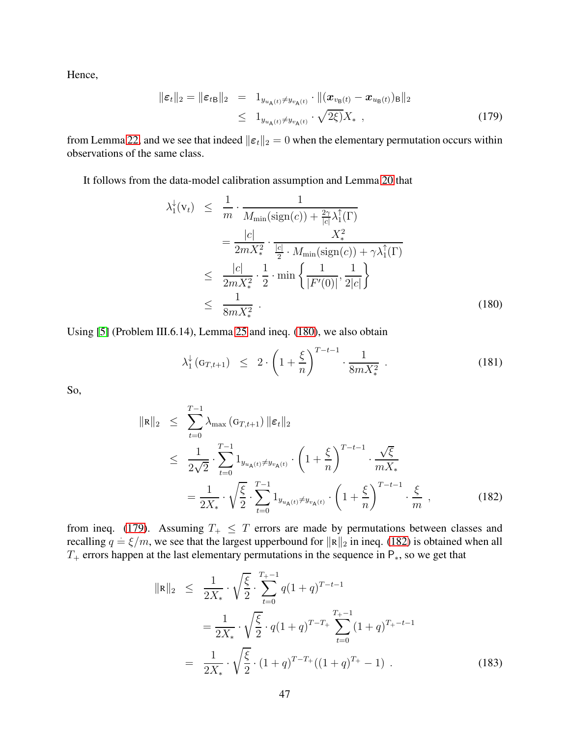Hence,

<span id="page-46-1"></span>
$$
\|\boldsymbol{\varepsilon}_{t}\|_{2} = \|\boldsymbol{\varepsilon}_{t\mathbf{B}}\|_{2} = 1_{y_{u_{\mathbf{A}}(t)} \neq y_{v_{\mathbf{A}}(t)}} \cdot \|(\boldsymbol{x}_{v_{\mathbf{B}}(t)} - \boldsymbol{x}_{u_{\mathbf{B}}(t)})_{\mathbf{B}}\|_{2}
$$
  
\n
$$
\leq 1_{y_{u_{\mathbf{A}}(t)} \neq y_{v_{\mathbf{A}}(t)}} \cdot \sqrt{2\xi} X_{*} , \qquad (179)
$$

from Lemma [22,](#page-41-3) and we see that indeed  $\|\boldsymbol{\varepsilon}_t\|_2 = 0$  when the elementary permutation occurs within observations of the same class.

It follows from the data-model calibration assumption and Lemma [20](#page-36-0) that

<span id="page-46-0"></span>
$$
\lambda_{1}^{\downarrow}(v_{t}) \leq \frac{1}{m} \cdot \frac{1}{M_{\min}(\text{sign}(c)) + \frac{2\gamma}{|c|} \lambda_{1}^{\uparrow}(\Gamma)}
$$
\n
$$
= \frac{|c|}{2mX_{*}^{2}} \cdot \frac{X_{*}^{2}}{\frac{|c|}{2} \cdot M_{\min}(\text{sign}(c)) + \gamma \lambda_{1}^{\uparrow}(\Gamma)}
$$
\n
$$
\leq \frac{|c|}{2mX_{*}^{2}} \cdot \frac{1}{2} \cdot \min\left\{\frac{1}{|F'(0)|}, \frac{1}{2|c|}\right\}
$$
\n
$$
\leq \frac{1}{8mX_{*}^{2}} \quad (180)
$$

Using [\[5\]](#page-20-7) (Problem III.6.14), Lemma [25](#page-42-3) and ineq. [\(180\)](#page-46-0), we also obtain

$$
\lambda_1^{\downarrow}(\mathbf{G}_{T,t+1}) \leq 2 \cdot \left(1 + \frac{\xi}{n}\right)^{T-t-1} \cdot \frac{1}{8mX_*^2} \tag{181}
$$

So,

<span id="page-46-2"></span>
$$
\|\mathbf{R}\|_{2} \leq \sum_{t=0}^{T-1} \lambda_{\max} \left( \mathbf{G}_{T,t+1} \right) \|\boldsymbol{\varepsilon}_{t}\|_{2}
$$
  
\n
$$
\leq \frac{1}{2\sqrt{2}} \cdot \sum_{t=0}^{T-1} 1_{y_{u_{\mathsf{A}}(t)} \neq y_{v_{\mathsf{A}}(t)}} \cdot \left( 1 + \frac{\xi}{n} \right)^{T-t-1} \cdot \frac{\sqrt{\xi}}{m X_{*}}
$$
  
\n
$$
= \frac{1}{2X_{*}} \cdot \sqrt{\frac{\xi}{2}} \cdot \sum_{t=0}^{T-1} 1_{y_{u_{\mathsf{A}}(t)} \neq y_{v_{\mathsf{A}}(t)}} \cdot \left( 1 + \frac{\xi}{n} \right)^{T-t-1} \cdot \frac{\xi}{m}, \qquad (182)
$$

from ineq. [\(179\)](#page-46-1). Assuming  $T_+ \leq T$  errors are made by permutations between classes and recalling  $q = \xi/m$ , we see that the largest upperbound for  $||R||_2$  in ineq. [\(182\)](#page-46-2) is obtained when all  $T_{+}$  errors happen at the last elementary permutations in the sequence in P<sub>\*</sub>, so we get that

<span id="page-46-3"></span>
$$
\|\mathbf{R}\|_2 \leq \frac{1}{2X_*} \cdot \sqrt{\frac{\xi}{2}} \cdot \sum_{t=0}^{T_+-1} q(1+q)^{T-t-1}
$$
  
= 
$$
\frac{1}{2X_*} \cdot \sqrt{\frac{\xi}{2}} \cdot q(1+q)^{T-T_+} \sum_{t=0}^{T_+-1} (1+q)^{T_+-t-1}
$$
  
= 
$$
\frac{1}{2X_*} \cdot \sqrt{\frac{\xi}{2}} \cdot (1+q)^{T-T_+}((1+q)^{T_+}-1) . \tag{183}
$$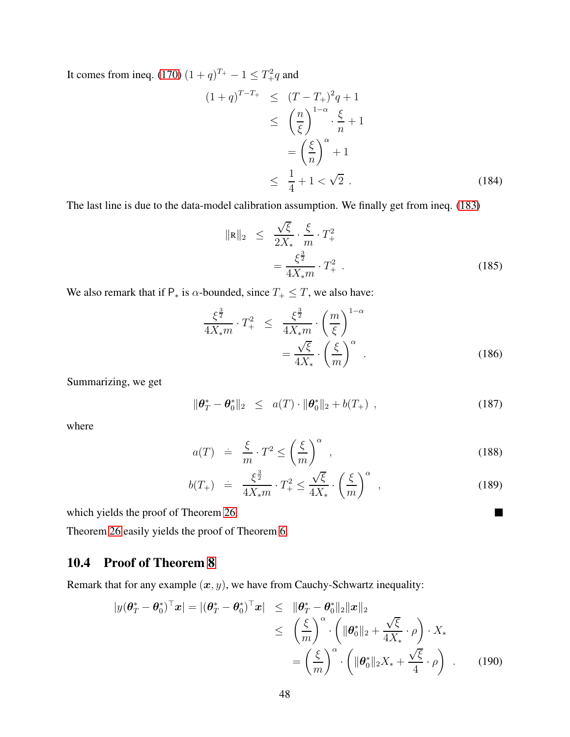It comes from ineq. [\(170\)](#page-44-1)  $(1+q)^{T_+} - 1 \le T_+^2 q$  and

$$
(1+q)^{T-T_{+}} \leq (T-T_{+})^{2}q + 1
$$
  
\n
$$
\leq \left(\frac{n}{\xi}\right)^{1-\alpha} \cdot \frac{\xi}{n} + 1
$$
  
\n
$$
= \left(\frac{\xi}{n}\right)^{\alpha} + 1
$$
  
\n
$$
\leq \frac{1}{4} + 1 < \sqrt{2} \quad .
$$
\n(184)

The last line is due to the data-model calibration assumption. We finally get from ineq. [\(183\)](#page-46-3)

$$
\|\mathbf{R}\|_2 \le \frac{\sqrt{\xi}}{2X_*} \cdot \frac{\xi}{m} \cdot T_+^2
$$
  
=  $\frac{\xi^{\frac{3}{2}}}{4X_*m} \cdot T_+^2$ . (185)

We also remark that if  $P_*$  is  $\alpha$ -bounded, since  $T_+ \leq T$ , we also have:

$$
\frac{\xi^{\frac{3}{2}}}{4X_*m} \cdot T_+^2 \le \frac{\xi^{\frac{3}{2}}}{4X_*m} \cdot \left(\frac{m}{\xi}\right)^{1-\alpha} \n= \frac{\sqrt{\xi}}{4X_*} \cdot \left(\frac{\xi}{m}\right)^{\alpha}.
$$
\n(186)

Summarizing, we get

$$
\|\boldsymbol{\theta}_T^* - \boldsymbol{\theta}_0^*\|_2 \leq a(T) \cdot \|\boldsymbol{\theta}_0^*\|_2 + b(T_+), \qquad (187)
$$

where

<span id="page-47-1"></span>
$$
a(T) \quad \dot{=} \quad \frac{\xi}{m} \cdot T^2 \le \left(\frac{\xi}{m}\right)^{\alpha} \,, \tag{188}
$$

$$
b(T_{+}) = \frac{\xi^{\frac{3}{2}}}{4X_{*}m} \cdot T_{+}^{2} \le \frac{\sqrt{\xi}}{4X_{*}} \cdot \left(\frac{\xi}{m}\right)^{\alpha} , \qquad (189)
$$

 $\blacksquare$ 

which yields the proof of Theorem [26.](#page-44-2)

Theorem [26](#page-44-2) easily yields the proof of Theorem [6.](#page-9-0)

### <span id="page-47-0"></span>10.4 Proof of Theorem [8](#page-10-2)

Remark that for any example  $(x, y)$ , we have from Cauchy-Schwartz inequality:

$$
|y(\boldsymbol{\theta}_T^* - \boldsymbol{\theta}_0^*)^\top \mathbf{x}| = |(\boldsymbol{\theta}_T^* - \boldsymbol{\theta}_0^*)^\top \mathbf{x}| \leq ||\boldsymbol{\theta}_T^* - \boldsymbol{\theta}_0^*||_2 ||\mathbf{x}||_2
$$
  
\n
$$
\leq \left(\frac{\xi}{m}\right)^\alpha \cdot \left(||\boldsymbol{\theta}_0^*||_2 + \frac{\sqrt{\xi}}{4X_*} \cdot \rho\right) \cdot X_*
$$
  
\n
$$
= \left(\frac{\xi}{m}\right)^\alpha \cdot \left(||\boldsymbol{\theta}_0^*||_2 X_* + \frac{\sqrt{\xi}}{4} \cdot \rho\right) . \tag{190}
$$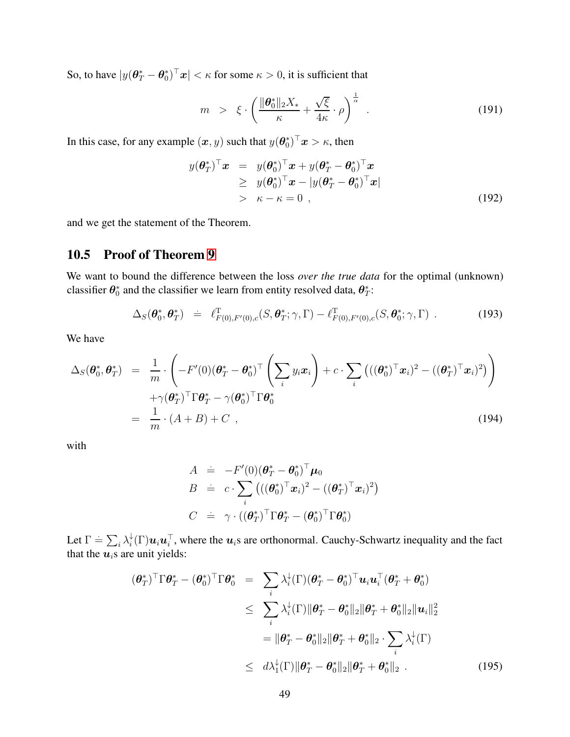So, to have  $|y(\theta^*_T - \theta^*_0)^\top x| < \kappa$  for some  $\kappa > 0$ , it is sufficient that

$$
m > \xi \cdot \left(\frac{\|\boldsymbol{\theta}_0^*\|_2 X_*}{\kappa} + \frac{\sqrt{\xi}}{4\kappa} \cdot \rho\right)^{\frac{1}{\alpha}}.
$$
 (191)

In this case, for any example  $(\bm{x}, y)$  such that  $y(\bm{\theta}_0^*)^\top \bm{x} > \kappa$ , then

$$
y(\boldsymbol{\theta}_{T}^{*})^{\top} \boldsymbol{x} = y(\boldsymbol{\theta}_{0}^{*})^{\top} \boldsymbol{x} + y(\boldsymbol{\theta}_{T}^{*} - \boldsymbol{\theta}_{0}^{*})^{\top} \boldsymbol{x} \geq y(\boldsymbol{\theta}_{0}^{*})^{\top} \boldsymbol{x} - |y(\boldsymbol{\theta}_{T}^{*} - \boldsymbol{\theta}_{0}^{*})^{\top} \boldsymbol{x}| > \kappa - \kappa = 0,
$$
\n(192)

and we get the statement of the Theorem.

### <span id="page-48-0"></span>10.5 Proof of Theorem [9](#page-10-3)

We want to bound the difference between the loss *over the true data* for the optimal (unknown) classifier  $\theta_0^*$  and the classifier we learn from entity resolved data,  $\theta_T^*$ :

$$
\Delta_S(\boldsymbol{\theta}_0^*, \boldsymbol{\theta}_T^*) = \ell_{F(0), F'(0), c}^{\mathrm{T}}(S, \boldsymbol{\theta}_T^*; \gamma, \Gamma) - \ell_{F(0), F'(0), c}^{\mathrm{T}}(S, \boldsymbol{\theta}_0^*; \gamma, \Gamma) . \tag{193}
$$

We have

$$
\Delta_S(\boldsymbol{\theta}_0^*, \boldsymbol{\theta}_T^*) = \frac{1}{m} \cdot \left( -F'(0)(\boldsymbol{\theta}_T^* - \boldsymbol{\theta}_0^*)^\top \left( \sum_i y_i \boldsymbol{x}_i \right) + c \cdot \sum_i \left( ((\boldsymbol{\theta}_0^*)^\top \boldsymbol{x}_i)^2 - ((\boldsymbol{\theta}_T^*)^\top \boldsymbol{x}_i)^2 \right) \right) \n+ \gamma (\boldsymbol{\theta}_T^*)^\top \Gamma \boldsymbol{\theta}_T^* - \gamma (\boldsymbol{\theta}_0^*)^\top \Gamma \boldsymbol{\theta}_0^* \n= \frac{1}{m} \cdot (A + B) + C ,
$$
\n(194)

with

$$
A = -F'(0)(\boldsymbol{\theta}_T^* - \boldsymbol{\theta}_0^*)^\top \boldsymbol{\mu}_0
$$
  
\n
$$
B = c \cdot \sum_i (((\boldsymbol{\theta}_0^*)^\top \boldsymbol{x}_i)^2 - ((\boldsymbol{\theta}_T^*)^\top \boldsymbol{x}_i)^2)
$$
  
\n
$$
C = \gamma \cdot ((\boldsymbol{\theta}_T^*)^\top \boldsymbol{\Gamma} \boldsymbol{\theta}_T^* - (\boldsymbol{\theta}_0^*)^\top \boldsymbol{\Gamma} \boldsymbol{\theta}_0^*)
$$

Let  $\Gamma \doteq \sum_i \lambda_i^{\downarrow}$  $\psi_i^{\downarrow}(\Gamma) \bm{u}_i \bm{u}_i^{\top}$ , where the  $\bm{u}_i$ s are orthonormal. Cauchy-Schwartz inequality and the fact that the  $u_i$ s are unit yields:

$$
(\boldsymbol{\theta}_{T}^{*})^{\top} \Gamma \boldsymbol{\theta}_{T}^{*} - (\boldsymbol{\theta}_{0}^{*})^{\top} \Gamma \boldsymbol{\theta}_{0}^{*} = \sum_{i} \lambda_{i}^{1}(\Gamma)(\boldsymbol{\theta}_{T}^{*} - \boldsymbol{\theta}_{0}^{*})^{\top} \boldsymbol{u}_{i} \boldsymbol{u}_{i}^{\top} (\boldsymbol{\theta}_{T}^{*} + \boldsymbol{\theta}_{0}^{*})
$$
  
\n
$$
\leq \sum_{i} \lambda_{i}^{1}(\Gamma) \|\boldsymbol{\theta}_{T}^{*} - \boldsymbol{\theta}_{0}^{*}\|_{2} \|\boldsymbol{\theta}_{T}^{*} + \boldsymbol{\theta}_{0}^{*}\|_{2} \|\boldsymbol{u}_{i}\|_{2}^{2}
$$
  
\n
$$
= \|\boldsymbol{\theta}_{T}^{*} - \boldsymbol{\theta}_{0}^{*}\|_{2} \|\boldsymbol{\theta}_{T}^{*} + \boldsymbol{\theta}_{0}^{*}\|_{2} \cdot \sum_{i} \lambda_{i}^{1}(\Gamma)
$$
  
\n
$$
\leq d\lambda_{1}^{1}(\Gamma) \|\boldsymbol{\theta}_{T}^{*} - \boldsymbol{\theta}_{0}^{*}\|_{2} \|\boldsymbol{\theta}_{T}^{*} + \boldsymbol{\theta}_{0}^{*}\|_{2} .
$$
 (195)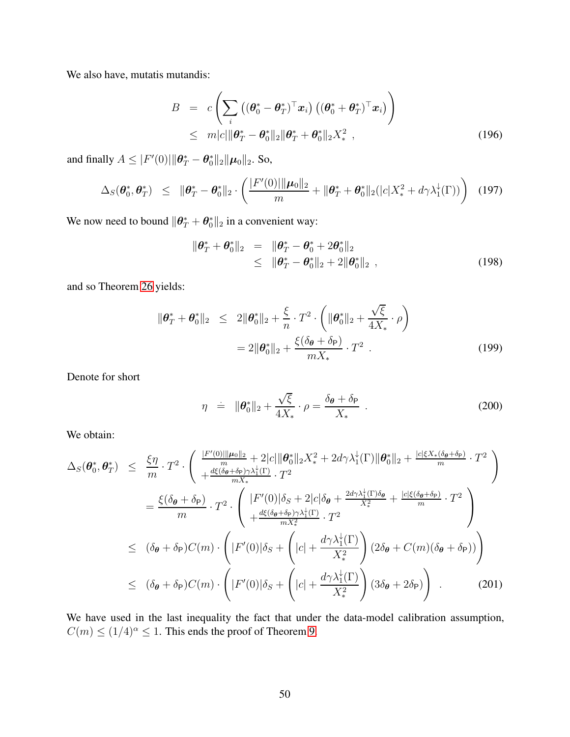We also have, mutatis mutandis:

$$
B = c \left( \sum_{i} \left( (\boldsymbol{\theta}_{0}^{*} - \boldsymbol{\theta}_{T}^{*})^{\top} \boldsymbol{x}_{i} \right) \left( (\boldsymbol{\theta}_{0}^{*} + \boldsymbol{\theta}_{T}^{*})^{\top} \boldsymbol{x}_{i} \right) \right) \n\leq m|c| ||\boldsymbol{\theta}_{T}^{*} - \boldsymbol{\theta}_{0}^{*} ||_{2} || \boldsymbol{\theta}_{T}^{*} + \boldsymbol{\theta}_{0}^{*} ||_{2} X_{*}^{2} ,
$$
\n(196)

and finally  $A \leq |F'(0)| \|\theta^*_T - \theta^*_0\|_2 \|\mu_0\|_2$ . So,

$$
\Delta_S(\boldsymbol{\theta}_0^*, \boldsymbol{\theta}_T^*) \leq \|\boldsymbol{\theta}_T^* - \boldsymbol{\theta}_0^*\|_2 \cdot \left(\frac{|F'(0)| \|\boldsymbol{\mu}_0\|_2}{m} + \|\boldsymbol{\theta}_T^* + \boldsymbol{\theta}_0^*\|_2(|c|X_*^2 + d\gamma \lambda_1^{\downarrow}(\Gamma))\right) \tag{197}
$$

We now need to bound  $\|\boldsymbol{\theta}_T^* + \boldsymbol{\theta}_0^*\|_2$  in a convenient way:

$$
\|\boldsymbol{\theta}_T^* + \boldsymbol{\theta}_0^*\|_2 = \|\boldsymbol{\theta}_T^* - \boldsymbol{\theta}_0^* + 2\boldsymbol{\theta}_0^*\|_2
$$
  
\$\leq \|\boldsymbol{\theta}\_T^\* - \boldsymbol{\theta}\_0^\*\|\_2 + 2\|\boldsymbol{\theta}\_0^\*\|\_2 , \qquad (198)\$

and so Theorem [26](#page-44-2) yields:

$$
\|\theta^*_T + \theta^*_0\|_2 \le 2\|\theta^*_0\|_2 + \frac{\xi}{n} \cdot T^2 \cdot \left(\|\theta^*_0\|_2 + \frac{\sqrt{\xi}}{4X_*} \cdot \rho\right)
$$
  
= 2\|\theta^\*\_0\|\_2 + \frac{\xi(\delta\_\theta + \delta\_\mathsf{P})}{mX\_\*} \cdot T^2 . (199)

Denote for short

$$
\eta = \|\boldsymbol{\theta}_0^*\|_2 + \frac{\sqrt{\xi}}{4X_*} \cdot \rho = \frac{\delta_{\boldsymbol{\theta}} + \delta_{\mathsf{P}}}{X_*} \tag{200}
$$

We obtain:

<span id="page-49-0"></span>
$$
\Delta_{S}(\theta_{0}^{*}, \theta_{T}^{*}) \leq \frac{\xi \eta}{m} \cdot T^{2} \cdot \left( \frac{\frac{|F'(0)||\mu_{0}||_{2}}{m} + 2|c||\theta_{0}^{*}||_{2}X_{*}^{2} + 2d\gamma \lambda_{1}^{+}(\Gamma)||\theta_{0}^{*}||_{2} + \frac{|c|\xi X_{*}(\delta_{\theta} + \delta_{\mathsf{P}})}{m} \cdot T^{2}}{mX_{*}} \cdot T^{2} \right)
$$
\n
$$
= \frac{\xi(\delta_{\theta} + \delta_{\mathsf{P}})}{m} \cdot T^{2} \cdot \left( \frac{|F'(0)|\delta_{S} + 2|c|\delta_{\theta} + \frac{2d\gamma \lambda_{1}^{+}(\Gamma)\delta_{\theta}}{X_{*}^{2}} + \frac{|c|\xi(\delta_{\theta} + \delta_{\mathsf{P}})}{m} \cdot T^{2}}{mX_{*}^{2}} \cdot T^{2} \right)
$$
\n
$$
\leq (\delta_{\theta} + \delta_{\mathsf{P}})C(m) \cdot \left( |F'(0)|\delta_{S} + \left(|c| + \frac{d\gamma \lambda_{1}^{+}(\Gamma)}{X_{*}^{2}}\right) (2\delta_{\theta} + C(m)(\delta_{\theta} + \delta_{\mathsf{P}})) \right)
$$
\n
$$
\leq (\delta_{\theta} + \delta_{\mathsf{P}})C(m) \cdot \left( |F'(0)|\delta_{S} + \left(|c| + \frac{d\gamma \lambda_{1}^{+}(\Gamma)}{X_{*}^{2}}\right) (3\delta_{\theta} + 2\delta_{\mathsf{P}}) \right) .
$$
\n(201)

We have used in the last inequality the fact that under the data-model calibration assumption,  $C(m) \le (1/4)^{\alpha} \le 1$ . This ends the proof of Theorem [9.](#page-10-3)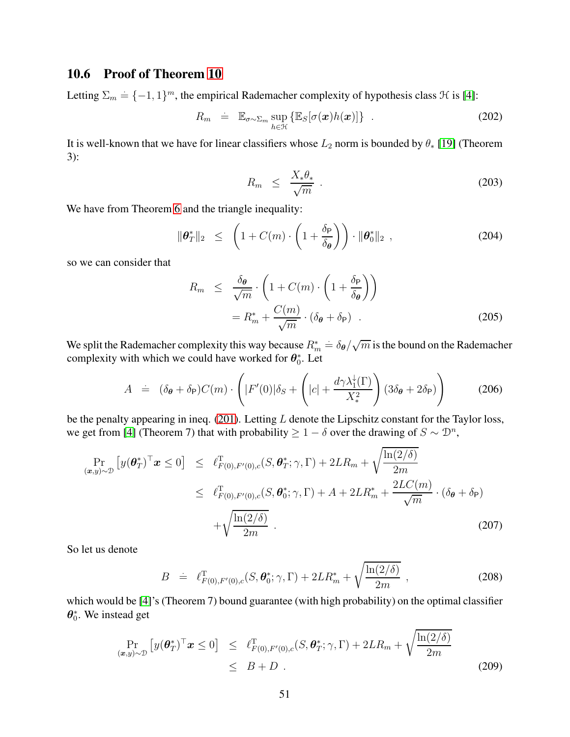### <span id="page-50-0"></span>10.6 Proof of Theorem [10](#page-11-5)

Letting  $\Sigma_m \doteq \{-1,1\}^m$ , the empirical Rademacher complexity of hypothesis class  $\mathcal H$  is [\[4\]](#page-20-10):

$$
R_m = \mathbb{E}_{\sigma \sim \Sigma_m} \sup_{h \in \mathcal{H}} \{ \mathbb{E}_S[\sigma(\boldsymbol{x})h(\boldsymbol{x})] \} . \tag{202}
$$

It is well-known that we have for linear classifiers whose  $L_2$  norm is bounded by  $\theta_*$  [\[19\]](#page-21-11) (Theorem 3):

$$
R_m \leq \frac{X_* \theta_*}{\sqrt{m}} \tag{203}
$$

We have from Theorem [6](#page-9-0) and the triangle inequality:

$$
\|\boldsymbol{\theta}_T^*\|_2 \leq \left(1 + C(m) \cdot \left(1 + \frac{\delta_P}{\delta_{\boldsymbol{\theta}}}\right)\right) \cdot \|\boldsymbol{\theta}_0^*\|_2 \tag{204}
$$

so we can consider that

$$
R_m \leq \frac{\delta_{\theta}}{\sqrt{m}} \cdot \left( 1 + C(m) \cdot \left( 1 + \frac{\delta_{\mathsf{P}}}{\delta_{\theta}} \right) \right)
$$
  
=  $R_m^* + \frac{C(m)}{\sqrt{m}} \cdot (\delta_{\theta} + \delta_{\mathsf{P}})$  (205)

We split the Rademacher complexity this way because  $R_m^* \doteq \delta_{\bm{\theta}}/\sqrt{m}$  is the bound on the Rademacher complexity with which we could have worked for  $\theta_0^*$ . Let

$$
A = (\delta_{\theta} + \delta_{\mathsf{P}})C(m) \cdot \left( |F'(0)|\delta_{S} + \left(|c| + \frac{d\gamma \lambda_{1}^{\downarrow}(\Gamma)}{X_{*}^{2}}\right)(3\delta_{\theta} + 2\delta_{\mathsf{P}}) \right)
$$
(206)

be the penalty appearing in ineq. [\(201\)](#page-49-0). Letting L denote the Lipschitz constant for the Taylor loss, we get from [\[4\]](#page-20-10) (Theorem 7) that with probability  $\geq 1 - \delta$  over the drawing of  $S \sim \mathcal{D}^n$ ,

$$
\Pr_{(\mathbf{x},y)\sim\mathcal{D}}\left[y(\boldsymbol{\theta}_{T}^{*})^{\top}\mathbf{x}\leq0\right] \leq \ell_{F(0),F'(0),c}^{\top}(S,\boldsymbol{\theta}_{T}^{*};\gamma,\Gamma)+2LR_{m}+\sqrt{\frac{\ln(2/\delta)}{2m}}\leq \ell_{F(0),F'(0),c}^{\top}(S,\boldsymbol{\theta}_{0}^{*};\gamma,\Gamma)+A+2LR_{m}^{*}+\frac{2LC(m)}{\sqrt{m}}\cdot(\delta_{\boldsymbol{\theta}}+\delta_{\mathsf{P}})+\sqrt{\frac{\ln(2/\delta)}{2m}}.
$$
\n(207)

So let us denote

$$
B = \ell_{F(0), F'(0), c}^{\mathrm{T}}(S, \theta_0^*; \gamma, \Gamma) + 2LR_m^* + \sqrt{\frac{\ln(2/\delta)}{2m}} \,, \tag{208}
$$

which would be [\[4\]](#page-20-10)'s (Theorem 7) bound guarantee (with high probability) on the optimal classifier  $\theta_0^*$ . We instead get

$$
\Pr_{(\boldsymbol{x},y)\sim\mathcal{D}}\left[y(\boldsymbol{\theta}_{T}^{*})^{\top}\boldsymbol{x}\leq0\right] \leq \ell_{F(0),F'(0),c}^{\top}(S,\boldsymbol{\theta}_{T}^{*};\gamma,\Gamma)+2LR_{m}+\sqrt{\frac{\ln(2/\delta)}{2m}}\leq B+D.
$$
\n(209)